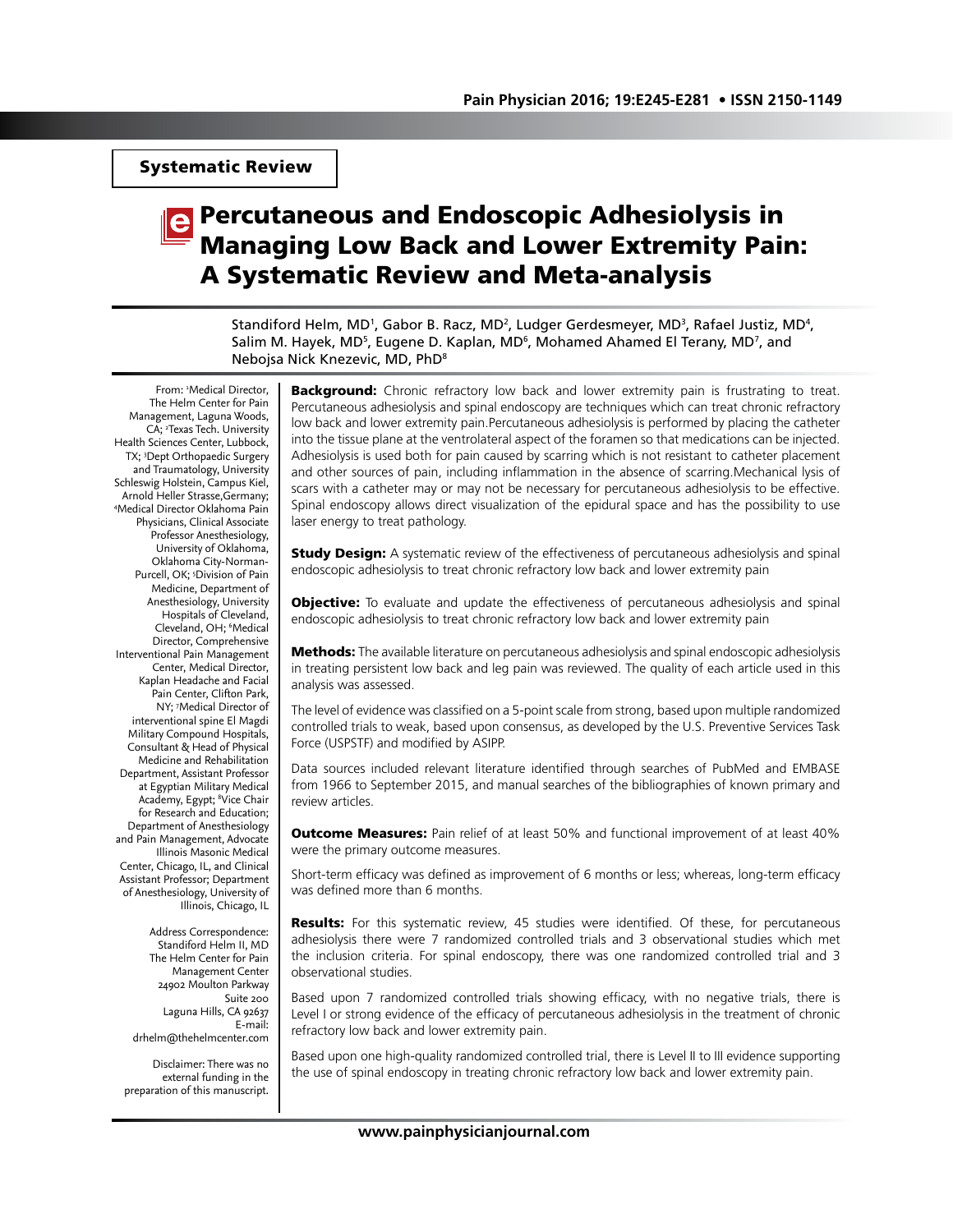Systematic Review

# Percutaneous and Endoscopic Adhesiolysis in Managing Low Back and Lower Extremity Pain: A Systematic Review and Meta-analysis

Standiford Helm, MD', Gabor B. Racz, MD<sup>2</sup>, Ludger Gerdesmeyer, MD<sup>3</sup>, Rafael Justiz, MD<sup>4</sup>, Salim M. Hayek, MD<sup>5</sup>, Eugene D. Kaplan, MD<sup>6</sup>, Mohamed Ahamed El Terany, MD<sup>7</sup>, and Nebojsa Nick Knezevic, MD, PhD8

From: 1 Medical Director, The Helm Center for Pain Management, Laguna Woods, CA; <sup>2</sup>Texas Tech. University Health Sciences Center, Lubbock, TX; 3 Dept Orthopaedic Surgery and Traumatology, University Schleswig Holstein, Campus Kiel, Arnold Heller Strasse,Germany; 4 Medical Director Oklahoma Pain Physicians, Clinical Associate Professor Anesthesiology, University of Oklahoma, Oklahoma City-Norman-Purcell, OK; <sup>5</sup>Division of Pain Medicine, Department of Anesthesiology, University Hospitals of Cleveland, Cleveland, OH; 6 Medical Director, Comprehensive Interventional Pain Management Center, Medical Director, Kaplan Headache and Facial Pain Center, Clifton Park, NY; 7 Medical Director of interventional spine El Magdi Military Compound Hospitals, Consultant & Head of Physical Medicine and Rehabilitation Department, Assistant Professor at Egyptian Military Medical Academy, Egypt; <sup>8</sup>Vice Chair for Research and Education; Department of Anesthesiology and Pain Management, Advocate Illinois Masonic Medical Center, Chicago, IL, and Clinical Assistant Professor; Department of Anesthesiology, University of Illinois, Chicago, IL

> Address Correspondence: Standiford Helm II, MD The Helm Center for Pain Management Center 24902 Moulton Parkway Suite 200 Laguna Hills, CA 92637 E-mail: drhelm@thehelmcenter.com

Disclaimer: There was no external funding in the preparation of this manuscript.

**Background:** Chronic refractory low back and lower extremity pain is frustrating to treat. Percutaneous adhesiolysis and spinal endoscopy are techniques which can treat chronic refractory low back and lower extremity pain.Percutaneous adhesiolysis is performed by placing the catheter into the tissue plane at the ventrolateral aspect of the foramen so that medications can be injected. Adhesiolysis is used both for pain caused by scarring which is not resistant to catheter placement and other sources of pain, including inflammation in the absence of scarring.Mechanical lysis of scars with a catheter may or may not be necessary for percutaneous adhesiolysis to be effective. Spinal endoscopy allows direct visualization of the epidural space and has the possibility to use laser energy to treat pathology.

**Study Design:** A systematic review of the effectiveness of percutaneous adhesiolysis and spinal endoscopic adhesiolysis to treat chronic refractory low back and lower extremity pain

**Objective:** To evaluate and update the effectiveness of percutaneous adhesiolysis and spinal endoscopic adhesiolysis to treat chronic refractory low back and lower extremity pain

**Methods:** The available literature on percutaneous adhesiolysis and spinal endoscopic adhesiolysis in treating persistent low back and leg pain was reviewed. The quality of each article used in this analysis was assessed.

The level of evidence was classified on a 5-point scale from strong, based upon multiple randomized controlled trials to weak, based upon consensus, as developed by the U.S. Preventive Services Task Force (USPSTF) and modified by ASIPP.

Data sources included relevant literature identified through searches of PubMed and EMBASE from 1966 to September 2015, and manual searches of the bibliographies of known primary and review articles.

**Outcome Measures:** Pain relief of at least 50% and functional improvement of at least 40% were the primary outcome measures.

Short-term efficacy was defined as improvement of 6 months or less; whereas, long-term efficacy was defined more than 6 months.

Results: For this systematic review, 45 studies were identified. Of these, for percutaneous adhesiolysis there were 7 randomized controlled trials and 3 observational studies which met the inclusion criteria. For spinal endoscopy, there was one randomized controlled trial and 3 observational studies.

Based upon 7 randomized controlled trials showing efficacy, with no negative trials, there is Level I or strong evidence of the efficacy of percutaneous adhesiolysis in the treatment of chronic refractory low back and lower extremity pain.

Based upon one high-quality randomized controlled trial, there is Level II to III evidence supporting the use of spinal endoscopy in treating chronic refractory low back and lower extremity pain.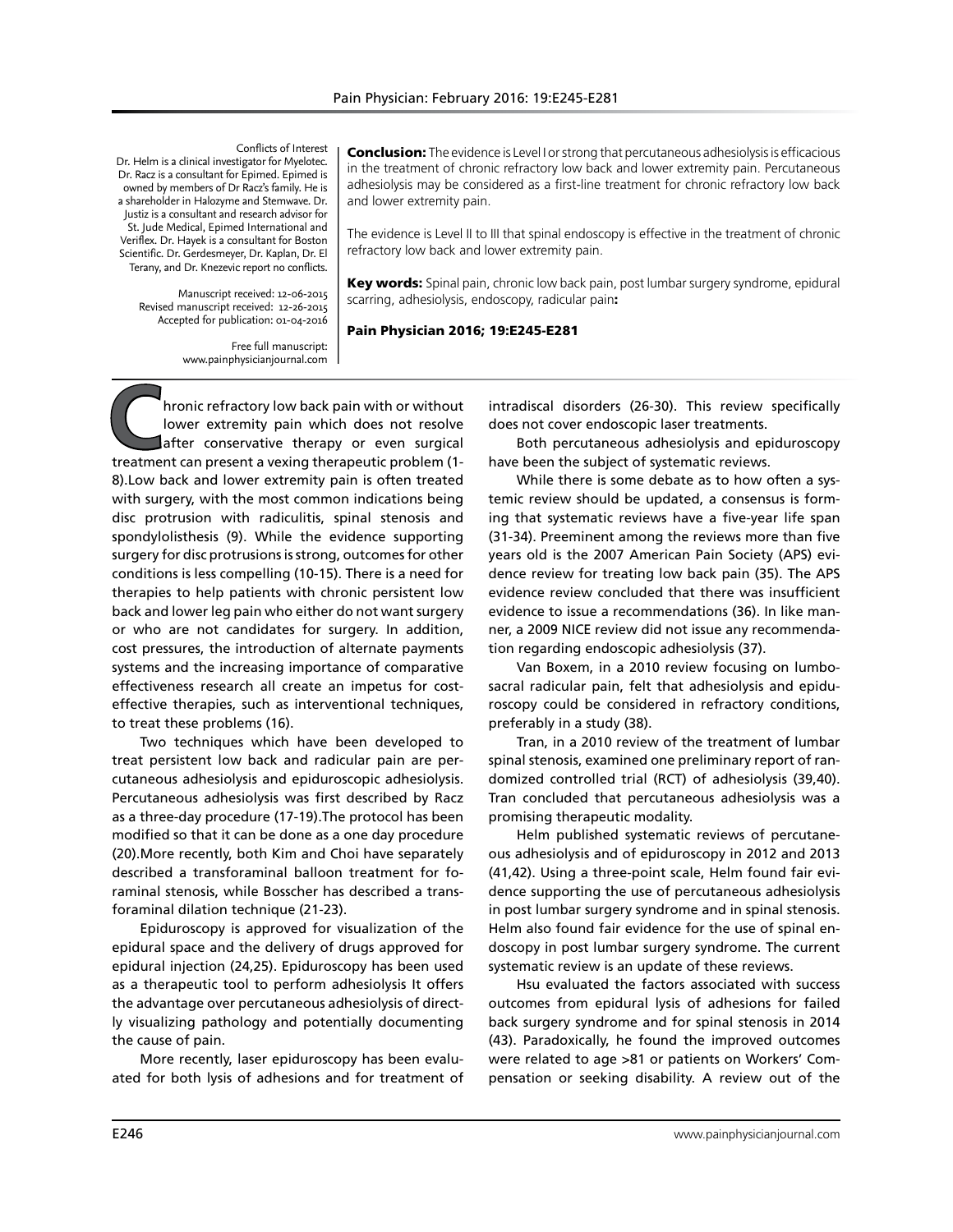Conflicts of Interest

Dr. Helm is a clinical investigator for Myelotec. Dr. Racz is a consultant for Epimed. Epimed is owned by members of Dr Racz's family. He is a shareholder in Halozyme and Stemwave. Dr. Justiz is a consultant and research advisor for St. Jude Medical, Epimed International and Veriflex. Dr. Hayek is a consultant for Boston Scientific. Dr. Gerdesmeyer, Dr. Kaplan, Dr. El Terany, and Dr. Knezevic report no conflicts.

> Manuscript received: 12-06-2015 Revised manuscript received: 12-26-2015 Accepted for publication: 01-04-2016

> > Free full manuscript: www.painphysicianjournal.com

Conclusion: The evidence is Level I or strong that percutaneous adhesiolysis is efficacious in the treatment of chronic refractory low back and lower extremity pain. Percutaneous adhesiolysis may be considered as a first-line treatment for chronic refractory low back and lower extremity pain.

The evidence is Level II to III that spinal endoscopy is effective in the treatment of chronic refractory low back and lower extremity pain.

Key words: Spinal pain, chronic low back pain, post lumbar surgery syndrome, epidural scarring, adhesiolysis, endoscopy, radicular pain:

#### Pain Physician 2016; 19:E245-E281

**C**hronic refractory low back pain with or without<br>lower extremity pain which does not resolve<br>after conservative therapy or even surgical<br>treatment can present a vexing therapeutic problem (1lower extremity pain which does not resolve after conservative therapy or even surgical treatment can present a vexing therapeutic problem (1- 8).Low back and lower extremity pain is often treated with surgery, with the most common indications being disc protrusion with radiculitis, spinal stenosis and spondylolisthesis (9). While the evidence supporting surgery for disc protrusions is strong, outcomes for other conditions is less compelling (10-15). There is a need for therapies to help patients with chronic persistent low back and lower leg pain who either do not want surgery or who are not candidates for surgery. In addition, cost pressures, the introduction of alternate payments systems and the increasing importance of comparative effectiveness research all create an impetus for costeffective therapies, such as interventional techniques, to treat these problems (16).

Two techniques which have been developed to treat persistent low back and radicular pain are percutaneous adhesiolysis and epiduroscopic adhesiolysis. Percutaneous adhesiolysis was first described by Racz as a three-day procedure (17-19).The protocol has been modified so that it can be done as a one day procedure (20).More recently, both Kim and Choi have separately described a transforaminal balloon treatment for foraminal stenosis, while Bosscher has described a transforaminal dilation technique (21-23).

Epiduroscopy is approved for visualization of the epidural space and the delivery of drugs approved for epidural injection (24,25). Epiduroscopy has been used as a therapeutic tool to perform adhesiolysis It offers the advantage over percutaneous adhesiolysis of directly visualizing pathology and potentially documenting the cause of pain.

More recently, laser epiduroscopy has been evaluated for both lysis of adhesions and for treatment of

intradiscal disorders (26-30). This review specifically does not cover endoscopic laser treatments.

Both percutaneous adhesiolysis and epiduroscopy have been the subject of systematic reviews.

While there is some debate as to how often a systemic review should be updated, a consensus is forming that systematic reviews have a five-year life span (31-34). Preeminent among the reviews more than five years old is the 2007 American Pain Society (APS) evidence review for treating low back pain (35). The APS evidence review concluded that there was insufficient evidence to issue a recommendations (36). In like manner, a 2009 NICE review did not issue any recommendation regarding endoscopic adhesiolysis (37).

Van Boxem, in a 2010 review focusing on lumbosacral radicular pain, felt that adhesiolysis and epiduroscopy could be considered in refractory conditions, preferably in a study (38).

Tran, in a 2010 review of the treatment of lumbar spinal stenosis, examined one preliminary report of randomized controlled trial (RCT) of adhesiolysis (39,40). Tran concluded that percutaneous adhesiolysis was a promising therapeutic modality.

Helm published systematic reviews of percutaneous adhesiolysis and of epiduroscopy in 2012 and 2013 (41,42). Using a three-point scale, Helm found fair evidence supporting the use of percutaneous adhesiolysis in post lumbar surgery syndrome and in spinal stenosis. Helm also found fair evidence for the use of spinal endoscopy in post lumbar surgery syndrome. The current systematic review is an update of these reviews.

Hsu evaluated the factors associated with success outcomes from epidural lysis of adhesions for failed back surgery syndrome and for spinal stenosis in 2014 (43). Paradoxically, he found the improved outcomes were related to age >81 or patients on Workers' Compensation or seeking disability. A review out of the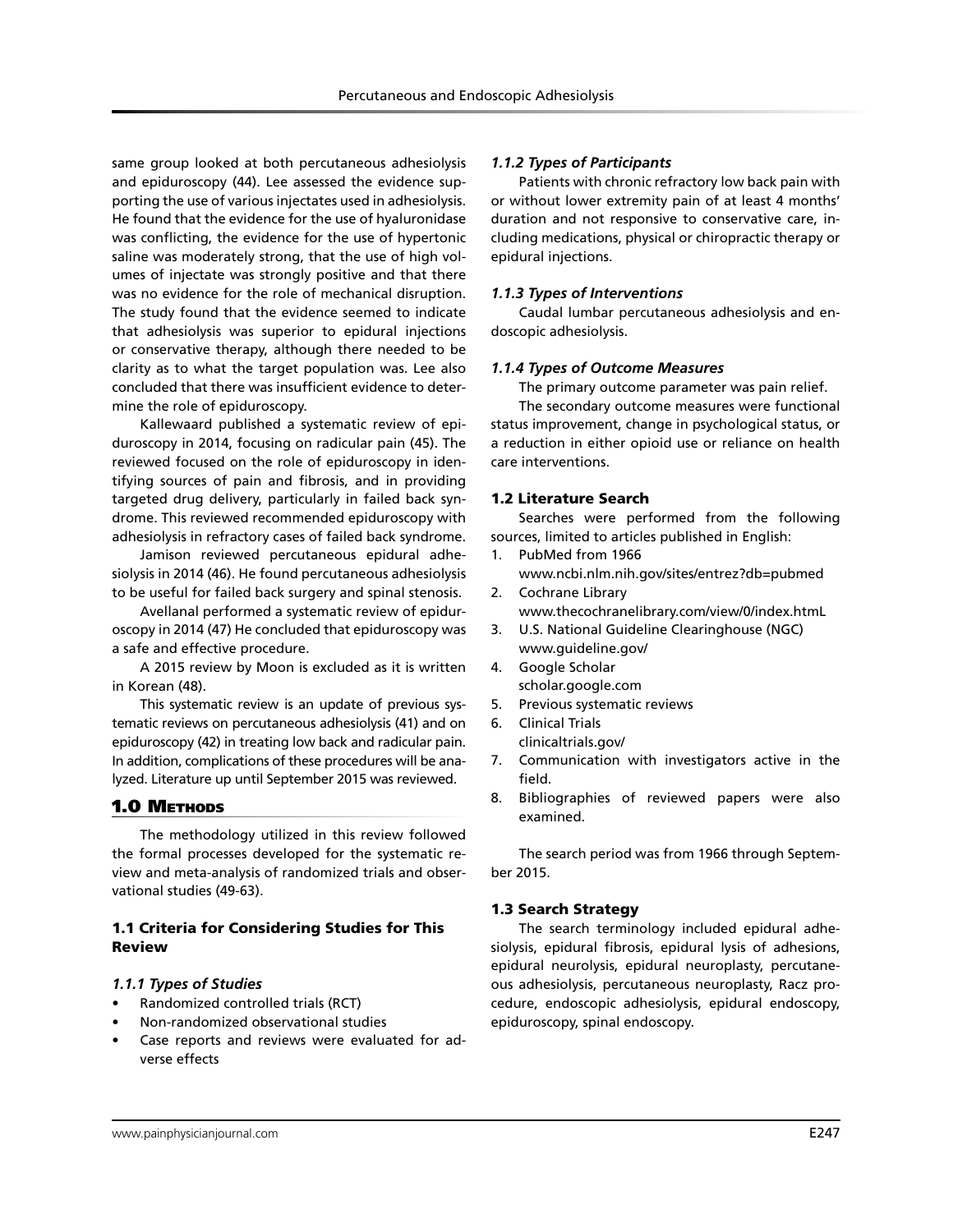same group looked at both percutaneous adhesiolysis and epiduroscopy (44). Lee assessed the evidence supporting the use of various injectates used in adhesiolysis. He found that the evidence for the use of hyaluronidase was conflicting, the evidence for the use of hypertonic saline was moderately strong, that the use of high volumes of injectate was strongly positive and that there was no evidence for the role of mechanical disruption. The study found that the evidence seemed to indicate that adhesiolysis was superior to epidural injections or conservative therapy, although there needed to be clarity as to what the target population was. Lee also concluded that there was insufficient evidence to determine the role of epiduroscopy.

Kallewaard published a systematic review of epiduroscopy in 2014, focusing on radicular pain (45). The reviewed focused on the role of epiduroscopy in identifying sources of pain and fibrosis, and in providing targeted drug delivery, particularly in failed back syndrome. This reviewed recommended epiduroscopy with adhesiolysis in refractory cases of failed back syndrome.

Jamison reviewed percutaneous epidural adhesiolysis in 2014 (46). He found percutaneous adhesiolysis to be useful for failed back surgery and spinal stenosis.

Avellanal performed a systematic review of epiduroscopy in 2014 (47) He concluded that epiduroscopy was a safe and effective procedure.

A 2015 review by Moon is excluded as it is written in Korean (48).

This systematic review is an update of previous systematic reviews on percutaneous adhesiolysis (41) and on epiduroscopy (42) in treating low back and radicular pain. In addition, complications of these procedures will be analyzed. Literature up until September 2015 was reviewed.

# 1.0 METHODS

The methodology utilized in this review followed the formal processes developed for the systematic review and meta-analysis of randomized trials and observational studies (49-63).

# 1.1 Criteria for Considering Studies for This Review

#### *1.1.1 Types of Studies*

- Randomized controlled trials (RCT)
- Non-randomized observational studies
- Case reports and reviews were evaluated for adverse effects

#### *1.1.2 Types of Participants*

Patients with chronic refractory low back pain with or without lower extremity pain of at least 4 months' duration and not responsive to conservative care, including medications, physical or chiropractic therapy or epidural injections.

#### *1.1.3 Types of Interventions*

Caudal lumbar percutaneous adhesiolysis and endoscopic adhesiolysis.

#### *1.1.4 Types of Outcome Measures*

The primary outcome parameter was pain relief.

The secondary outcome measures were functional status improvement, change in psychological status, or a reduction in either opioid use or reliance on health care interventions.

#### 1.2 Literature Search

Searches were performed from the following sources, limited to articles published in English:

- 1. PubMed from 1966 www.ncbi.nlm.nih.gov/sites/entrez?db=pubmed
- 2. Cochrane Library www.thecochranelibrary.com/view/0/index.htmL
- 3. U.S. National Guideline Clearinghouse (NGC) www.guideline.gov/
- 4. Google Scholar scholar.google.com
- 5. Previous systematic reviews
- 6. Clinical Trials
- clinicaltrials.gov/
- 7. Communication with investigators active in the field.
- 8. Bibliographies of reviewed papers were also examined.

The search period was from 1966 through September 2015.

#### 1.3 Search Strategy

The search terminology included epidural adhesiolysis, epidural fibrosis, epidural lysis of adhesions, epidural neurolysis, epidural neuroplasty, percutaneous adhesiolysis, percutaneous neuroplasty, Racz procedure, endoscopic adhesiolysis, epidural endoscopy, epiduroscopy, spinal endoscopy.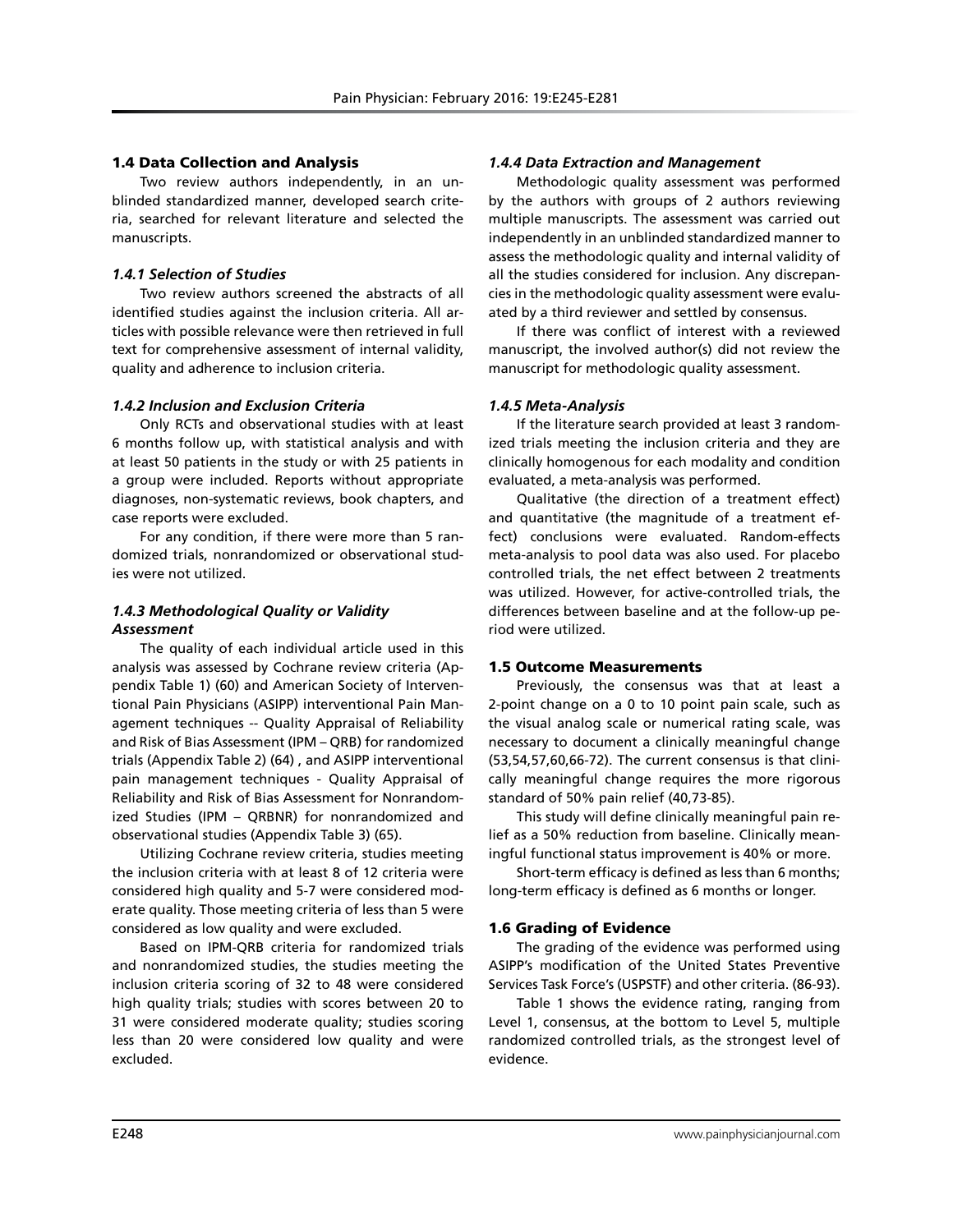# 1.4 Data Collection and Analysis

Two review authors independently, in an unblinded standardized manner, developed search criteria, searched for relevant literature and selected the manuscripts.

## *1.4.1 Selection of Studies*

Two review authors screened the abstracts of all identified studies against the inclusion criteria. All articles with possible relevance were then retrieved in full text for comprehensive assessment of internal validity, quality and adherence to inclusion criteria.

## *1.4.2 Inclusion and Exclusion Criteria*

Only RCTs and observational studies with at least 6 months follow up, with statistical analysis and with at least 50 patients in the study or with 25 patients in a group were included. Reports without appropriate diagnoses, non-systematic reviews, book chapters, and case reports were excluded.

For any condition, if there were more than 5 randomized trials, nonrandomized or observational studies were not utilized.

# *1.4.3 Methodological Quality or Validity Assessment*

The quality of each individual article used in this analysis was assessed by Cochrane review criteria (Appendix Table 1) (60) and American Society of Interventional Pain Physicians (ASIPP) interventional Pain Management techniques -- Quality Appraisal of Reliability and Risk of Bias Assessment (IPM – QRB) for randomized trials (Appendix Table 2) (64) , and ASIPP interventional pain management techniques - Quality Appraisal of Reliability and Risk of Bias Assessment for Nonrandomized Studies (IPM – QRBNR) for nonrandomized and observational studies (Appendix Table 3) (65).

Utilizing Cochrane review criteria, studies meeting the inclusion criteria with at least 8 of 12 criteria were considered high quality and 5-7 were considered moderate quality. Those meeting criteria of less than 5 were considered as low quality and were excluded.

Based on IPM-QRB criteria for randomized trials and nonrandomized studies, the studies meeting the inclusion criteria scoring of 32 to 48 were considered high quality trials; studies with scores between 20 to 31 were considered moderate quality; studies scoring less than 20 were considered low quality and were excluded.

## *1.4.4 Data Extraction and Management*

Methodologic quality assessment was performed by the authors with groups of 2 authors reviewing multiple manuscripts. The assessment was carried out independently in an unblinded standardized manner to assess the methodologic quality and internal validity of all the studies considered for inclusion. Any discrepancies in the methodologic quality assessment were evaluated by a third reviewer and settled by consensus.

If there was conflict of interest with a reviewed manuscript, the involved author(s) did not review the manuscript for methodologic quality assessment.

# *1.4.5 Meta-Analysis*

If the literature search provided at least 3 randomized trials meeting the inclusion criteria and they are clinically homogenous for each modality and condition evaluated, a meta-analysis was performed.

Qualitative (the direction of a treatment effect) and quantitative (the magnitude of a treatment effect) conclusions were evaluated. Random-effects meta-analysis to pool data was also used. For placebo controlled trials, the net effect between 2 treatments was utilized. However, for active-controlled trials, the differences between baseline and at the follow-up period were utilized.

#### 1.5 Outcome Measurements

Previously, the consensus was that at least a 2-point change on a 0 to 10 point pain scale, such as the visual analog scale or numerical rating scale, was necessary to document a clinically meaningful change (53,54,57,60,66-72). The current consensus is that clinically meaningful change requires the more rigorous standard of 50% pain relief (40,73-85).

This study will define clinically meaningful pain relief as a 50% reduction from baseline. Clinically meaningful functional status improvement is 40% or more.

Short-term efficacy is defined as less than 6 months; long-term efficacy is defined as 6 months or longer.

#### 1.6 Grading of Evidence

The grading of the evidence was performed using ASIPP's modification of the United States Preventive Services Task Force's (USPSTF) and other criteria. (86-93).

Table 1 shows the evidence rating, ranging from Level 1, consensus, at the bottom to Level 5, multiple randomized controlled trials, as the strongest level of evidence.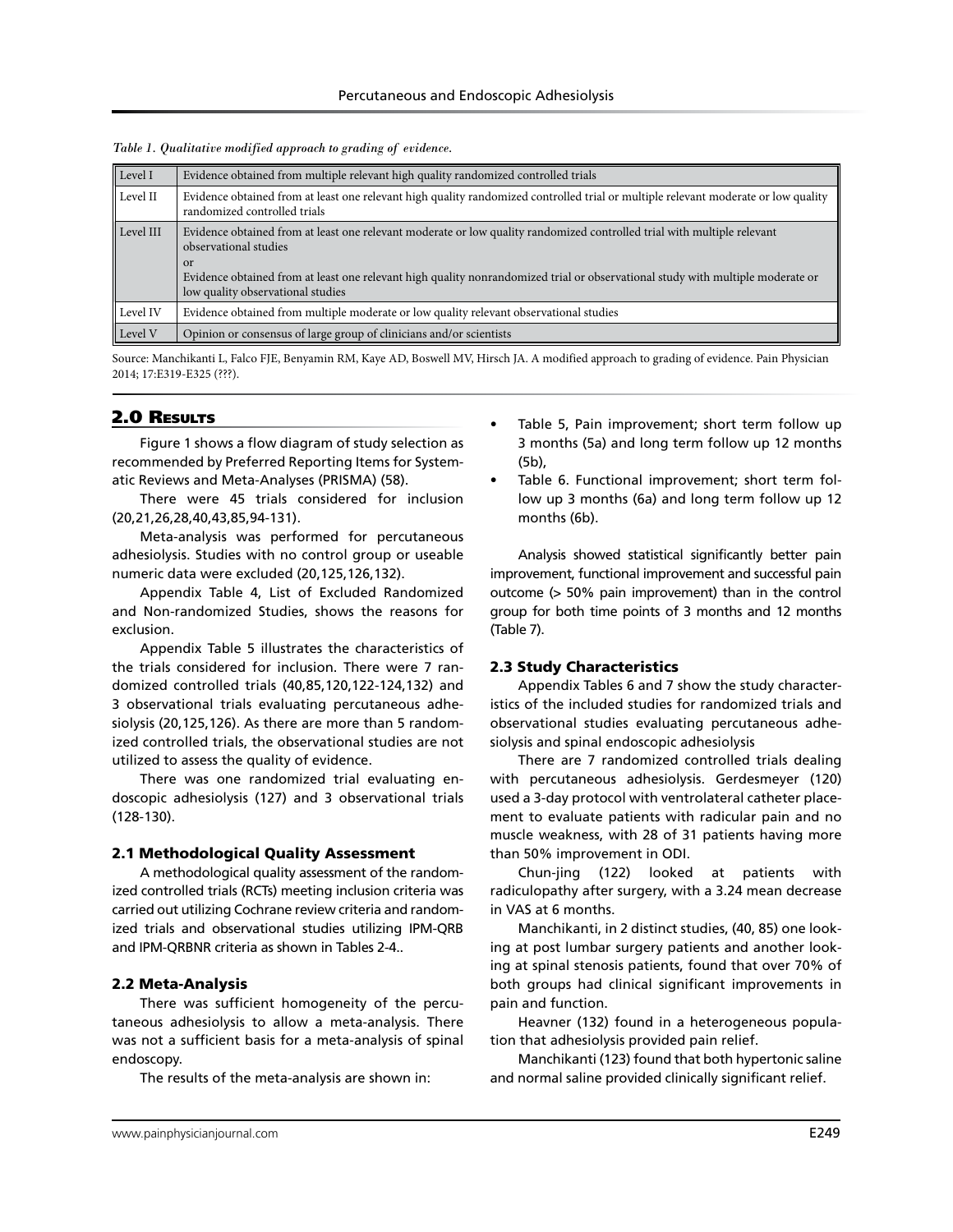| Level I   | Evidence obtained from multiple relevant high quality randomized controlled trials                                                                                                                                                                                                                                                       |
|-----------|------------------------------------------------------------------------------------------------------------------------------------------------------------------------------------------------------------------------------------------------------------------------------------------------------------------------------------------|
| Level II  | Evidence obtained from at least one relevant high quality randomized controlled trial or multiple relevant moderate or low quality<br>randomized controlled trials                                                                                                                                                                       |
| Level III | Evidence obtained from at least one relevant moderate or low quality randomized controlled trial with multiple relevant<br>observational studies<br><sub>or</sub><br>Evidence obtained from at least one relevant high quality nonrandomized trial or observational study with multiple moderate or<br>low quality observational studies |
| Level IV  | Evidence obtained from multiple moderate or low quality relevant observational studies                                                                                                                                                                                                                                                   |
| Level V   | Opinion or consensus of large group of clinicians and/or scientists                                                                                                                                                                                                                                                                      |

*Table 1. Qualitative modified approach to grading of evidence.*

Source: Manchikanti L, Falco FJE, Benyamin RM, Kaye AD, Boswell MV, Hirsch JA. A modified approach to grading of evidence. Pain Physician 2014; 17:E319-E325 (???).

# 2.0 Results

Figure 1 shows a flow diagram of study selection as recommended by Preferred Reporting Items for Systematic Reviews and Meta-Analyses (PRISMA) (58).

There were 45 trials considered for inclusion (20,21,26,28,40,43,85,94-131).

Meta-analysis was performed for percutaneous adhesiolysis. Studies with no control group or useable numeric data were excluded (20,125,126,132).

Appendix Table 4, List of Excluded Randomized and Non-randomized Studies, shows the reasons for exclusion.

Appendix Table 5 illustrates the characteristics of the trials considered for inclusion. There were 7 randomized controlled trials (40,85,120,122-124,132) and 3 observational trials evaluating percutaneous adhesiolysis (20,125,126). As there are more than 5 randomized controlled trials, the observational studies are not utilized to assess the quality of evidence.

There was one randomized trial evaluating endoscopic adhesiolysis (127) and 3 observational trials (128-130).

#### 2.1 Methodological Quality Assessment

A methodological quality assessment of the randomized controlled trials (RCTs) meeting inclusion criteria was carried out utilizing Cochrane review criteria and randomized trials and observational studies utilizing IPM-QRB and IPM-QRBNR criteria as shown in Tables 2-4..

#### 2.2 Meta-Analysis

There was sufficient homogeneity of the percutaneous adhesiolysis to allow a meta-analysis. There was not a sufficient basis for a meta-analysis of spinal endoscopy.

The results of the meta-analysis are shown in:

- Table 5, Pain improvement; short term follow up 3 months (5a) and long term follow up 12 months (5b),
- Table 6. Functional improvement; short term follow up 3 months (6a) and long term follow up 12 months (6b).

Analysis showed statistical significantly better pain improvement, functional improvement and successful pain outcome (> 50% pain improvement) than in the control group for both time points of 3 months and 12 months (Table 7).

#### 2.3 Study Characteristics

Appendix Tables 6 and 7 show the study characteristics of the included studies for randomized trials and observational studies evaluating percutaneous adhesiolysis and spinal endoscopic adhesiolysis

There are 7 randomized controlled trials dealing with percutaneous adhesiolysis. Gerdesmeyer (120) used a 3-day protocol with ventrolateral catheter placement to evaluate patients with radicular pain and no muscle weakness, with 28 of 31 patients having more than 50% improvement in ODI.

Chun-jing (122) looked at patients with radiculopathy after surgery, with a 3.24 mean decrease in VAS at 6 months.

Manchikanti, in 2 distinct studies, (40, 85) one looking at post lumbar surgery patients and another looking at spinal stenosis patients, found that over 70% of both groups had clinical significant improvements in pain and function.

Heavner (132) found in a heterogeneous population that adhesiolysis provided pain relief.

Manchikanti (123) found that both hypertonic saline and normal saline provided clinically significant relief.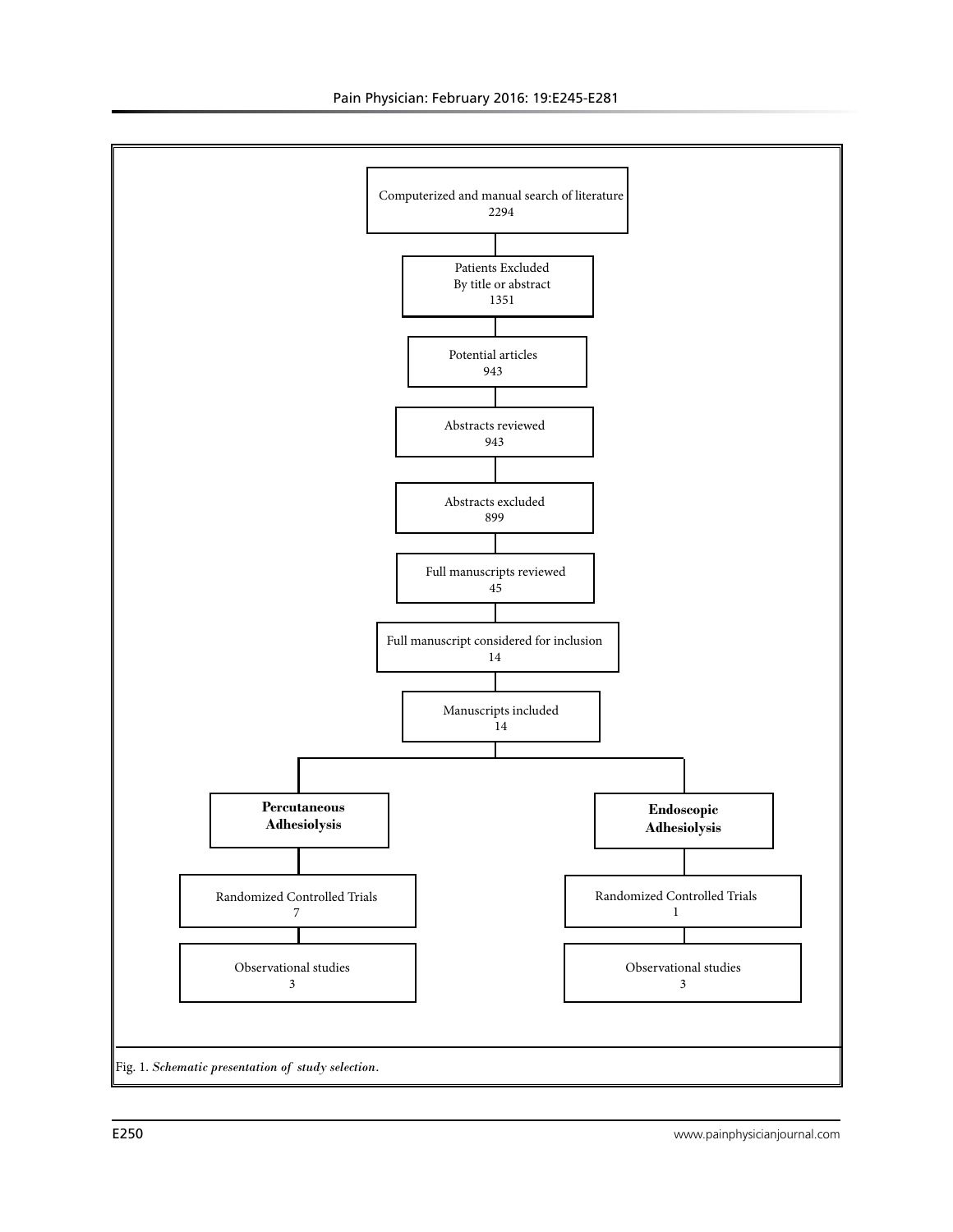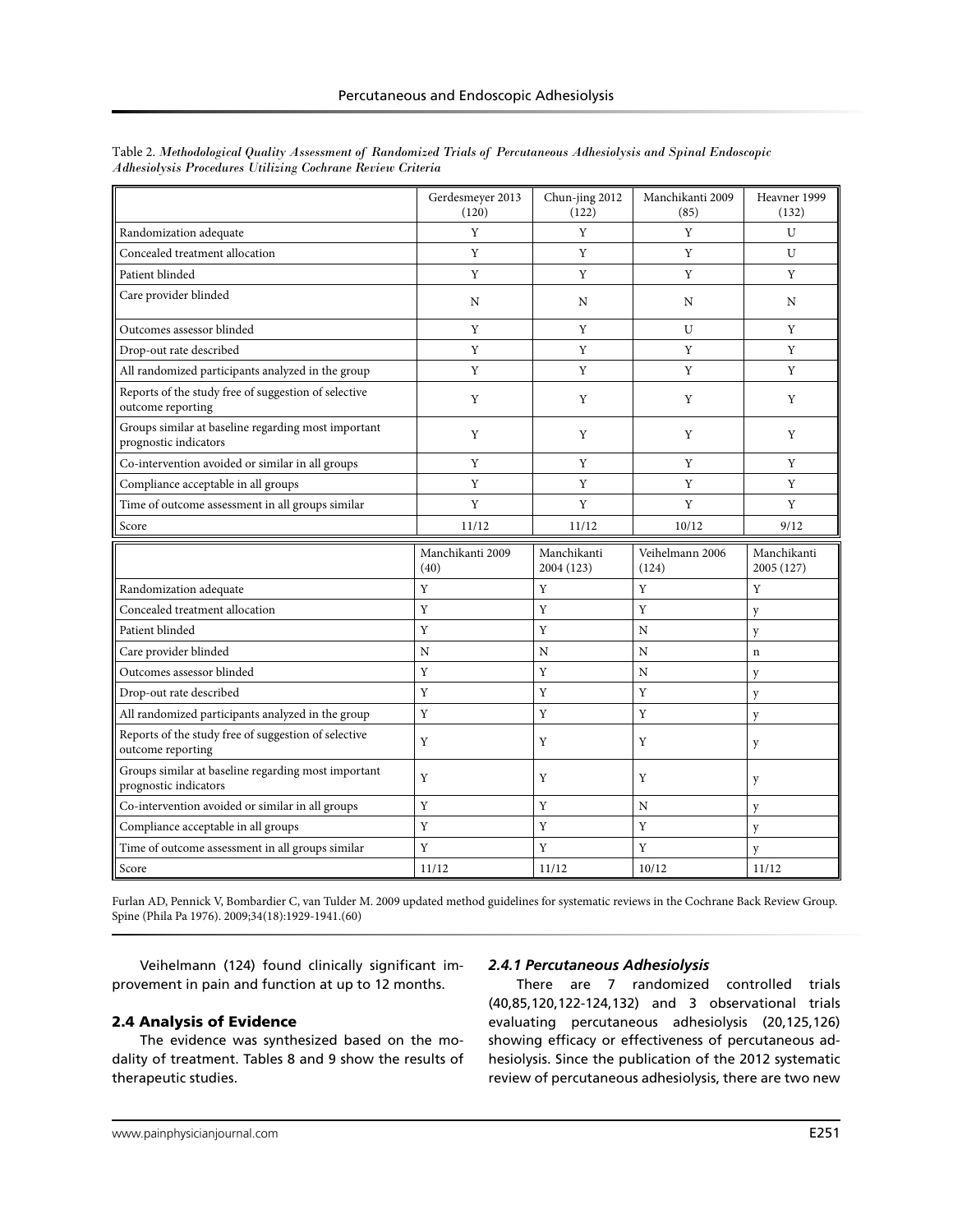|                                                                              | Gerdesmeyer 2013<br>(120) | Chun-jing 2012<br>(122)   | Manchikanti 2009<br>(85) | Heavner 1999<br>(132)     |
|------------------------------------------------------------------------------|---------------------------|---------------------------|--------------------------|---------------------------|
| Randomization adequate                                                       | Y                         | Y                         | Y                        | U                         |
| Concealed treatment allocation                                               | Y                         | Y                         | Y                        | U                         |
| Patient blinded                                                              | $\mathbf Y$               | Y                         | Y                        | Y                         |
| Care provider blinded                                                        | N                         | N                         | N                        | N                         |
| Outcomes assessor blinded                                                    | Y                         | Y                         | U                        | Y                         |
| Drop-out rate described                                                      | Y                         | Y                         | Y                        | Y                         |
| All randomized participants analyzed in the group                            | Y                         | Y                         | Y                        | Y                         |
| Reports of the study free of suggestion of selective<br>outcome reporting    | Y                         | Y                         | Y                        | Y                         |
| Groups similar at baseline regarding most important<br>prognostic indicators | Y                         | Y                         | Y                        | Y                         |
| Co-intervention avoided or similar in all groups                             | $\mathbf Y$               | Y                         | Y                        | Y                         |
| Compliance acceptable in all groups                                          | $\mathbf Y$               | Y                         | Y                        | Y                         |
| Time of outcome assessment in all groups similar                             | Y                         | Y                         | Y                        | Y                         |
| Score                                                                        | 11/12                     | 11/12                     | 10/12                    | 9/12                      |
|                                                                              |                           |                           |                          |                           |
|                                                                              | Manchikanti 2009<br>(40)  | Manchikanti<br>2004 (123) | Veihelmann 2006<br>(124) | Manchikanti<br>2005 (127) |
| Randomization adequate                                                       | Y                         | Y                         | Y                        | Y                         |
| Concealed treatment allocation                                               | Y                         | Y                         | Y                        | y                         |
| Patient blinded                                                              | Y                         | Y                         | $\mathbf N$              | y                         |
| Care provider blinded                                                        | N                         | N                         | N                        | $\mathbf n$               |
| Outcomes assessor blinded                                                    | Y                         | Y                         | N                        | y                         |
| Drop-out rate described                                                      | Y                         | $\rm Y$                   | Y                        | y                         |
| All randomized participants analyzed in the group                            | Y                         | Y                         | Y                        | y                         |
| Reports of the study free of suggestion of selective<br>outcome reporting    | Y                         | Y                         | Y                        | y                         |
| Groups similar at baseline regarding most important<br>prognostic indicators | Y                         | Y                         | Y                        | y                         |
| Co-intervention avoided or similar in all groups                             | Y                         | Y                         | N                        | y                         |
| Compliance acceptable in all groups                                          | Y                         | Y                         | Y                        | y                         |
| Time of outcome assessment in all groups similar                             | Y                         | Y                         | Y                        | y                         |

Table 2. *Methodological Quality Assessment of Randomized Trials of Percutaneous Adhesiolysis and Spinal Endoscopic Adhesiolysis Procedures Utilizing Cochrane Review Criteria*

Furlan AD, Pennick V, Bombardier C, van Tulder M. 2009 updated method guidelines for systematic reviews in the Cochrane Back Review Group. Spine (Phila Pa 1976). 2009;34(18):1929-1941.(60)

Veihelmann (124) found clinically significant improvement in pain and function at up to 12 months.

# 2.4 Analysis of Evidence

The evidence was synthesized based on the modality of treatment. Tables 8 and 9 show the results of therapeutic studies.

# *2.4.1 Percutaneous Adhesiolysis*

There are 7 randomized controlled trials (40,85,120,122-124,132) and 3 observational trials evaluating percutaneous adhesiolysis (20,125,126) showing efficacy or effectiveness of percutaneous adhesiolysis. Since the publication of the 2012 systematic review of percutaneous adhesiolysis, there are two new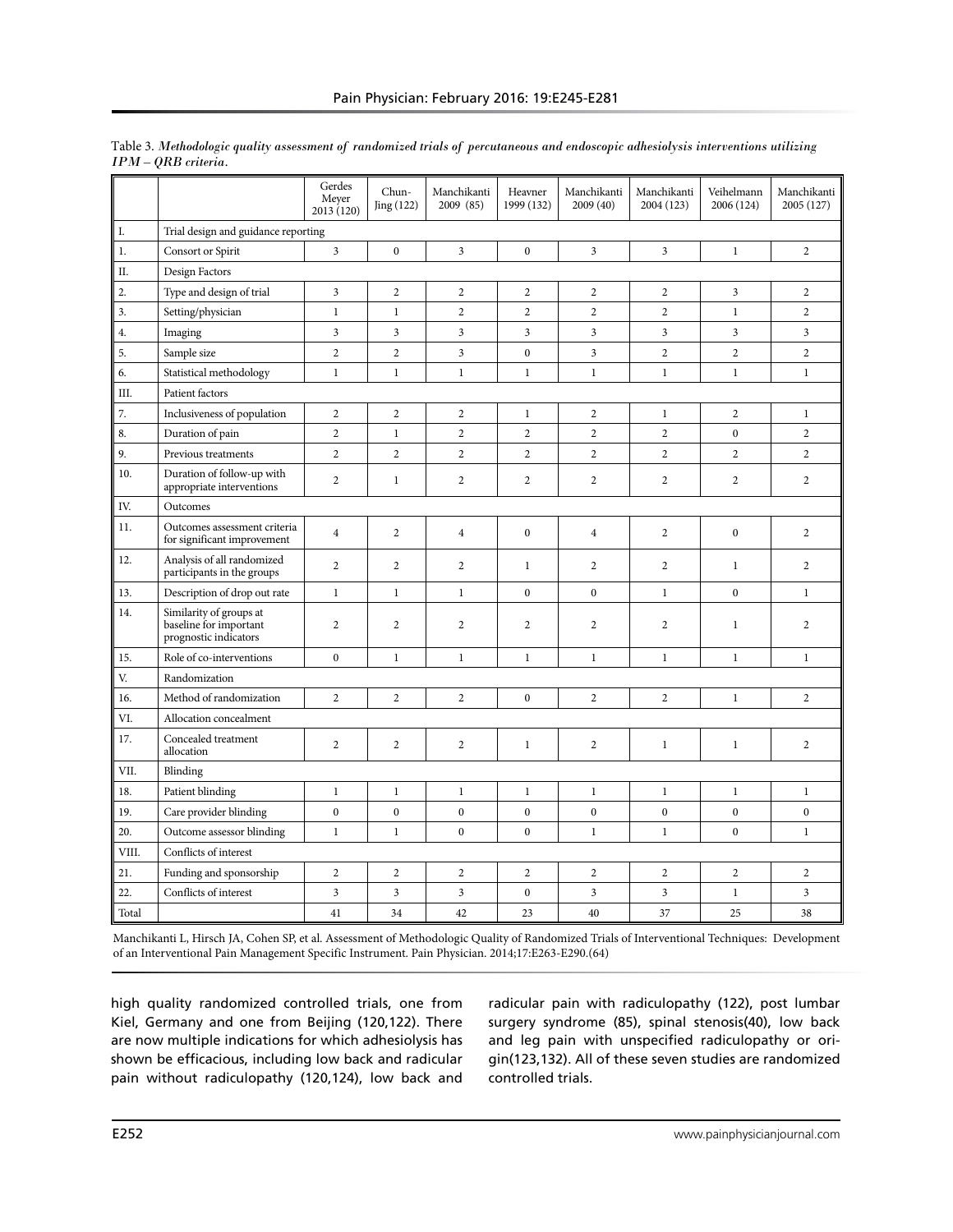|                  |                                                                            | Gerdes<br>Meyer<br>2013 (120) | Chun-<br>Jing(122) | Manchikanti<br>2009 (85) | Heavner<br>1999 (132) | Manchikanti<br>2009(40) | Manchikanti<br>2004 (123) | Veihelmann<br>2006 (124) | Manchikanti<br>2005 (127) |
|------------------|----------------------------------------------------------------------------|-------------------------------|--------------------|--------------------------|-----------------------|-------------------------|---------------------------|--------------------------|---------------------------|
| I.               | Trial design and guidance reporting                                        |                               |                    |                          |                       |                         |                           |                          |                           |
| 1.               | Consort or Spirit                                                          | $\overline{3}$                | $\boldsymbol{0}$   | 3                        | $\boldsymbol{0}$      | 3                       | 3                         | $\mathbf{1}$             | $\overline{c}$            |
| Π.               | Design Factors                                                             |                               |                    |                          |                       |                         |                           |                          |                           |
| $\overline{2}$ . | Type and design of trial                                                   | 3                             | $\overline{c}$     | $\overline{c}$           | $\overline{2}$        | $\overline{2}$          | $\overline{2}$            | 3                        | $\overline{c}$            |
| 3.               | Setting/physician                                                          | $\,1$                         | $\,1$              | $\overline{c}$           | $\overline{c}$        | $\overline{c}$          | $\overline{c}$            | $\mathbf{1}$             | $\overline{c}$            |
| 4.               | Imaging                                                                    | 3                             | $\overline{3}$     | $\overline{\mathbf{3}}$  | 3                     | $\overline{\mathbf{3}}$ | 3                         | 3                        | $\overline{3}$            |
| 5.               | Sample size                                                                | $\overline{c}$                | $\overline{2}$     | 3                        | $\mathbf{0}$          | $\overline{\mathbf{3}}$ | $\overline{2}$            | $\overline{2}$           | $\overline{2}$            |
| 6.               | Statistical methodology                                                    | $\mathbf{1}$                  | $\mathbf{1}$       | $\mathbf{1}$             | $\mathbf{1}$          | $\mathbf{1}$            | $\mathbf{1}$              | $\mathbf{1}$             | $\mathbf{1}$              |
| III.             | Patient factors                                                            |                               |                    |                          |                       |                         |                           |                          |                           |
| 7.               | Inclusiveness of population                                                | $\overline{c}$                | $\overline{c}$     | $\overline{c}$           | $\mathbf{1}$          | $\overline{2}$          | $\mathbf{1}$              | $\overline{2}$           | $\mathbf{1}$              |
| 8.               | Duration of pain                                                           | $\overline{2}$                | $\mathbf{1}$       | $\overline{c}$           | $\overline{2}$        | $\overline{c}$          | $\overline{c}$            | $\mathbf{0}$             | $\overline{2}$            |
| 9.               | Previous treatments                                                        | $\overline{2}$                | $\overline{2}$     | $\overline{c}$           | $\overline{2}$        | $\overline{2}$          | $\overline{c}$            | $\overline{c}$           | $\overline{2}$            |
| 10.              | Duration of follow-up with<br>appropriate interventions                    | $\overline{2}$                | $\mathbf{1}$       | $\overline{c}$           | $\overline{2}$        | $\overline{c}$          | $\overline{c}$            | 2                        | $\overline{2}$            |
| IV.              | Outcomes                                                                   |                               |                    |                          |                       |                         |                           |                          |                           |
| 11.              | Outcomes assessment criteria<br>for significant improvement                | $\overline{4}$                | 2                  | $\overline{4}$           | $\mathbf{0}$          | $\overline{4}$          | $\overline{2}$            | $\mathbf{0}$             | $\overline{2}$            |
| 12.              | Analysis of all randomized<br>participants in the groups                   | $\overline{c}$                | $\overline{c}$     | $\overline{c}$           | $\mathbf{1}$          | $\overline{2}$          | $\overline{2}$            | 1                        | $\overline{c}$            |
| 13.              | Description of drop out rate                                               | $\mathbf{1}$                  | $\mathbf{1}$       | $\mathbf{1}$             | $\mathbf{0}$          | $\mathbf{0}$            | $\mathbf{1}$              | $\mathbf{0}$             | $\mathbf{1}$              |
| 14.              | Similarity of groups at<br>baseline for important<br>prognostic indicators | $\overline{2}$                | $\overline{c}$     | $\overline{2}$           | $\overline{2}$        | $\overline{2}$          | $\overline{2}$            | $\mathbf{1}$             | $\overline{c}$            |
| 15.              | Role of co-interventions                                                   | $\boldsymbol{0}$              | $\mathbf{1}$       | $\mathbf{1}$             | $\mathbf{1}$          | $\mathbf{1}$            | $\mathbf{1}$              | $\mathbf{1}$             | $\mathbf{1}$              |
| V.               | Randomization                                                              |                               |                    |                          |                       |                         |                           |                          |                           |
| 16.              | Method of randomization                                                    | $\overline{2}$                | $\overline{c}$     | $\overline{2}$           | $\mathbf{0}$          | $\overline{c}$          | $\sqrt{2}$                | $\mathbf{1}$             | $\overline{2}$            |
| VI.              | Allocation concealment                                                     |                               |                    |                          |                       |                         |                           |                          |                           |
| 17.              | Concealed treatment<br>allocation                                          | $\overline{2}$                | $\overline{c}$     | $\sqrt{2}$               | $\mathbf{1}$          | $\overline{2}$          | $\mathbf{1}$              | $\mathbf{1}$             | $\overline{c}$            |
| VII.             | Blinding                                                                   |                               |                    |                          |                       |                         |                           |                          |                           |
| 18.              | Patient blinding                                                           | $\mathbf{1}$                  | $\mathbf{1}$       | $\mathbf{1}$             | $\mathbf{1}$          | $\mathbf{1}$            | $\mathbf{1}$              | $\mathbf{1}$             | $\mathbf{1}$              |
| 19.              | Care provider blinding                                                     | $\mathbf{0}$                  | $\mathbf{0}$       | $\mathbf{0}$             | $\mathbf{0}$          | $\mathbf{0}$            | $\boldsymbol{0}$          | $\mathbf{0}$             | $\mathbf{0}$              |
| 20.              | Outcome assessor blinding                                                  | $\mathbf{1}$                  | $\mathbf{1}$       | $\mathbf{0}$             | $\mathbf{0}$          | $\mathbf{1}$            | $\mathbf{1}$              | $\mathbf{0}$             | $\mathbf{1}$              |
| VIII.            | Conflicts of interest                                                      |                               |                    |                          |                       |                         |                           |                          |                           |
| 21.              | Funding and sponsorship                                                    | $\overline{c}$                | $\overline{2}$     | $\sqrt{2}$               | $\overline{2}$        | $\sqrt{2}$              | $\overline{2}$            | $\sqrt{2}$               | $\overline{c}$            |
| 22.              | Conflicts of interest                                                      | 3                             | $\mathfrak{Z}$     | $\overline{3}$           | $\boldsymbol{0}$      | $\overline{3}$          | $\mathfrak{Z}$            | $\mathbf{1}$             | $\overline{\mathbf{3}}$   |
| Total            |                                                                            | 41                            | 34                 | 42                       | 23                    | 40                      | 37                        | 25                       | 38                        |

Table 3. *Methodologic quality assessment of randomized trials of percutaneous and endoscopic adhesiolysis interventions utilizing IPM – QRB criteria.*

Manchikanti L, Hirsch JA, Cohen SP, et al. Assessment of Methodologic Quality of Randomized Trials of Interventional Techniques: Development of an Interventional Pain Management Specific Instrument. Pain Physician. 2014;17:E263-E290.(64)

high quality randomized controlled trials, one from Kiel, Germany and one from Beijing (120,122). There are now multiple indications for which adhesiolysis has shown be efficacious, including low back and radicular pain without radiculopathy (120,124), low back and

radicular pain with radiculopathy (122), post lumbar surgery syndrome (85), spinal stenosis(40), low back and leg pain with unspecified radiculopathy or origin(123,132). All of these seven studies are randomized controlled trials.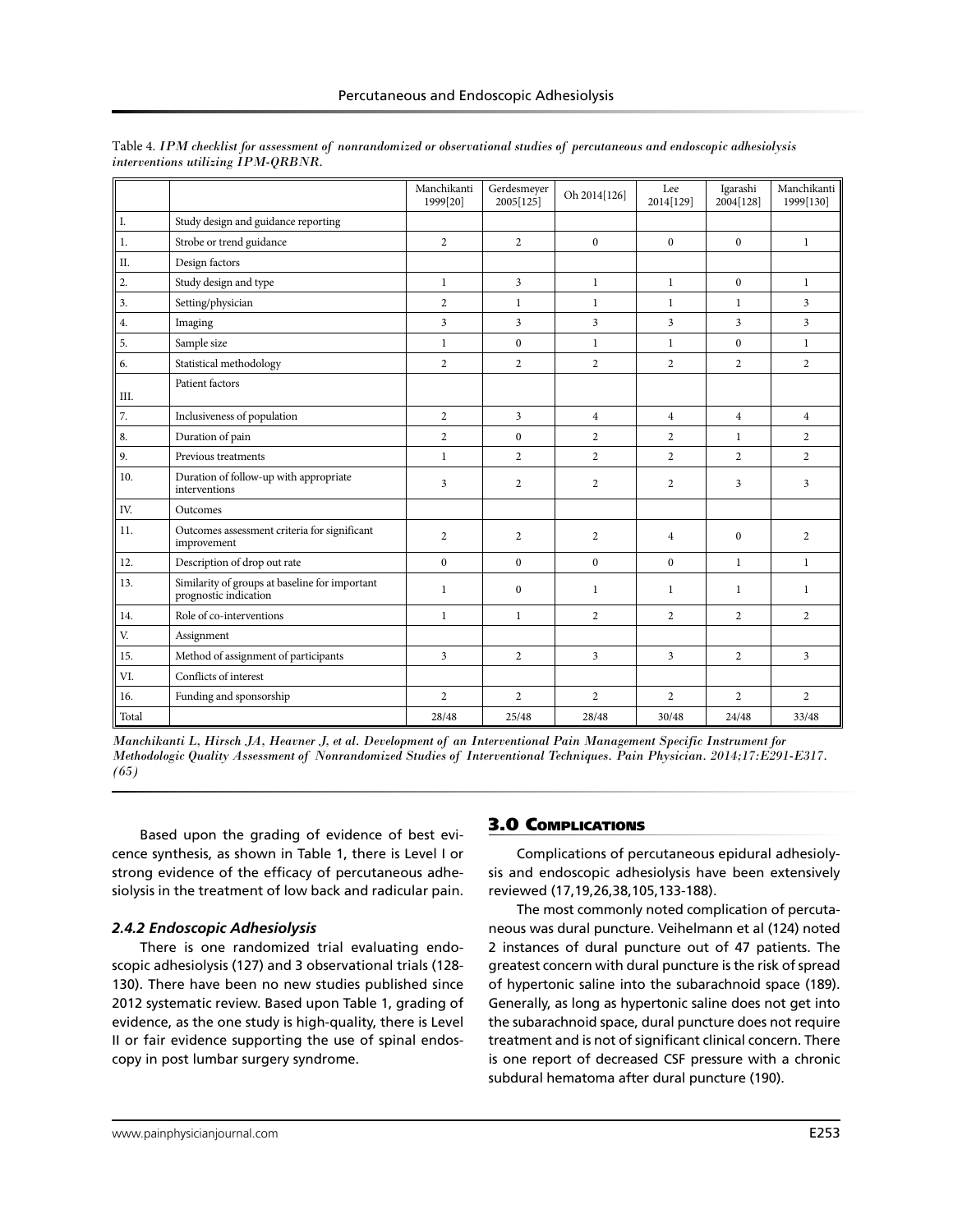|       |                                                                         | Manchikanti<br>1999[20] | Gerdesmeyer<br>2005[125] | Oh 2014[126]   | Lee<br>2014[129] | Igarashi<br>2004[128] | Manchikanti<br>1999[130] |
|-------|-------------------------------------------------------------------------|-------------------------|--------------------------|----------------|------------------|-----------------------|--------------------------|
| I.    | Study design and guidance reporting                                     |                         |                          |                |                  |                       |                          |
| 1.    | Strobe or trend guidance                                                | $\overline{c}$          | 2                        | $\theta$       | $\theta$         | $\mathbf{0}$          | $\mathbf{1}$             |
| II.   | Design factors                                                          |                         |                          |                |                  |                       |                          |
| 2.    | Study design and type                                                   | $\mathbf{1}$            | 3                        | $\mathbf{1}$   | $\mathbf{1}$     | $\mathbf{0}$          | $\mathbf{1}$             |
| 3.    | Setting/physician                                                       | $\overline{2}$          | $\mathbf{1}$             | $\mathbf{1}$   | $\mathbf{1}$     | $\mathbf{1}$          | $\overline{3}$           |
| 4.    | Imaging                                                                 | 3                       | 3                        | 3              | 3                | 3                     | 3                        |
| 5.    | Sample size                                                             | $\mathbf{1}$            | $\mathbf{0}$             | $\mathbf{1}$   | $\mathbf{1}$     | $\mathbf{0}$          | $\mathbf{1}$             |
| 6.    | Statistical methodology                                                 | $\overline{2}$          | $\overline{2}$           | $\overline{2}$ | $\overline{2}$   | $\overline{2}$        | $\overline{2}$           |
| Ш.    | Patient factors                                                         |                         |                          |                |                  |                       |                          |
| 7.    | Inclusiveness of population                                             | $\overline{2}$          | $\overline{3}$           | $\overline{4}$ | $\overline{4}$   | $\overline{4}$        | $\overline{4}$           |
| 8.    | Duration of pain                                                        | $\overline{c}$          | $\Omega$                 | $\overline{2}$ | $\overline{2}$   | $\mathbf{1}$          | $\overline{2}$           |
| 9.    | Previous treatments                                                     | $\mathbf{1}$            | $\overline{c}$           | $\overline{2}$ | $\overline{c}$   | $\overline{2}$        | $\overline{2}$           |
| 10.   | Duration of follow-up with appropriate<br>interventions                 | 3                       | $\overline{c}$           | $\overline{2}$ | $\overline{2}$   | 3                     | $\overline{3}$           |
| IV.   | Outcomes                                                                |                         |                          |                |                  |                       |                          |
| 11.   | Outcomes assessment criteria for significant<br>improvement             | 2                       | $\overline{2}$           | $\overline{2}$ | $\overline{4}$   | $\mathbf{0}$          | $\overline{2}$           |
| 12.   | Description of drop out rate                                            | $\Omega$                | $\Omega$                 | $\Omega$       | $\Omega$         | $\mathbf{1}$          | $\mathbf{1}$             |
| 13.   | Similarity of groups at baseline for important<br>prognostic indication | $\mathbf{1}$            | $\mathbf{0}$             | $\mathbf{1}$   | $\mathbf{1}$     | $\mathbf{1}$          | $\mathbf{1}$             |
| 14.   | Role of co-interventions                                                | $\mathbf{1}$            | $\mathbf{1}$             | $\overline{2}$ | $\overline{2}$   | $\overline{2}$        | $\overline{2}$           |
| V.    | Assignment                                                              |                         |                          |                |                  |                       |                          |
| 15.   | Method of assignment of participants                                    | 3                       | 2                        | 3              | 3                | $\overline{2}$        | $\overline{3}$           |
| VI.   | Conflicts of interest                                                   |                         |                          |                |                  |                       |                          |
| 16.   | Funding and sponsorship                                                 | $\overline{2}$          | $\overline{2}$           | $\overline{2}$ | $\overline{c}$   | $\overline{2}$        | $\overline{2}$           |
| Total |                                                                         | 28/48                   | 25/48                    | 28/48          | 30/48            | 24/48                 | 33/48                    |

Table 4. *IPM checklist for assessment of nonrandomized or observational studies of percutaneous and endoscopic adhesiolysis interventions utilizing IPM-QRBNR.*

Based upon the grading of evidence of best evicence synthesis, as shown in Table 1, there is Level I or strong evidence of the efficacy of percutaneous adhesiolysis in the treatment of low back and radicular pain.

# *2.4.2 Endoscopic Adhesiolysis*

There is one randomized trial evaluating endoscopic adhesiolysis (127) and 3 observational trials (128- 130). There have been no new studies published since 2012 systematic review. Based upon Table 1, grading of evidence, as the one study is high-quality, there is Level II or fair evidence supporting the use of spinal endoscopy in post lumbar surgery syndrome.

# 3.0 Complications

Complications of percutaneous epidural adhesiolysis and endoscopic adhesiolysis have been extensively reviewed (17,19,26,38,105,133-188).

The most commonly noted complication of percutaneous was dural puncture. Veihelmann et al (124) noted 2 instances of dural puncture out of 47 patients. The greatest concern with dural puncture is the risk of spread of hypertonic saline into the subarachnoid space (189). Generally, as long as hypertonic saline does not get into the subarachnoid space, dural puncture does not require treatment and is not of significant clinical concern. There is one report of decreased CSF pressure with a chronic subdural hematoma after dural puncture (190).

*Manchikanti L, Hirsch JA, Heavner J, et al. Development of an Interventional Pain Management Specific Instrument for Methodologic Quality Assessment of Nonrandomized Studies of Interventional Techniques. Pain Physician. 2014;17:E291-E317. (65)*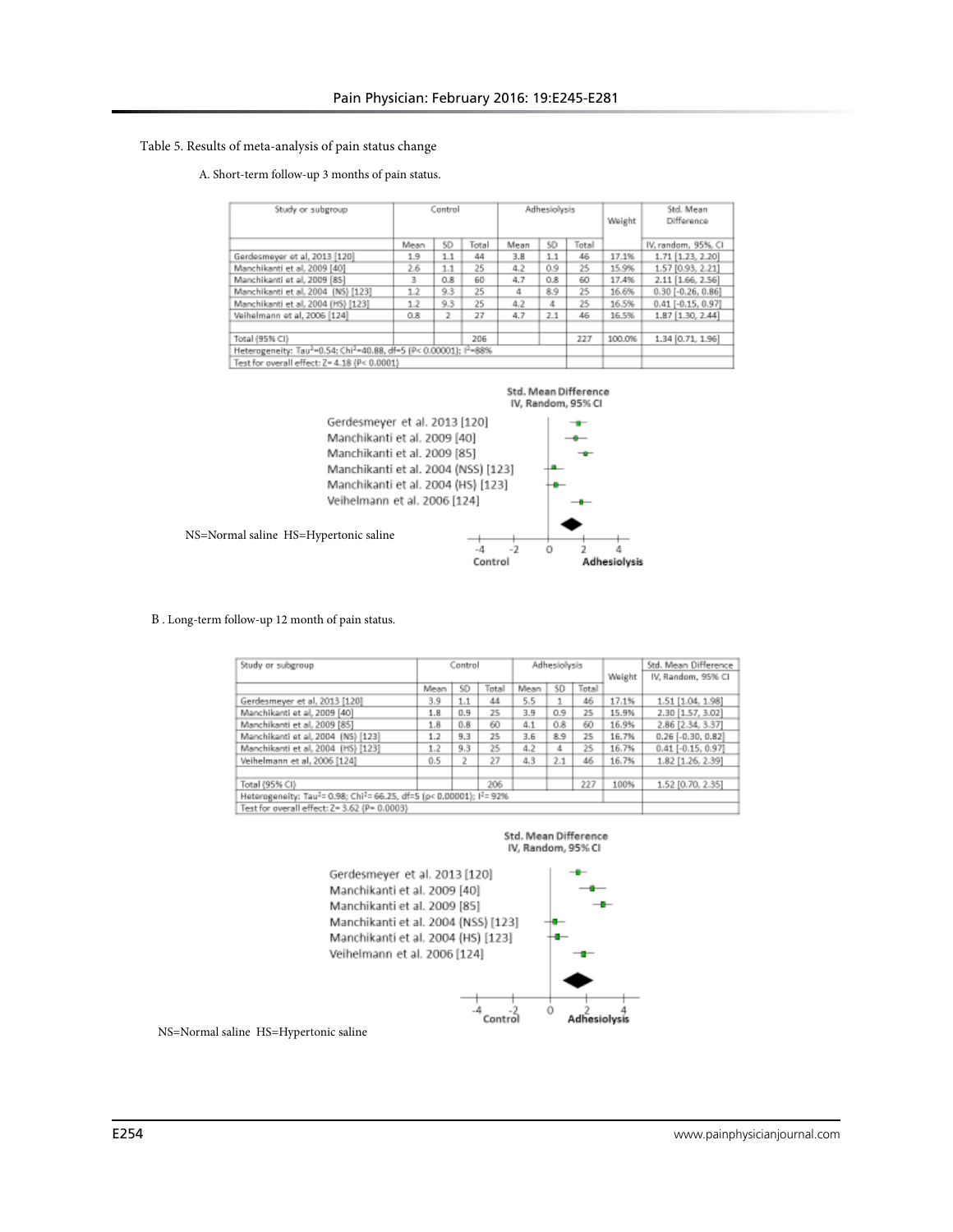#### Table 5. Results of meta-analysis of pain status change

#### A. Short-term follow-up 3 months of pain status.

| Study or subgroup                                               |      | Control |       |      | Adhesiolysis |       |        | Std. Mean<br>Difference |
|-----------------------------------------------------------------|------|---------|-------|------|--------------|-------|--------|-------------------------|
|                                                                 | Mean | SD      | Total | Mean | SD           | Total |        | IV, random, 95%, CI     |
| Gerdesmeyer et al, 2013 [120]                                   | 1.9  | 1.1     | 44    | 3.8  | 1.1          | 46    | 17.1%  | 1.71 [1.23, 2.20]       |
| Manchikanti et al. 2009 [40]                                    | 2.6  | 1.1     | 25    | 4.2  | 0.9          | 25    | 15.9%  | 1.57 [0.93, 2.21]       |
| Manchikanti et al, 2009 [85]                                    | 3    | 0.8     | 60    | 4.7  | 0.8          | 60    | 17.4%  | 2.11 [1.66, 2.56]       |
| Manchikanti et al. 2004 (NS) [123]                              | 1.2  | 9.3     | 25    |      | 8.9          | 25    | 16.6%  | $0.30$ [-0.26, 0.86]    |
| Manchikanti et al. 2004 (HS) [123]                              | 12   | 9.3     | 25    | 4.2  | 4            | 25    | 16.5%  | $0.41$ [-0.15, 0.97]    |
| Veihelmann et al, 2006 [124]                                    | 0.8  | 2       | 27    | 4.7  | 2.1          | 46    | 16.5%  | 1.87 [1.30, 2.44]       |
| Total (95% CI)                                                  |      |         | 206   |      |              | 227   | 100.0% | 1.34 [0.71, 1.96]       |
| Heterogeneity: Tau2-0.54; Chi2-40.88, df-5 (P< 0.00001); I2-88% |      |         |       |      |              |       |        |                         |
| Test for overall effect: Z= 4.18 (P< 0.0001)                    |      |         |       |      |              |       |        |                         |



B . Long-term follow-up 12 month of pain status.

| Study or subgroup                                                                                         | Control |     |                               | Adhesiolysis |     |     | Weight | Std. Mean Difference<br>IV, Random, 95% CI |
|-----------------------------------------------------------------------------------------------------------|---------|-----|-------------------------------|--------------|-----|-----|--------|--------------------------------------------|
|                                                                                                           | Mean    | SD  | Total<br>Total<br>SD.<br>Mean |              |     |     |        |                                            |
| Gerdesmeyer et al, 2013 [120]                                                                             | 3.9     | 1.1 | 44                            | 5.5          |     | 46  | 17.1%  | 1.51 [1.04, 1.98]                          |
| Manchikanti et al, 2009 [40]                                                                              | 1.8     | 0.9 | 25                            | 3.9          | 0.9 | 25  | 15.9%  | 2.30 [1.57, 3.02]                          |
| Manchikanti et al. 2009 [85]                                                                              | 1.8     | 0.8 | 60                            | 4.1          | 0.8 | 60  | 16.9%  | 2.86 [2.34, 3.37]                          |
| Manchikanti et al. 2004 (NS) [123]                                                                        | 1.2     | 9.3 | 25                            | 3.6          | 8.9 | 25  | 16.7%  | $0.26$ [-0.30, 0.82]                       |
| Manchikanti et al. 2004 (HS) [123]                                                                        | 1.2     | 9,3 | 25                            | 4.2          | 4   | 25  | 16.7%  | $0.41$ [-0.15, 0.97]                       |
| Veihelmann et al. 2006 [124]                                                                              | 0.5     | 2   | 27                            | 4.3          | 2.1 | 46  | 16.7%  | 1.82 [1.26, 2.39]                          |
| Total (95% CI)                                                                                            |         |     | 206                           |              |     | 227 | 100%   | 1.52 [0.70, 2.35]                          |
| Heterogeneity: Tau <sup>2</sup> = 0.98; Chi <sup>2</sup> = 66.25, df=5 (p< 0.00001); l <sup>2</sup> = 92% |         |     |                               |              |     |     |        |                                            |
| Test for overall effect: Z= 3.62 (P= 0.0003)                                                              |         |     |                               |              |     |     |        |                                            |





NS=Normal saline HS=Hypertonic saline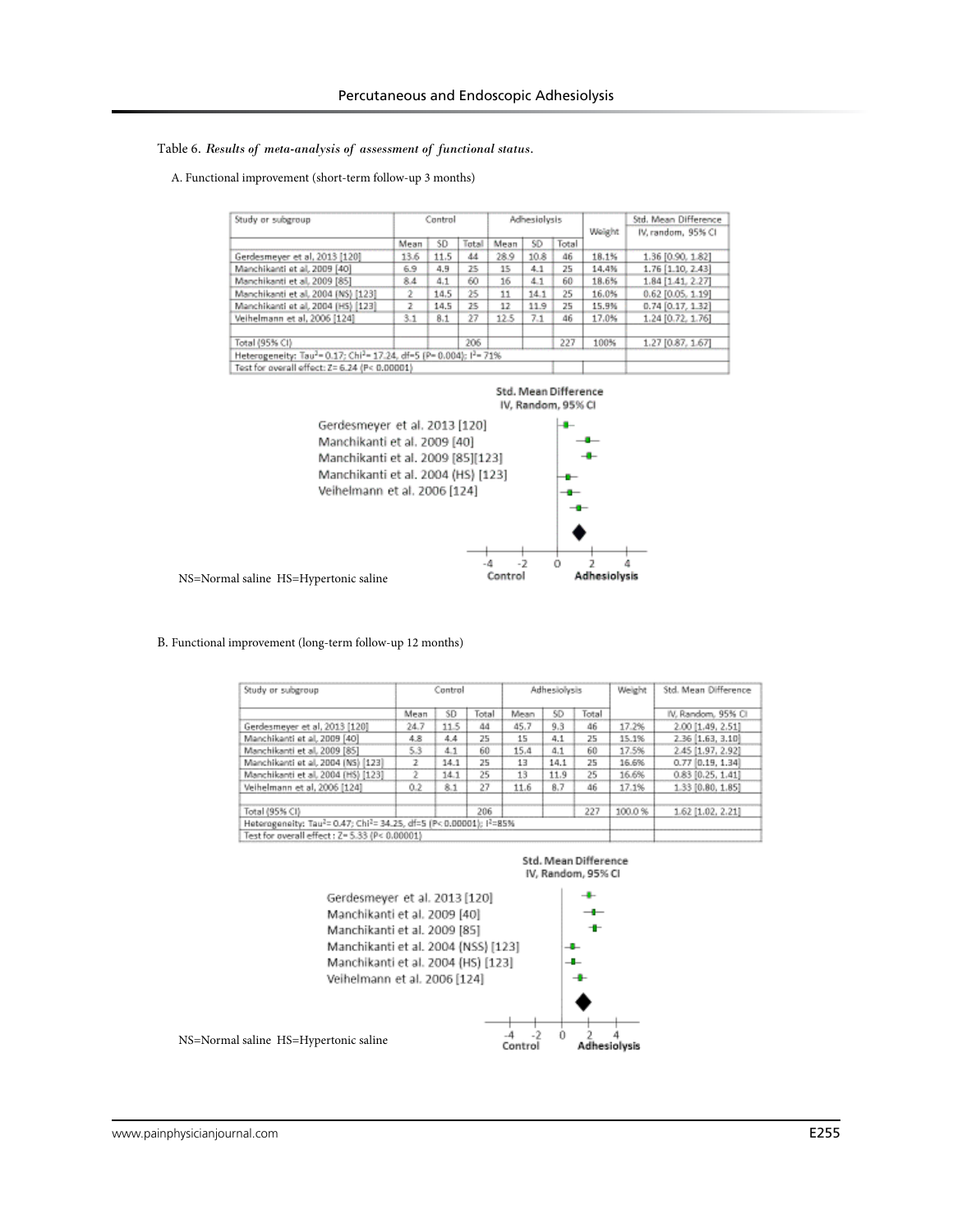#### Table 6*. Results of meta-analysis of assessment of functional status.*

#### A. Functional improvement (short-term follow-up 3 months)

| Study or subgroup                                                                                       | Control |      |       | Adhesiolysis |      |       | Weight | Std. Mean Difference<br>IV, random, 95% CI |  |
|---------------------------------------------------------------------------------------------------------|---------|------|-------|--------------|------|-------|--------|--------------------------------------------|--|
|                                                                                                         | Mean    | SD.  | Total | Mean         | SD   | Total |        |                                            |  |
| Gerdesmeyer et al. 2013 [120]                                                                           | 13.6    | 11.5 | 44    | 28.9         | 10.8 | 46    | 18.1%  | 1.36 [0.90, 1.82]                          |  |
| Manchikanti et al. 2009 [40]                                                                            | 6.9     | 4.9  | 25    | 15           | 4.1  | 25    | 14.4%  | 1.76 [1.10, 2.43]                          |  |
| Manchikanti et al. 2009 [85]                                                                            | 8.4     | 4.1  | 60    | 16           | 4.1  | 60    | 18.6%  | 1.84 [1.41, 2.27]                          |  |
| Manchikanti et al. 2004 (NS) [123]                                                                      | 2       | 14.5 | 25    | 11           | 14.1 | 25    | 16.0%  | 0.62 [0.05, 1.19]                          |  |
| Manchikanti et al, 2004 (HS) [123]                                                                      | 2       | 14.5 | 25    | 12           | 11.9 | 25    | 15.9%  | $0.74$ [0.17, 1.32]                        |  |
| Veihelmann et al. 2006 [124]                                                                            | 3.1     | 8.1  | 27    | 12.5         | 7.1  | 46    | 17.0%  | 1.24 [0.72, 1.76]                          |  |
| Total (95% CI)                                                                                          |         |      | 206   |              |      | 227   | 100%   | 1.27 [0.87, 1.67]                          |  |
| Heterogeneity: Tau <sup>2</sup> = 0.17; Chi <sup>2</sup> = 17.24, df=5 (P= 0.004); l <sup>2</sup> = 71% |         |      |       |              |      |       |        |                                            |  |
| Test for overall effect: Z= 6.24 (P< 0.00001)                                                           |         |      |       |              |      |       |        |                                            |  |





#### B. Functional improvement (long-term follow-up 12 months)

| Study or subgroup                                                  | Control |      |       | Adhesiolysis |      |       | Weight | Std. Mean Difference |  |  |
|--------------------------------------------------------------------|---------|------|-------|--------------|------|-------|--------|----------------------|--|--|
|                                                                    | Mean    | SD.  | Total | Mean         | SD   | Total |        | IV, Random, 95% CI   |  |  |
| Gerdesmeyer et al, 2013 [120]                                      | 24.7    | 11.5 | 44    | 45.7         | 9,3  | 46    | 17.2%  | 2.00 [1.49, 2.51]    |  |  |
| Manchikanti et al, 2009 [40]                                       | 4.8     | 4.4  | 25    | 15           | 4.1  | 25    | 15.1%  | 2.36 [1.63, 3.10]    |  |  |
| Manchikanti et al. 2009 [85]                                       | 5.3     | 4.1  | 60    | 15.4         | 4.1  | 60    | 17.5%  | 2.45 [1.97, 2.92]    |  |  |
| Manchikanti et al. 2004 (NS) [123]                                 | 2       | 14.1 | 25    | 13           | 14.1 | 25    | 16.6%  | $0.77$ [0.19, 1.34]  |  |  |
| Manchikanti et al. 2004 (HS) [123]                                 |         | 14.1 | 25    | 13           | 11.9 | 25    | 16.6%  | $0.83$ [0.25, 1.41]  |  |  |
| Veihelmann et al. 2006 [124]                                       | 0.2     | 8.1  | 27    | 11.6         | 8.7  | 46    | 17.1%  | 1.33 [0.80, 1.85]    |  |  |
| Total (95% CI)                                                     |         |      | 206   |              |      | 227   | 100.0% | 1.62 [1.02, 2.21]    |  |  |
| Heterogeneity: Tau2= 0.47; Chi2= 34.25, df=5 (P< 0.00001); (2=85%) |         |      |       |              |      |       |        |                      |  |  |
| Test for overall effect: Z= 5.33 (P< 0.00001)                      |         |      |       |              |      |       |        |                      |  |  |

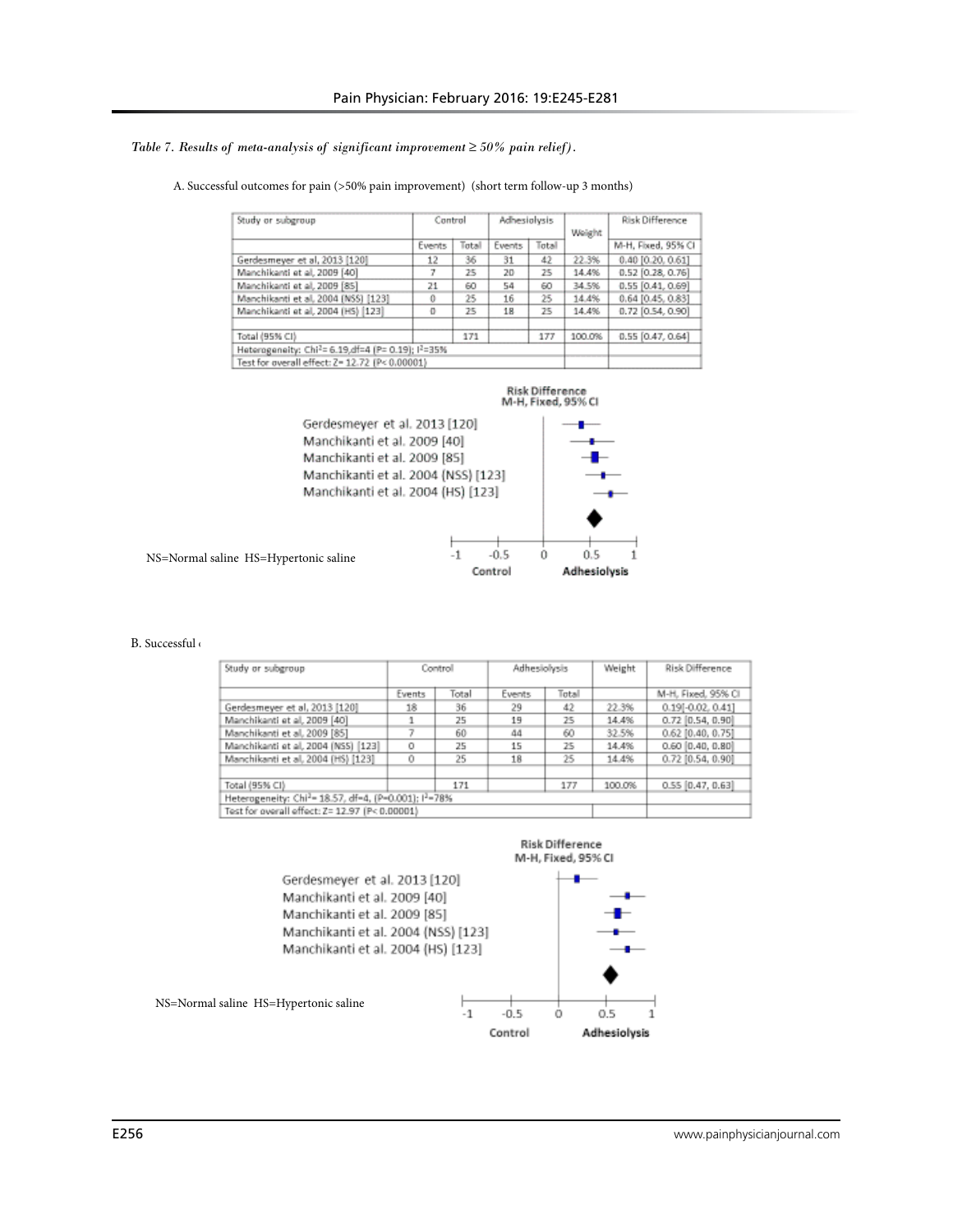#### *Table 7. Results of meta-analysis of significant improvement ≥ 50% pain relief).*

| Study or subgroup                                |        | Control |        | Adhesiolysis |        | Risk Difference       |
|--------------------------------------------------|--------|---------|--------|--------------|--------|-----------------------|
|                                                  | Events | Total   | Events | Total        | Weight | M-H, Fixed, 95% CI    |
| Gerdesmeyer et al, 2013 [120]                    | 12     | 36      | 31     | 42           | 22.3%  | 0.40 [0.20, 0.61]     |
| Manchikanti et al, 2009 [40]                     |        | 25      | 20     | 25           | 14.4%  | $0.52$ [0.28, 0.76]   |
| Manchikanti et al, 2009 [85]                     | 21     | 60      | 54     | 60           | 34.5%  | $0.55$ $[0.41, 0.69]$ |
| Manchikanti et al. 2004 (NSS) [123]              |        | 25      | 16     | 25           | 14.4%  | 0.64 [0.45, 0.83]     |
| Manchikanti et al. 2004 (HS) [123]               | o      | 25      | 18     | 25           | 14.4%  | $0.72$ [0.54, 0.90]   |
| Total (95% CI)                                   |        | 171     |        | 177          | 100.0% | $0.55$ [0.47, 0.64]   |
| Heterogeneity: Chi2= 6.19,df=4 (P= 0.19); 12=35% |        |         |        |              |        |                       |
| Test for overall effect: Z= 12.72 (P< 0.00001)   |        |         |        |              |        |                       |

#### A. Successful outcomes for pain (>50% pain improvement) (short term follow-up 3 months)



B. Successful

| Study or subgroup                                                             |        | Controll | Adhesiolysis |       | Weight | <b>Risk Difference</b> |
|-------------------------------------------------------------------------------|--------|----------|--------------|-------|--------|------------------------|
|                                                                               | Events | Total    | Events       | Total |        | M-H, Fixed, 95% CI     |
| Gerdesmeyer et al, 2013 [120]                                                 | 18     | 36       | 29           | 42    | 22.3%  | 0.19[-0.02, 0.41]      |
| Manchikanti et al, 2009 [40]                                                  |        | 25       | 19           | 25    | 14.4%  | $0.72$ [0.54, 0.90]    |
| Manchikanti et al. 2009 [85]                                                  |        | 60       | 44           | 60    | 32.5%  | $0.62$ [0.40, 0.75]    |
| Manchikanti et al. 2004 (NSS) [123]                                           | 0      | 25       | 15           | 25    | 14.4%  | $0.60$ $[0.40, 0.80]$  |
| Manchikanti et al. 2004 (HS) [123]                                            | O      | 25       | 18           | 25    | 14.4%  | $0.72$ [0.54, 0.90]    |
| Total (95% CI)                                                                |        | 171      |              | 177   | 100.0% | $0.55$ [0.47, 0.63]    |
| Heterogeneity: Chi <sup>2</sup> = 18.57, df=4, (P-0.001); l <sup>2</sup> =78% |        |          |              |       |        |                        |
| Test for overall effect: Z= 12.97 (P< 0.00001)                                |        |          |              |       |        |                        |



Control

Adhesiolysis

NS=Normal saline HS=Hypertonic saline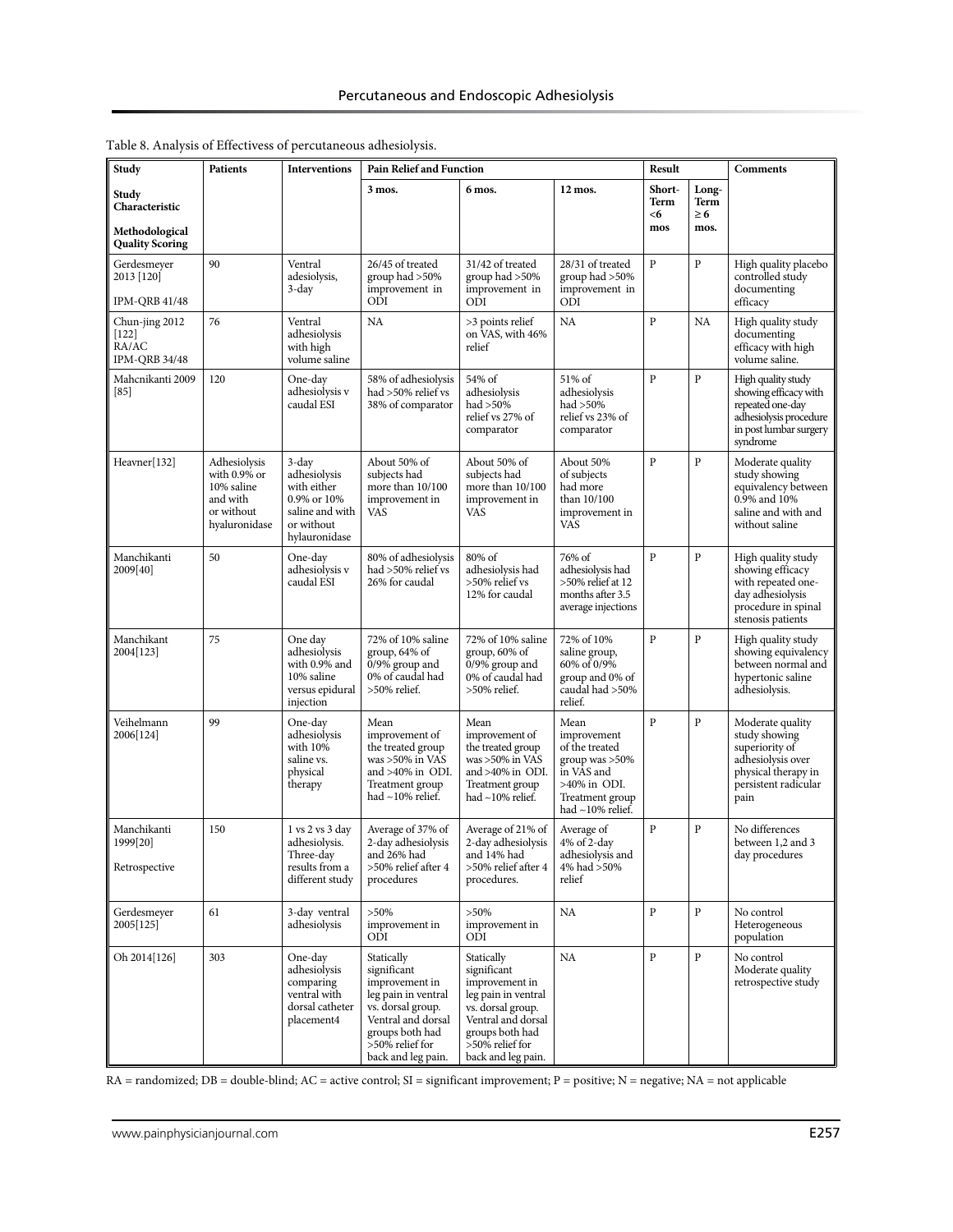| Study                                                               | <b>Patients</b>                                                                       | <b>Interventions</b>                                                                                     | <b>Pain Relief and Function</b>                                                                                                                                           |                                                                                                                                                                           |                                                                                                                                    | Result                      |                                   | Comments                                                                                                                        |
|---------------------------------------------------------------------|---------------------------------------------------------------------------------------|----------------------------------------------------------------------------------------------------------|---------------------------------------------------------------------------------------------------------------------------------------------------------------------------|---------------------------------------------------------------------------------------------------------------------------------------------------------------------------|------------------------------------------------------------------------------------------------------------------------------------|-----------------------------|-----------------------------------|---------------------------------------------------------------------------------------------------------------------------------|
| Study<br>Characteristic<br>Methodological<br><b>Quality Scoring</b> |                                                                                       |                                                                                                          | 3 mos.                                                                                                                                                                    | 6 mos.                                                                                                                                                                    | 12 mos.                                                                                                                            | Short-<br>Term<br><6<br>mos | Long-<br>Term<br>$\geq 6$<br>mos. |                                                                                                                                 |
| Gerdesmeyer<br>2013 [120]<br>IPM-QRB 41/48                          | 90                                                                                    | Ventral<br>adesiolysis,<br>3-day                                                                         | 26/45 of treated<br>group had >50%<br>improvement in<br>ODI                                                                                                               | 31/42 of treated<br>group had >50%<br>improvement in<br>ODI                                                                                                               | 28/31 of treated<br>group had >50%<br>improvement in<br>ODI                                                                        | P                           | $\overline{P}$                    | High quality placebo<br>controlled study<br>documenting<br>efficacy                                                             |
| Chun-jing 2012<br>$[122]$<br>RA/AC<br><b>IPM-ORB 34/48</b>          | 76                                                                                    | Ventral<br>adhesiolysis<br>with high<br>volume saline                                                    | NA                                                                                                                                                                        | >3 points relief<br>on VAS, with 46%<br>relief                                                                                                                            | <b>NA</b>                                                                                                                          | $\overline{P}$              | NA                                | High quality study<br>documenting<br>efficacy with high<br>volume saline.                                                       |
| Mahcnikanti 2009<br>$[85]$                                          | 120                                                                                   | One-day<br>adhesiolysis v<br>caudal ESI                                                                  | 58% of adhesiolysis<br>had >50% relief vs<br>38% of comparator                                                                                                            | 54% of<br>adhesiolysis<br>had >50%<br>relief vs 27% of<br>comparator                                                                                                      | 51% of<br>adhesiolysis<br>had $>50\%$<br>relief vs 23% of<br>comparator                                                            | $\overline{P}$              | $\overline{P}$                    | High quality study<br>showing efficacy with<br>repeated one-day<br>adhesiolysis procedure<br>in post lumbar surgery<br>syndrome |
| Heavner[132]                                                        | Adhesiolysis<br>with 0.9% or<br>10% saline<br>and with<br>or without<br>hyaluronidase | $3$ -day<br>adhesiolysis<br>with either<br>0.9% or 10%<br>saline and with<br>or without<br>hylauronidase | About 50% of<br>subjects had<br>more than 10/100<br>improvement in<br><b>VAS</b>                                                                                          | About 50% of<br>subjects had<br>more than 10/100<br>improvement in<br>VAS                                                                                                 | About 50%<br>of subjects<br>had more<br>than 10/100<br>improvement in<br><b>VAS</b>                                                | $\overline{P}$              | $\overline{P}$                    | Moderate quality<br>study showing<br>equivalency between<br>$0.9\%$ and $10\%$<br>saline and with and<br>without saline         |
| Manchikanti<br>2009[40]                                             | 50                                                                                    | One-day<br>adhesiolysis v<br>caudal ESI                                                                  | 80% of adhesiolysis<br>had >50% relief vs<br>26% for caudal                                                                                                               | 80% of<br>adhesiolysis had<br>>50% relief vs<br>12% for caudal                                                                                                            | 76% of<br>adhesiolysis had<br>>50% relief at 12<br>months after 3.5<br>average injections                                          | P                           | P                                 | High quality study<br>showing efficacy<br>with repeated one-<br>day adhesiolysis<br>procedure in spinal<br>stenosis patients    |
| Manchikant<br>2004[123]                                             | 75                                                                                    | One day<br>adhesiolysis<br>with 0.9% and<br>10% saline<br>versus epidural<br>injection                   | 72% of 10% saline<br>group, $64\%$ of<br>$0/9\%$ group and<br>0% of caudal had<br>>50% relief.                                                                            | 72% of 10% saline<br>$group, 60\%$ of<br>$0/9\%$ group and<br>0% of caudal had<br>>50% relief.                                                                            | 72% of 10%<br>saline group,<br>60% of 0/9%<br>group and 0% of<br>caudal had >50%<br>relief.                                        | $\overline{P}$              | $\overline{P}$                    | High quality study<br>showing equivalency<br>between normal and<br>hypertonic saline<br>adhesiolysis.                           |
| Veihelmann<br>2006[124]                                             | 99                                                                                    | One-day<br>adhesiolysis<br>with 10%<br>saline vs.<br>physical<br>therapy                                 | Mean<br>improvement of<br>the treated group<br>was $>50\%$ in VAS<br>and >40% in ODI.<br>Treatment group<br>had $\sim$ 10% relief.                                        | Mean<br>improvement of<br>the treated group<br>was >50% in VAS<br>and >40% in ODI.<br>Treatment group<br>had ~10% relief.                                                 | Mean<br>improvement<br>of the treated<br>group was $>50\%$<br>in VAS and<br>$>40\%$ in ODI.<br>Treatment group<br>had ~10% relief. | P                           | $\overline{P}$                    | Moderate quality<br>study showing<br>superiority of<br>adhesiolysis over<br>physical therapy in<br>persistent radicular<br>pain |
| Manchikanti<br>1999[20]<br>Retrospective                            | 150                                                                                   | 1 vs 2 vs 3 day<br>adhesiolysis.<br>Three-day<br>results from a<br>different study                       | Average of 37% of<br>2-day adhesiolysis<br>and 26% had<br>>50% relief after 4<br>procedures                                                                               | Average of 21% of<br>2-day adhesiolysis<br>and 14% had<br>>50% relief after 4<br>procedures.                                                                              | Average of<br>4% of 2-day<br>adhesiolysis and<br>4% had >50%<br>relief                                                             | P                           | $\mathbf{P}$                      | No differences<br>between 1,2 and 3<br>day procedures                                                                           |
| Gerdesmeyer<br>2005[125]                                            | 61                                                                                    | 3-day ventral<br>adhesiolysis                                                                            | $>50\%$<br>improvement in<br>ODI                                                                                                                                          | $>50\%$<br>improvement in<br>ODI                                                                                                                                          | NA                                                                                                                                 | P                           | $\, {\bf p}$                      | No control<br>Heterogeneous<br>population                                                                                       |
| Oh 2014[126]                                                        | 303                                                                                   | One-day<br>adhesiolysis<br>comparing<br>ventral with<br>dorsal catheter<br>placement4                    | Statically<br>significant<br>improvement in<br>leg pain in ventral<br>vs. dorsal group.<br>Ventral and dorsal<br>groups both had<br>>50% relief for<br>back and leg pain. | Statically<br>significant<br>improvement in<br>leg pain in ventral<br>vs. dorsal group.<br>Ventral and dorsal<br>groups both had<br>>50% relief for<br>back and leg pain. | NA                                                                                                                                 | ${\bf P}$                   | ${\bf P}$                         | No control<br>Moderate quality<br>retrospective study                                                                           |

Table 8. Analysis of Effectivess of percutaneous adhesiolysis.

 $\emph{RA}$  = randomized;  $\emph{DB}$  = double-blind; AC = active control; SI = significant improvement; P = positive; N = negative; NA = not applicable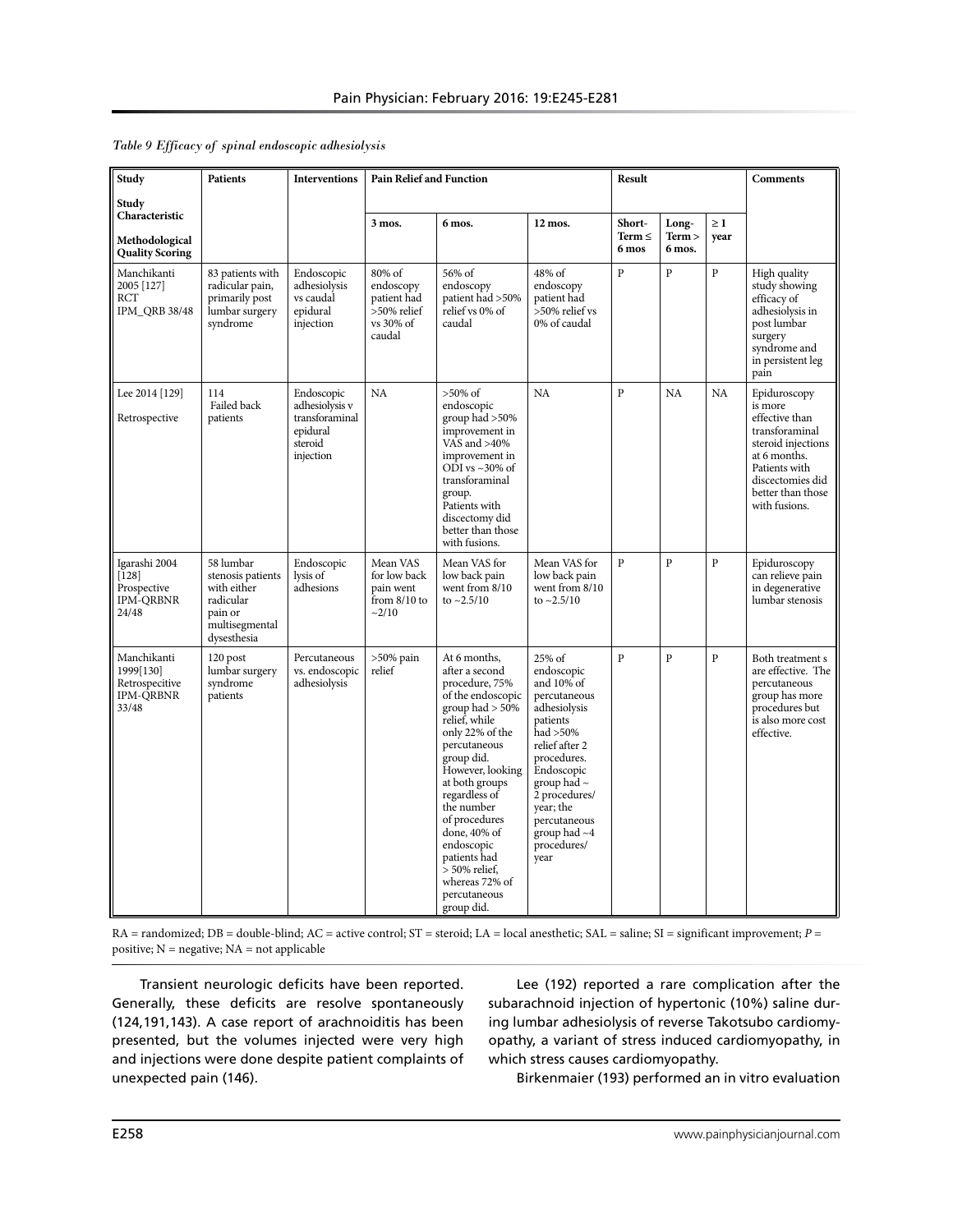| Study                                                                   | <b>Patients</b>                                                                                        | <b>Interventions</b>                                                               | <b>Pain Relief and Function</b>                                          |                                                                                                                                                                                                                                                                                                                                                                       |                                                                                                                                                                                                                                                       | <b>Result</b>                  |                           |                  | Comments                                                                                                                                                                     |
|-------------------------------------------------------------------------|--------------------------------------------------------------------------------------------------------|------------------------------------------------------------------------------------|--------------------------------------------------------------------------|-----------------------------------------------------------------------------------------------------------------------------------------------------------------------------------------------------------------------------------------------------------------------------------------------------------------------------------------------------------------------|-------------------------------------------------------------------------------------------------------------------------------------------------------------------------------------------------------------------------------------------------------|--------------------------------|---------------------------|------------------|------------------------------------------------------------------------------------------------------------------------------------------------------------------------------|
| Study<br>Characteristic                                                 |                                                                                                        |                                                                                    |                                                                          |                                                                                                                                                                                                                                                                                                                                                                       |                                                                                                                                                                                                                                                       |                                |                           |                  |                                                                                                                                                                              |
| Methodological<br><b>Quality Scoring</b>                                |                                                                                                        |                                                                                    | 3 mos.                                                                   | 6 mos.                                                                                                                                                                                                                                                                                                                                                                | 12 mos.                                                                                                                                                                                                                                               | Short-<br>Term $\leq$<br>6 mos | Long-<br>Term ><br>6 mos. | $\geq 1$<br>year |                                                                                                                                                                              |
| Manchikanti<br>2005 [127]<br>RCT<br><b>IPM_QRB 38/48</b>                | 83 patients with<br>radicular pain,<br>primarily post<br>lumbar surgery<br>syndrome                    | Endoscopic<br>adhesiolysis<br>vs caudal<br>epidural<br>injection                   | 80% of<br>endoscopy<br>patient had<br>>50% relief<br>vs 30% of<br>caudal | 56% of<br>endoscopy<br>patient had >50%<br>relief vs 0% of<br>caudal                                                                                                                                                                                                                                                                                                  | 48% of<br>endoscopy<br>patient had<br>>50% relief vs<br>0% of caudal                                                                                                                                                                                  | P                              | $\overline{P}$            | $\mathbf{P}$     | High quality<br>study showing<br>efficacy of<br>adhesiolysis in<br>post lumbar<br>surgery<br>syndrome and<br>in persistent leg<br>pain                                       |
| Lee 2014 [129]<br>Retrospective                                         | 114<br>Failed back<br>patients                                                                         | Endoscopic<br>adhesiolysis v<br>transforaminal<br>epidural<br>steroid<br>injection | <b>NA</b>                                                                | $>50\%$ of<br>endoscopic<br>group had >50%<br>improvement in<br>VAS and $>40\%$<br>improvement in<br>ODI vs $\sim$ 30% of<br>transforaminal<br>group.<br>Patients with<br>discectomy did<br>better than those<br>with fusions.                                                                                                                                        | <b>NA</b>                                                                                                                                                                                                                                             | $\overline{P}$                 | <b>NA</b>                 | NA               | Epiduroscopy<br>is more<br>effective than<br>transforaminal<br>steroid injections<br>at 6 months.<br>Patients with<br>discectomies did<br>better than those<br>with fusions. |
| Igarashi 2004<br>$[128]$<br>Prospective<br>IPM-QRBNR<br>24/48           | 58 lumbar<br>stenosis patients<br>with either<br>radicular<br>pain or<br>multisegmental<br>dysesthesia | Endoscopic<br>lysis of<br>adhesions                                                | Mean VAS<br>for low back<br>pain went<br>from $8/10$ to<br>~2/10         | Mean VAS for<br>low back pain<br>went from 8/10<br>to $\sim$ 2.5/10                                                                                                                                                                                                                                                                                                   | Mean VAS for<br>low back pain<br>went from 8/10<br>to $\sim$ 2.5/10                                                                                                                                                                                   | P                              | P                         | $\mathbf{p}$     | Epiduroscopy<br>can relieve pain<br>in degenerative<br>lumbar stenosis                                                                                                       |
| Manchikanti<br>1999[130]<br>Retrospecitive<br><b>IPM-QRBNR</b><br>33/48 | 120 post<br>lumbar surgery<br>syndrome<br>patients                                                     | Percutaneous<br>vs. endoscopic<br>adhesiolysis                                     | $>50\%$ pain<br>relief                                                   | At 6 months,<br>after a second<br>procedure, 75%<br>of the endoscopic<br>group had $> 50\%$<br>relief, while<br>only 22% of the<br>percutaneous<br>group did.<br>However, looking<br>at both groups<br>regardless of<br>the number<br>of procedures<br>done, 40% of<br>endoscopic<br>patients had<br>$> 50\%$ relief,<br>whereas 72% of<br>percutaneous<br>group did. | 25% of<br>endoscopic<br>and 10% of<br>percutaneous<br>adhesiolysis<br>patients<br>had > 50%<br>relief after 2<br>procedures.<br>Endoscopic<br>group had $\sim$<br>2 procedures/<br>vear; the<br>percutaneous<br>group had $~1$<br>procedures/<br>year | $\overline{P}$                 | $\overline{P}$            | $\mathbf{P}$     | Both treatment s<br>are effective. The<br>percutaneous<br>group has more<br>procedures but<br>is also more cost<br>effective.                                                |

RA = randomized; DB = double-blind; AC = active control; ST = steroid; LA = local anesthetic; SAL = saline; SI = significant improvement; *P* = positive; N = negative; NA = not applicable

Transient neurologic deficits have been reported. Generally, these deficits are resolve spontaneously (124,191,143). A case report of arachnoiditis has been presented, but the volumes injected were very high and injections were done despite patient complaints of unexpected pain (146).

Lee (192) reported a rare complication after the subarachnoid injection of hypertonic (10%) saline during lumbar adhesiolysis of reverse Takotsubo cardiomyopathy, a variant of stress induced cardiomyopathy, in which stress causes cardiomyopathy.

Birkenmaier (193) performed an in vitro evaluation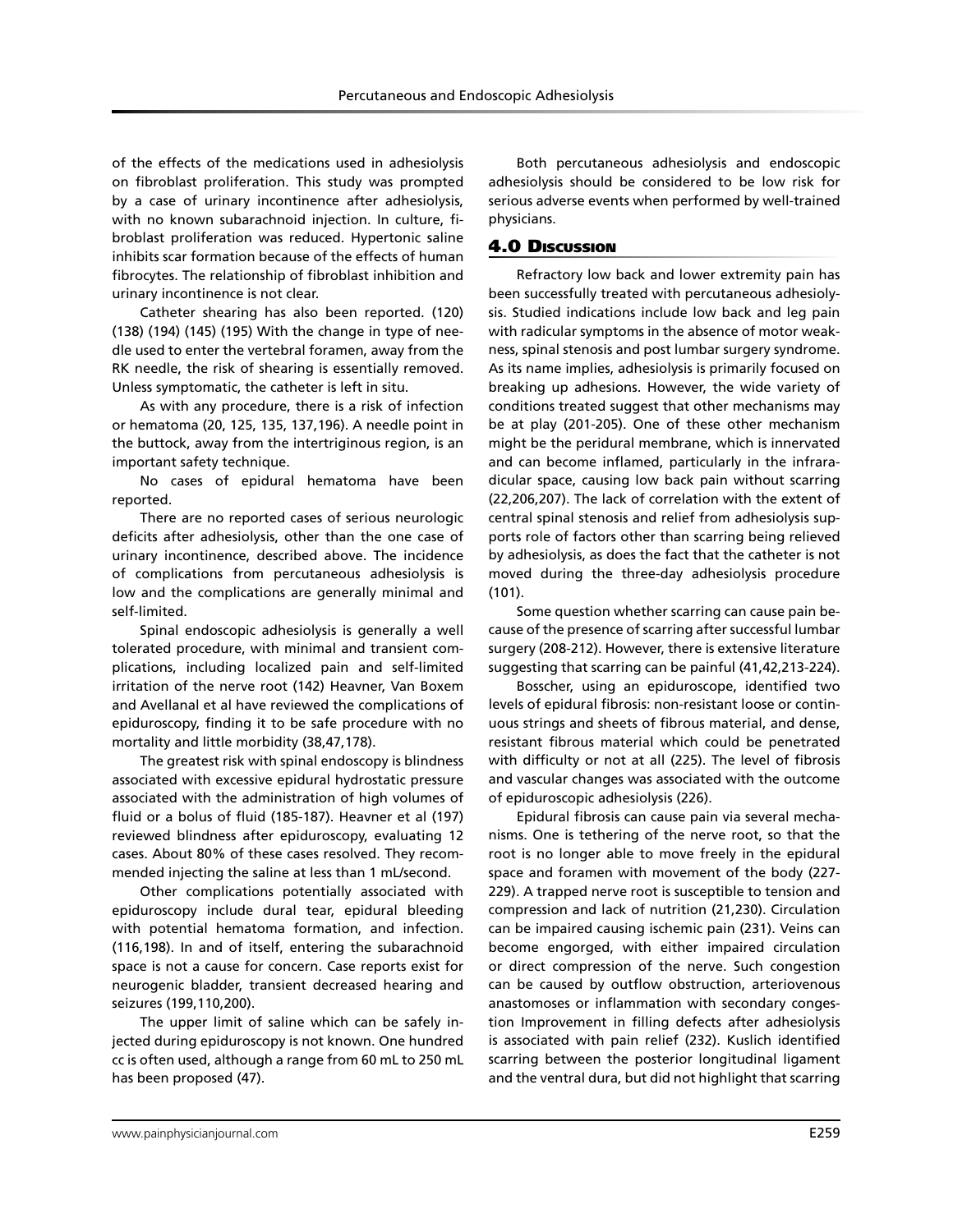of the effects of the medications used in adhesiolysis on fibroblast proliferation. This study was prompted by a case of urinary incontinence after adhesiolysis, with no known subarachnoid injection. In culture, fibroblast proliferation was reduced. Hypertonic saline inhibits scar formation because of the effects of human fibrocytes. The relationship of fibroblast inhibition and urinary incontinence is not clear.

Catheter shearing has also been reported. (120) (138) (194) (145) (195) With the change in type of needle used to enter the vertebral foramen, away from the RK needle, the risk of shearing is essentially removed. Unless symptomatic, the catheter is left in situ.

As with any procedure, there is a risk of infection or hematoma (20, 125, 135, 137,196). A needle point in the buttock, away from the intertriginous region, is an important safety technique.

No cases of epidural hematoma have been reported.

There are no reported cases of serious neurologic deficits after adhesiolysis, other than the one case of urinary incontinence, described above. The incidence of complications from percutaneous adhesiolysis is low and the complications are generally minimal and self-limited.

Spinal endoscopic adhesiolysis is generally a well tolerated procedure, with minimal and transient complications, including localized pain and self-limited irritation of the nerve root (142) Heavner, Van Boxem and Avellanal et al have reviewed the complications of epiduroscopy, finding it to be safe procedure with no mortality and little morbidity (38,47,178).

The greatest risk with spinal endoscopy is blindness associated with excessive epidural hydrostatic pressure associated with the administration of high volumes of fluid or a bolus of fluid (185-187). Heavner et al (197) reviewed blindness after epiduroscopy, evaluating 12 cases. About 80% of these cases resolved. They recommended injecting the saline at less than 1 mL/second.

Other complications potentially associated with epiduroscopy include dural tear, epidural bleeding with potential hematoma formation, and infection. (116,198). In and of itself, entering the subarachnoid space is not a cause for concern. Case reports exist for neurogenic bladder, transient decreased hearing and seizures (199,110,200).

The upper limit of saline which can be safely injected during epiduroscopy is not known. One hundred cc is often used, although a range from 60 mL to 250 mL has been proposed (47).

Both percutaneous adhesiolysis and endoscopic adhesiolysis should be considered to be low risk for serious adverse events when performed by well-trained physicians.

# 4.0 Discussion

Refractory low back and lower extremity pain has been successfully treated with percutaneous adhesiolysis. Studied indications include low back and leg pain with radicular symptoms in the absence of motor weakness, spinal stenosis and post lumbar surgery syndrome. As its name implies, adhesiolysis is primarily focused on breaking up adhesions. However, the wide variety of conditions treated suggest that other mechanisms may be at play (201-205). One of these other mechanism might be the peridural membrane, which is innervated and can become inflamed, particularly in the infraradicular space, causing low back pain without scarring (22,206,207). The lack of correlation with the extent of central spinal stenosis and relief from adhesiolysis supports role of factors other than scarring being relieved by adhesiolysis, as does the fact that the catheter is not moved during the three-day adhesiolysis procedure (101).

Some question whether scarring can cause pain because of the presence of scarring after successful lumbar surgery (208-212). However, there is extensive literature suggesting that scarring can be painful (41,42,213-224).

Bosscher, using an epiduroscope, identified two levels of epidural fibrosis: non-resistant loose or continuous strings and sheets of fibrous material, and dense, resistant fibrous material which could be penetrated with difficulty or not at all (225). The level of fibrosis and vascular changes was associated with the outcome of epiduroscopic adhesiolysis (226).

Epidural fibrosis can cause pain via several mechanisms. One is tethering of the nerve root, so that the root is no longer able to move freely in the epidural space and foramen with movement of the body (227- 229). A trapped nerve root is susceptible to tension and compression and lack of nutrition (21,230). Circulation can be impaired causing ischemic pain (231). Veins can become engorged, with either impaired circulation or direct compression of the nerve. Such congestion can be caused by outflow obstruction, arteriovenous anastomoses or inflammation with secondary congestion Improvement in filling defects after adhesiolysis is associated with pain relief (232). Kuslich identified scarring between the posterior longitudinal ligament and the ventral dura, but did not highlight that scarring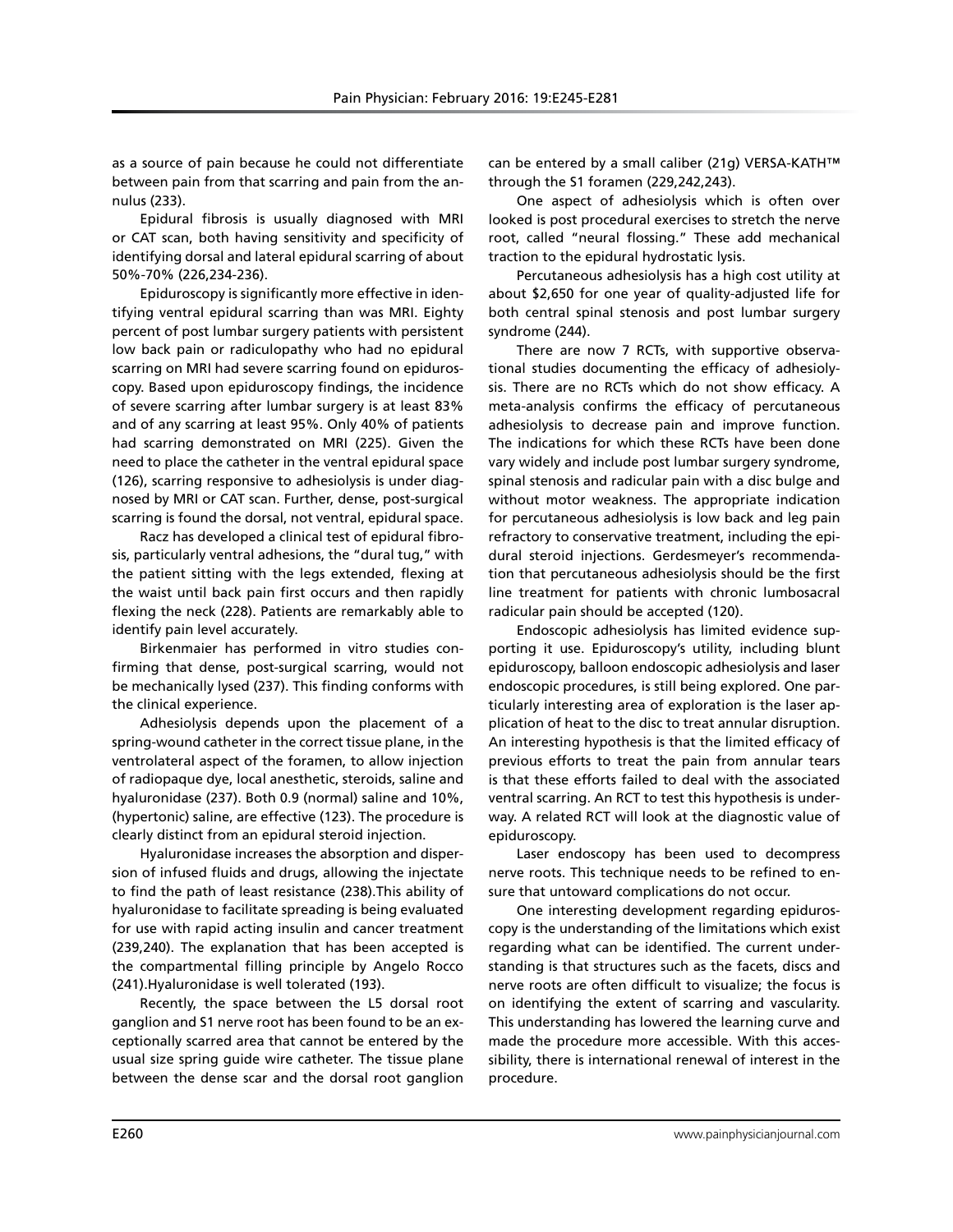as a source of pain because he could not differentiate between pain from that scarring and pain from the annulus (233).

Epidural fibrosis is usually diagnosed with MRI or CAT scan, both having sensitivity and specificity of identifying dorsal and lateral epidural scarring of about 50%-70% (226,234-236).

Epiduroscopy is significantly more effective in identifying ventral epidural scarring than was MRI. Eighty percent of post lumbar surgery patients with persistent low back pain or radiculopathy who had no epidural scarring on MRI had severe scarring found on epiduroscopy. Based upon epiduroscopy findings, the incidence of severe scarring after lumbar surgery is at least 83% and of any scarring at least 95%. Only 40% of patients had scarring demonstrated on MRI (225). Given the need to place the catheter in the ventral epidural space (126), scarring responsive to adhesiolysis is under diagnosed by MRI or CAT scan. Further, dense, post-surgical scarring is found the dorsal, not ventral, epidural space.

Racz has developed a clinical test of epidural fibrosis, particularly ventral adhesions, the "dural tug," with the patient sitting with the legs extended, flexing at the waist until back pain first occurs and then rapidly flexing the neck (228). Patients are remarkably able to identify pain level accurately.

Birkenmaier has performed in vitro studies confirming that dense, post-surgical scarring, would not be mechanically lysed (237). This finding conforms with the clinical experience.

Adhesiolysis depends upon the placement of a spring-wound catheter in the correct tissue plane, in the ventrolateral aspect of the foramen, to allow injection of radiopaque dye, local anesthetic, steroids, saline and hyaluronidase (237). Both 0.9 (normal) saline and 10%, (hypertonic) saline, are effective (123). The procedure is clearly distinct from an epidural steroid injection.

Hyaluronidase increases the absorption and dispersion of infused fluids and drugs, allowing the injectate to find the path of least resistance (238).This ability of hyaluronidase to facilitate spreading is being evaluated for use with rapid acting insulin and cancer treatment (239,240). The explanation that has been accepted is the compartmental filling principle by Angelo Rocco (241).Hyaluronidase is well tolerated (193).

Recently, the space between the L5 dorsal root ganglion and S1 nerve root has been found to be an exceptionally scarred area that cannot be entered by the usual size spring guide wire catheter. The tissue plane between the dense scar and the dorsal root ganglion

can be entered by a small caliber (21g) VERSA-KATH™ through the S1 foramen (229,242,243).

One aspect of adhesiolysis which is often over looked is post procedural exercises to stretch the nerve root, called "neural flossing." These add mechanical traction to the epidural hydrostatic lysis.

Percutaneous adhesiolysis has a high cost utility at about \$2,650 for one year of quality-adjusted life for both central spinal stenosis and post lumbar surgery syndrome (244).

There are now 7 RCTs, with supportive observational studies documenting the efficacy of adhesiolysis. There are no RCTs which do not show efficacy. A meta-analysis confirms the efficacy of percutaneous adhesiolysis to decrease pain and improve function. The indications for which these RCTs have been done vary widely and include post lumbar surgery syndrome, spinal stenosis and radicular pain with a disc bulge and without motor weakness. The appropriate indication for percutaneous adhesiolysis is low back and leg pain refractory to conservative treatment, including the epidural steroid injections. Gerdesmeyer's recommendation that percutaneous adhesiolysis should be the first line treatment for patients with chronic lumbosacral radicular pain should be accepted (120).

Endoscopic adhesiolysis has limited evidence supporting it use. Epiduroscopy's utility, including blunt epiduroscopy, balloon endoscopic adhesiolysis and laser endoscopic procedures, is still being explored. One particularly interesting area of exploration is the laser application of heat to the disc to treat annular disruption. An interesting hypothesis is that the limited efficacy of previous efforts to treat the pain from annular tears is that these efforts failed to deal with the associated ventral scarring. An RCT to test this hypothesis is underway. A related RCT will look at the diagnostic value of epiduroscopy.

Laser endoscopy has been used to decompress nerve roots. This technique needs to be refined to ensure that untoward complications do not occur.

One interesting development regarding epiduroscopy is the understanding of the limitations which exist regarding what can be identified. The current understanding is that structures such as the facets, discs and nerve roots are often difficult to visualize; the focus is on identifying the extent of scarring and vascularity. This understanding has lowered the learning curve and made the procedure more accessible. With this accessibility, there is international renewal of interest in the procedure.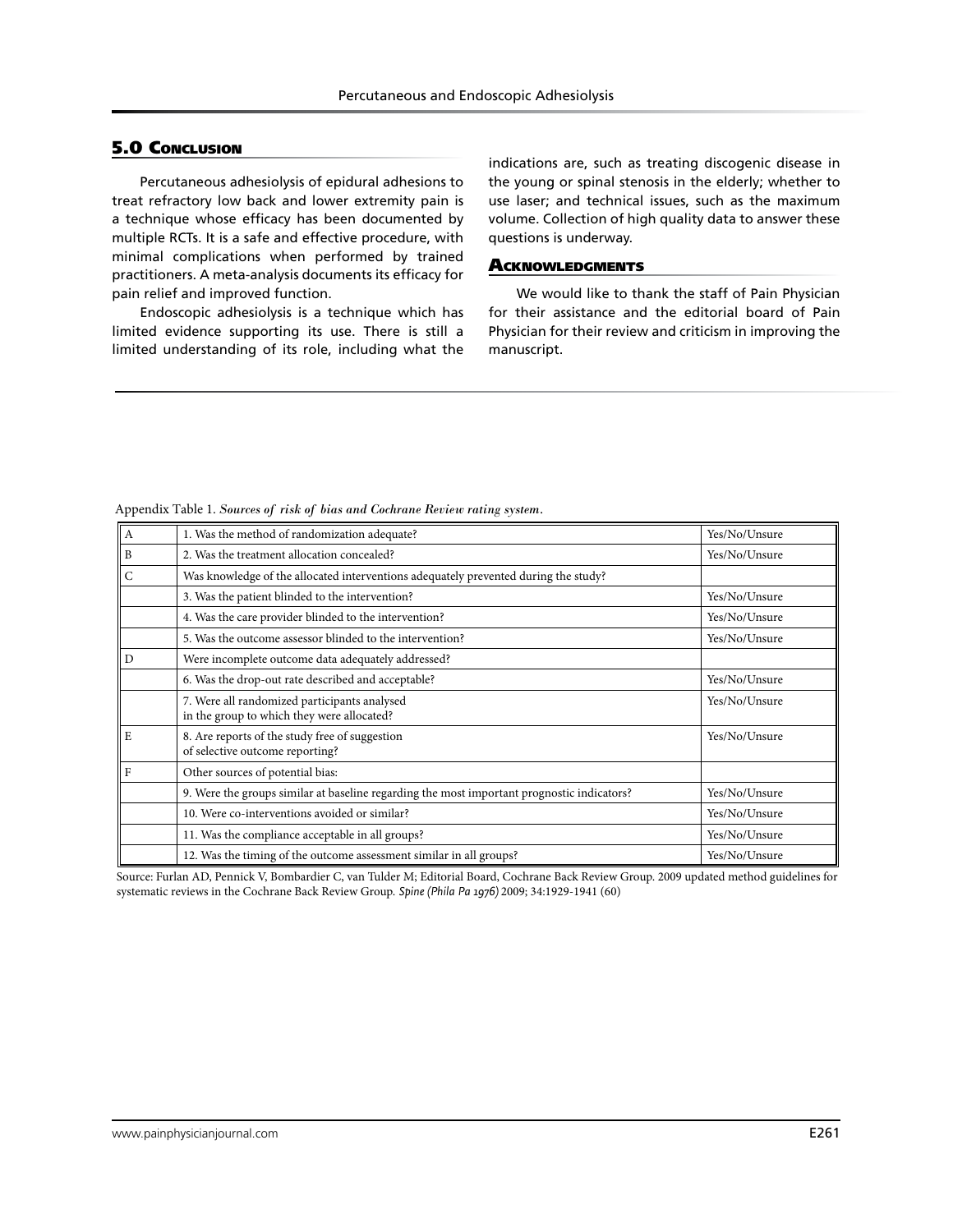# **5.0 CONCLUSION**

Percutaneous adhesiolysis of epidural adhesions to treat refractory low back and lower extremity pain is a technique whose efficacy has been documented by multiple RCTs. It is a safe and effective procedure, with minimal complications when performed by trained practitioners. A meta-analysis documents its efficacy for pain relief and improved function.

Endoscopic adhesiolysis is a technique which has limited evidence supporting its use. There is still a limited understanding of its role, including what the

indications are, such as treating discogenic disease in the young or spinal stenosis in the elderly; whether to use laser; and technical issues, such as the maximum volume. Collection of high quality data to answer these questions is underway.

#### **ACKNOWLEDGMENTS**

We would like to thank the staff of Pain Physician for their assistance and the editorial board of Pain Physician for their review and criticism in improving the manuscript.

| Α | 1. Was the method of randomization adequate?                                               | Yes/No/Unsure |
|---|--------------------------------------------------------------------------------------------|---------------|
| B | 2. Was the treatment allocation concealed?                                                 | Yes/No/Unsure |
| C | Was knowledge of the allocated interventions adequately prevented during the study?        |               |
|   | 3. Was the patient blinded to the intervention?                                            | Yes/No/Unsure |
|   | 4. Was the care provider blinded to the intervention?                                      | Yes/No/Unsure |
|   | 5. Was the outcome assessor blinded to the intervention?                                   | Yes/No/Unsure |
| D | Were incomplete outcome data adequately addressed?                                         |               |
|   | 6. Was the drop-out rate described and acceptable?                                         | Yes/No/Unsure |
|   | 7. Were all randomized participants analysed<br>in the group to which they were allocated? | Yes/No/Unsure |
| E | 8. Are reports of the study free of suggestion<br>of selective outcome reporting?          | Yes/No/Unsure |
| F | Other sources of potential bias:                                                           |               |
|   | 9. Were the groups similar at baseline regarding the most important prognostic indicators? | Yes/No/Unsure |
|   | 10. Were co-interventions avoided or similar?                                              | Yes/No/Unsure |
|   | 11. Was the compliance acceptable in all groups?                                           | Yes/No/Unsure |
|   | 12. Was the timing of the outcome assessment similar in all groups?                        | Yes/No/Unsure |

Appendix Table 1. *Sources of risk of bias and Cochrane Review rating system.*

Source: Furlan AD, Pennick V, Bombardier C, van Tulder M; Editorial Board, Cochrane Back Review Group. 2009 updated method guidelines for systematic reviews in the Cochrane Back Review Group. *Spine (Phila Pa 1976)* 2009; 34:1929-1941 (60)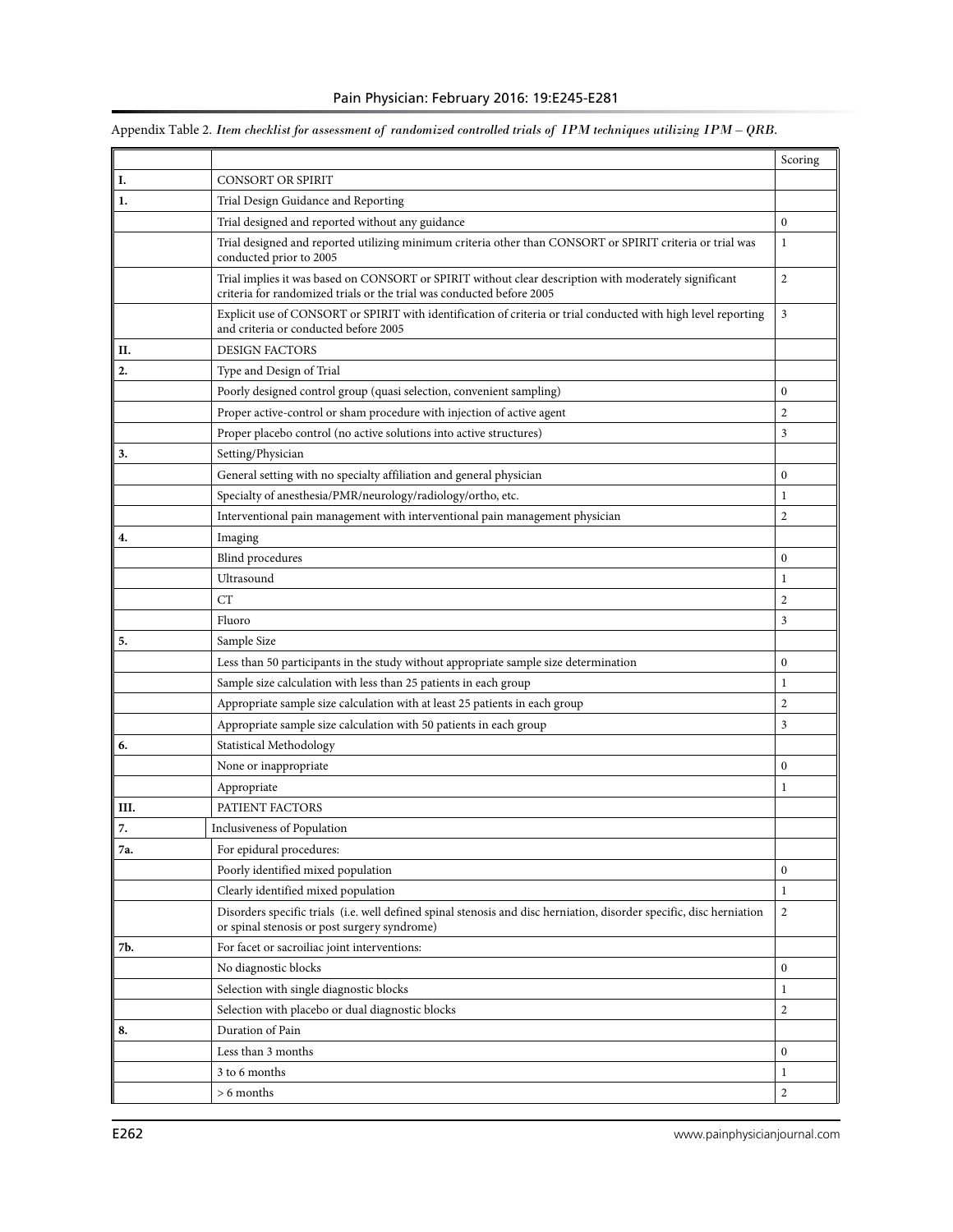|     |                                                                                                                                                                                | Scoring        |
|-----|--------------------------------------------------------------------------------------------------------------------------------------------------------------------------------|----------------|
| Ι.  | <b>CONSORT OR SPIRIT</b>                                                                                                                                                       |                |
| 1.  | Trial Design Guidance and Reporting                                                                                                                                            |                |
|     | Trial designed and reported without any guidance                                                                                                                               | $\mathbf{0}$   |
|     | Trial designed and reported utilizing minimum criteria other than CONSORT or SPIRIT criteria or trial was<br>conducted prior to 2005                                           | 1              |
|     | Trial implies it was based on CONSORT or SPIRIT without clear description with moderately significant<br>criteria for randomized trials or the trial was conducted before 2005 | $\overline{2}$ |
|     | Explicit use of CONSORT or SPIRIT with identification of criteria or trial conducted with high level reporting<br>and criteria or conducted before 2005                        | 3              |
| П.  | <b>DESIGN FACTORS</b>                                                                                                                                                          |                |
| 2.  | Type and Design of Trial                                                                                                                                                       |                |
|     | Poorly designed control group (quasi selection, convenient sampling)                                                                                                           | $\mathbf{0}$   |
|     | Proper active-control or sham procedure with injection of active agent                                                                                                         | $\overline{2}$ |
|     | Proper placebo control (no active solutions into active structures)                                                                                                            | 3              |
| 3.  | Setting/Physician                                                                                                                                                              |                |
|     | General setting with no specialty affiliation and general physician                                                                                                            | $\bf{0}$       |
|     | Specialty of anesthesia/PMR/neurology/radiology/ortho, etc.                                                                                                                    | 1              |
|     | Interventional pain management with interventional pain management physician                                                                                                   | $\overline{2}$ |
| 4.  | Imaging                                                                                                                                                                        |                |
|     | <b>Blind</b> procedures                                                                                                                                                        | $\mathbf{0}$   |
|     | Ultrasound                                                                                                                                                                     | 1              |
|     | CT                                                                                                                                                                             | $\mathfrak{2}$ |
|     | Fluoro                                                                                                                                                                         | 3              |
| 5.  | Sample Size                                                                                                                                                                    |                |
|     | Less than 50 participants in the study without appropriate sample size determination                                                                                           | $\mathbf{0}$   |
|     | Sample size calculation with less than 25 patients in each group                                                                                                               | 1              |
|     | Appropriate sample size calculation with at least 25 patients in each group                                                                                                    | $\mathfrak{2}$ |
|     | Appropriate sample size calculation with 50 patients in each group                                                                                                             | 3              |
| 6.  | Statistical Methodology                                                                                                                                                        |                |
|     | None or inappropriate                                                                                                                                                          | $\mathbf{0}$   |
|     | Appropriate                                                                                                                                                                    | 1              |
| Ш.  | PATIENT FACTORS                                                                                                                                                                |                |
| 7.  | Inclusiveness of Population                                                                                                                                                    |                |
| 7a. | For epidural procedures:                                                                                                                                                       |                |
|     | Poorly identified mixed population                                                                                                                                             | $\mathbf{0}$   |
|     | Clearly identified mixed population                                                                                                                                            | 1              |
|     | Disorders specific trials (i.e. well defined spinal stenosis and disc herniation, disorder specific, disc herniation<br>or spinal stenosis or post surgery syndrome)           | 2              |
| 7b. | For facet or sacroiliac joint interventions:                                                                                                                                   |                |
|     | No diagnostic blocks                                                                                                                                                           | $\bf{0}$       |
|     | Selection with single diagnostic blocks                                                                                                                                        | 1              |
|     | Selection with placebo or dual diagnostic blocks                                                                                                                               | $\overline{c}$ |
| 8.  | Duration of Pain                                                                                                                                                               |                |
|     | Less than 3 months                                                                                                                                                             | $\bf{0}$       |
|     | 3 to 6 months                                                                                                                                                                  | 1              |
|     | $> 6$ months                                                                                                                                                                   | $\overline{c}$ |
|     |                                                                                                                                                                                |                |

# Appendix Table 2. *Item checklist for assessment of randomized controlled trials of IPM techniques utilizing IPM – QRB.*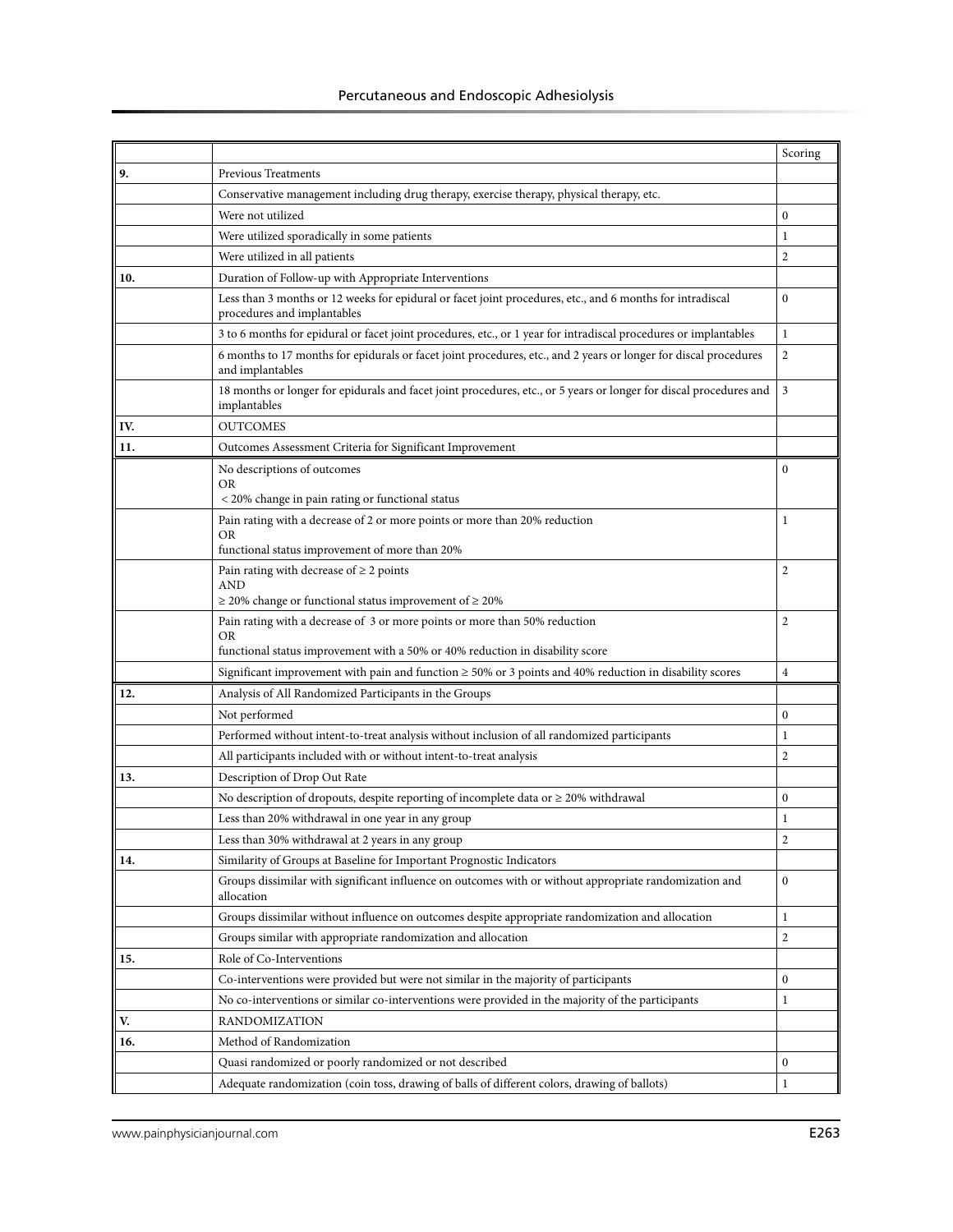|     |                                                                                                                                          | Scoring        |
|-----|------------------------------------------------------------------------------------------------------------------------------------------|----------------|
| 9.  | <b>Previous Treatments</b>                                                                                                               |                |
|     | Conservative management including drug therapy, exercise therapy, physical therapy, etc.                                                 |                |
|     | Were not utilized                                                                                                                        | 0              |
|     | Were utilized sporadically in some patients                                                                                              | 1              |
|     | Were utilized in all patients                                                                                                            | $\overline{2}$ |
| 10. | Duration of Follow-up with Appropriate Interventions                                                                                     |                |
|     | Less than 3 months or 12 weeks for epidural or facet joint procedures, etc., and 6 months for intradiscal<br>procedures and implantables | $\bf{0}$       |
|     | 3 to 6 months for epidural or facet joint procedures, etc., or 1 year for intradiscal procedures or implantables                         | 1              |
|     | 6 months to 17 months for epidurals or facet joint procedures, etc., and 2 years or longer for discal procedures<br>and implantables     | $\mathfrak{2}$ |
|     | 18 months or longer for epidurals and facet joint procedures, etc., or 5 years or longer for discal procedures and<br>implantables       | 3              |
| IV. | <b>OUTCOMES</b>                                                                                                                          |                |
| 11. | Outcomes Assessment Criteria for Significant Improvement                                                                                 |                |
|     | No descriptions of outcomes                                                                                                              | $\mathbf{0}$   |
|     | OR<br>< 20% change in pain rating or functional status                                                                                   |                |
|     | Pain rating with a decrease of 2 or more points or more than 20% reduction                                                               | 1              |
|     | OR                                                                                                                                       |                |
|     | functional status improvement of more than 20%                                                                                           |                |
|     | Pain rating with decrease of $\geq 2$ points<br>AND<br>$\geq$ 20% change or functional status improvement of $\geq$ 20%                  | 2              |
|     | Pain rating with a decrease of 3 or more points or more than 50% reduction                                                               | $\overline{c}$ |
|     | OR.<br>functional status improvement with a 50% or 40% reduction in disability score                                                     |                |
|     | Significant improvement with pain and function $\geq$ 50% or 3 points and 40% reduction in disability scores                             | $\overline{4}$ |
| 12. | Analysis of All Randomized Participants in the Groups                                                                                    |                |
|     | Not performed                                                                                                                            | $\mathbf{0}$   |
|     | Performed without intent-to-treat analysis without inclusion of all randomized participants                                              | 1              |
|     | All participants included with or without intent-to-treat analysis                                                                       | 2              |
| 13. | Description of Drop Out Rate                                                                                                             |                |
|     | No description of dropouts, despite reporting of incomplete data or $\geq$ 20% withdrawal                                                | $\mathbf{0}$   |
|     | Less than 20% withdrawal in one year in any group                                                                                        | 1              |
|     | Less than 30% withdrawal at 2 years in any group                                                                                         | $\overline{c}$ |
| 14. | Similarity of Groups at Baseline for Important Prognostic Indicators                                                                     |                |
|     | Groups dissimilar with significant influence on outcomes with or without appropriate randomization and<br>allocation                     | $\bf{0}$       |
|     | Groups dissimilar without influence on outcomes despite appropriate randomization and allocation                                         | $\mathbf{1}$   |
|     | Groups similar with appropriate randomization and allocation                                                                             | 2              |
| 15. | Role of Co-Interventions                                                                                                                 |                |
|     | Co-interventions were provided but were not similar in the majority of participants                                                      | 0              |
|     | No co-interventions or similar co-interventions were provided in the majority of the participants                                        | 1              |
| V.  | RANDOMIZATION                                                                                                                            |                |
| 16. | Method of Randomization                                                                                                                  |                |
|     | Quasi randomized or poorly randomized or not described                                                                                   | 0              |
|     | Adequate randomization (coin toss, drawing of balls of different colors, drawing of ballots)                                             | $\mathbf{1}$   |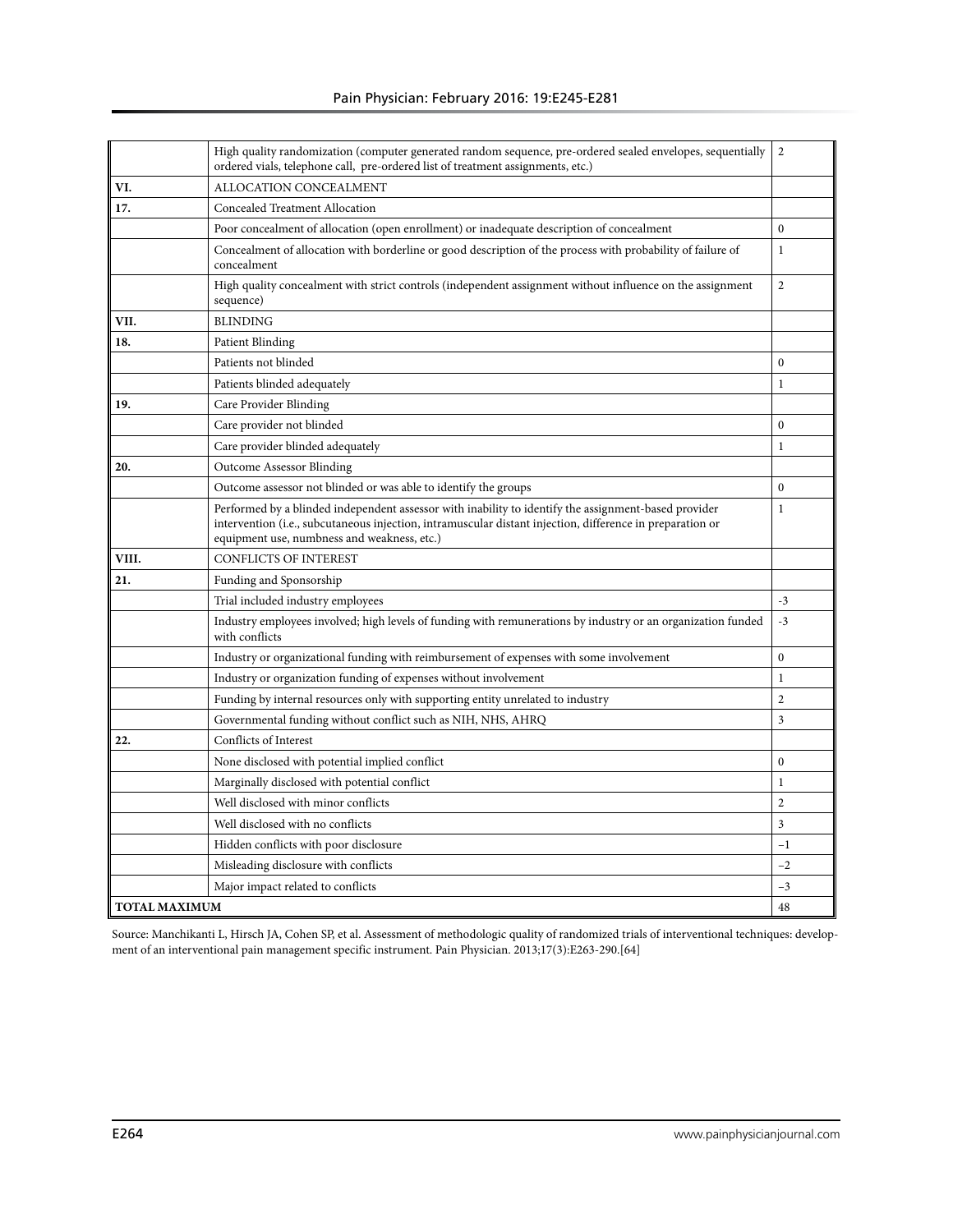|                      | High quality randomization (computer generated random sequence, pre-ordered sealed envelopes, sequentially<br>ordered vials, telephone call, pre-ordered list of treatment assignments, etc.)                                                                    | $\overline{2}$ |
|----------------------|------------------------------------------------------------------------------------------------------------------------------------------------------------------------------------------------------------------------------------------------------------------|----------------|
| VI.                  | ALLOCATION CONCEALMENT                                                                                                                                                                                                                                           |                |
| 17.                  | <b>Concealed Treatment Allocation</b>                                                                                                                                                                                                                            |                |
|                      | Poor concealment of allocation (open enrollment) or inadequate description of concealment                                                                                                                                                                        | $\mathbf{0}$   |
|                      | Concealment of allocation with borderline or good description of the process with probability of failure of<br>concealment                                                                                                                                       | $\mathbf{1}$   |
|                      | High quality concealment with strict controls (independent assignment without influence on the assignment<br>sequence)                                                                                                                                           | 2              |
| VII.                 | <b>BLINDING</b>                                                                                                                                                                                                                                                  |                |
| 18.                  | Patient Blinding                                                                                                                                                                                                                                                 |                |
|                      | Patients not blinded                                                                                                                                                                                                                                             | $\Omega$       |
|                      | Patients blinded adequately                                                                                                                                                                                                                                      | 1              |
| 19.                  | Care Provider Blinding                                                                                                                                                                                                                                           |                |
|                      | Care provider not blinded                                                                                                                                                                                                                                        | $\Omega$       |
|                      | Care provider blinded adequately                                                                                                                                                                                                                                 | $\mathbf{1}$   |
| 20.                  | <b>Outcome Assessor Blinding</b>                                                                                                                                                                                                                                 |                |
|                      | Outcome assessor not blinded or was able to identify the groups                                                                                                                                                                                                  | $\Omega$       |
|                      | Performed by a blinded independent assessor with inability to identify the assignment-based provider<br>intervention (i.e., subcutaneous injection, intramuscular distant injection, difference in preparation or<br>equipment use, numbness and weakness, etc.) | $\mathbf{1}$   |
| VIII.                | <b>CONFLICTS OF INTEREST</b>                                                                                                                                                                                                                                     |                |
| 21.                  | Funding and Sponsorship                                                                                                                                                                                                                                          |                |
|                      | Trial included industry employees                                                                                                                                                                                                                                | $-3$           |
|                      | Industry employees involved; high levels of funding with remunerations by industry or an organization funded<br>with conflicts                                                                                                                                   | $-3$           |
|                      | Industry or organizational funding with reimbursement of expenses with some involvement                                                                                                                                                                          | $\mathbf{0}$   |
|                      | Industry or organization funding of expenses without involvement                                                                                                                                                                                                 | $\mathbf{1}$   |
|                      | Funding by internal resources only with supporting entity unrelated to industry                                                                                                                                                                                  | $\overline{2}$ |
|                      | Governmental funding without conflict such as NIH, NHS, AHRQ                                                                                                                                                                                                     | 3              |
| 22.                  | Conflicts of Interest                                                                                                                                                                                                                                            |                |
|                      | None disclosed with potential implied conflict                                                                                                                                                                                                                   | $\mathbf{0}$   |
|                      | Marginally disclosed with potential conflict                                                                                                                                                                                                                     | $\mathbf{1}$   |
|                      | Well disclosed with minor conflicts                                                                                                                                                                                                                              | $\overline{2}$ |
|                      | Well disclosed with no conflicts                                                                                                                                                                                                                                 | 3              |
|                      | Hidden conflicts with poor disclosure                                                                                                                                                                                                                            | $^{-1}$        |
|                      | Misleading disclosure with conflicts                                                                                                                                                                                                                             | $-2$           |
|                      | Major impact related to conflicts                                                                                                                                                                                                                                | $-3$           |
| <b>TOTAL MAXIMUM</b> |                                                                                                                                                                                                                                                                  | 48             |

Source: Manchikanti L, Hirsch JA, Cohen SP, et al. Assessment of methodologic quality of randomized trials of interventional techniques: development of an interventional pain management specific instrument. Pain Physician. 2013;17(3):E263-290.[64]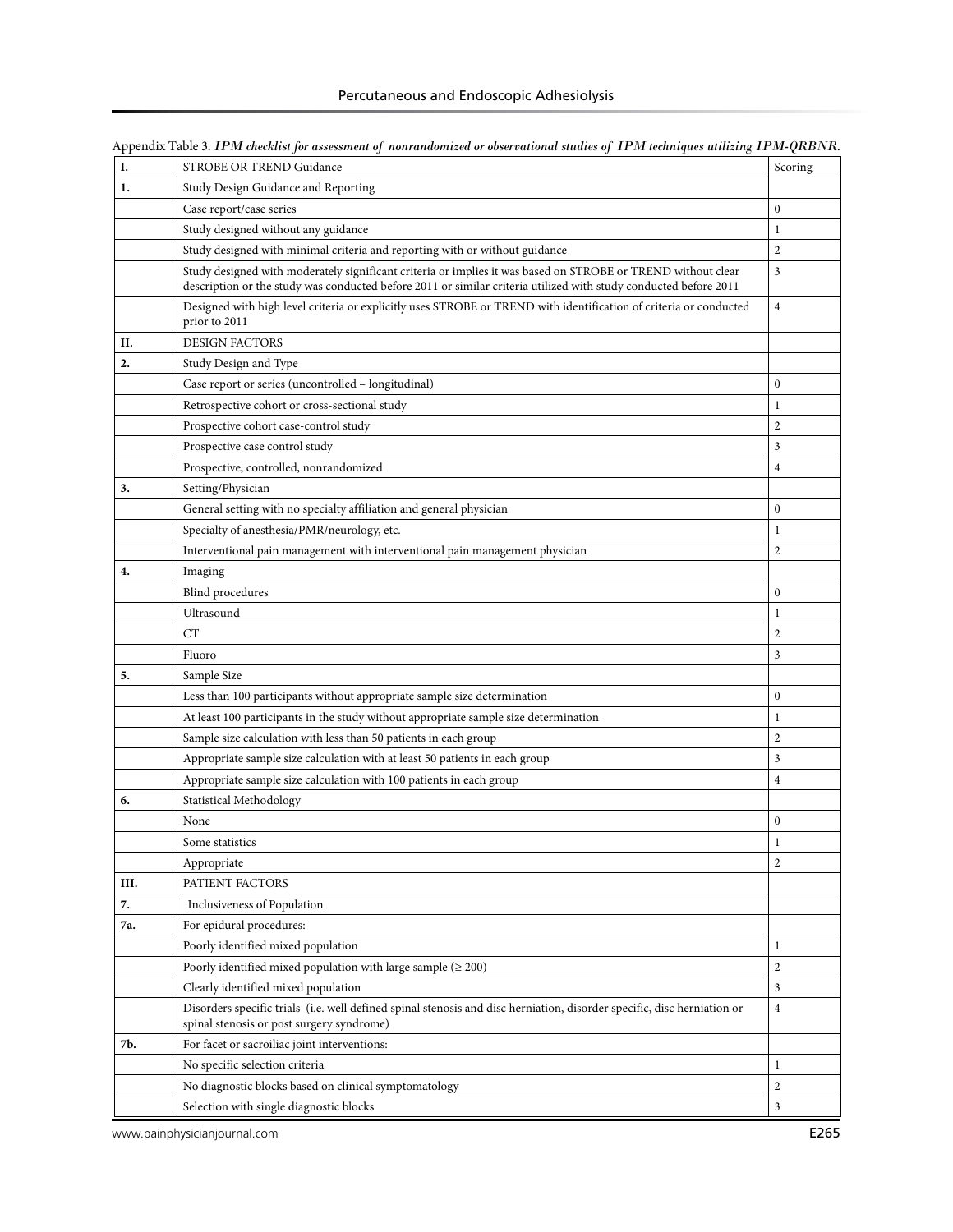| I.   | STROBE OR TREND Guidance                                                                                                                                             | Scoring          |
|------|----------------------------------------------------------------------------------------------------------------------------------------------------------------------|------------------|
| 1.   | Study Design Guidance and Reporting                                                                                                                                  |                  |
|      | Case report/case series                                                                                                                                              | $\mathbf{0}$     |
|      | Study designed without any guidance                                                                                                                                  | $\mathbf{1}$     |
|      | Study designed with minimal criteria and reporting with or without guidance                                                                                          | $\overline{2}$   |
|      | Study designed with moderately significant criteria or implies it was based on STROBE or TREND without clear                                                         | 3                |
|      | description or the study was conducted before 2011 or similar criteria utilized with study conducted before 2011                                                     |                  |
|      | Designed with high level criteria or explicitly uses STROBE or TREND with identification of criteria or conducted<br>prior to 2011                                   | $\overline{4}$   |
| П.   | <b>DESIGN FACTORS</b>                                                                                                                                                |                  |
| 2.   | Study Design and Type                                                                                                                                                |                  |
|      | Case report or series (uncontrolled - longitudinal)                                                                                                                  | $\boldsymbol{0}$ |
|      | Retrospective cohort or cross-sectional study                                                                                                                        | 1                |
|      | Prospective cohort case-control study                                                                                                                                | $\overline{2}$   |
|      | Prospective case control study                                                                                                                                       | 3                |
|      | Prospective, controlled, nonrandomized                                                                                                                               | $\overline{4}$   |
| 3.   | Setting/Physician                                                                                                                                                    |                  |
|      | General setting with no specialty affiliation and general physician                                                                                                  | $\boldsymbol{0}$ |
|      | Specialty of anesthesia/PMR/neurology, etc.                                                                                                                          | $\mathbf{1}$     |
|      | Interventional pain management with interventional pain management physician                                                                                         | $\sqrt{2}$       |
| 4.   | Imaging                                                                                                                                                              |                  |
|      | Blind procedures                                                                                                                                                     | $\mathbf{0}$     |
|      | Ultrasound                                                                                                                                                           | $\mathbf{1}$     |
|      | CT                                                                                                                                                                   | $\overline{2}$   |
|      | Fluoro                                                                                                                                                               | 3                |
| 5.   | Sample Size                                                                                                                                                          |                  |
|      | Less than 100 participants without appropriate sample size determination                                                                                             | $\mathbf{0}$     |
|      | At least 100 participants in the study without appropriate sample size determination                                                                                 | 1                |
|      | Sample size calculation with less than 50 patients in each group                                                                                                     | $\overline{2}$   |
|      | Appropriate sample size calculation with at least 50 patients in each group                                                                                          | 3                |
|      | Appropriate sample size calculation with 100 patients in each group                                                                                                  | $\overline{4}$   |
| 6.   | Statistical Methodology                                                                                                                                              |                  |
|      | None                                                                                                                                                                 | $\mathbf{0}$     |
|      | Some statistics                                                                                                                                                      | 1                |
|      | Appropriate                                                                                                                                                          | $\overline{2}$   |
| III. | PATIENT FACTORS                                                                                                                                                      |                  |
| 7.   | Inclusiveness of Population                                                                                                                                          |                  |
| 7а.  | For epidural procedures:                                                                                                                                             |                  |
|      | Poorly identified mixed population                                                                                                                                   | 1                |
|      | Poorly identified mixed population with large sample ( $\geq 200$ )                                                                                                  | $\overline{c}$   |
|      | Clearly identified mixed population                                                                                                                                  | 3                |
|      | Disorders specific trials (i.e. well defined spinal stenosis and disc herniation, disorder specific, disc herniation or<br>spinal stenosis or post surgery syndrome) | $\overline{4}$   |
| 7b.  | For facet or sacroiliac joint interventions:                                                                                                                         |                  |
|      | No specific selection criteria                                                                                                                                       | $\mathbf{1}$     |
|      | No diagnostic blocks based on clinical symptomatology                                                                                                                | $\overline{c}$   |
|      | Selection with single diagnostic blocks                                                                                                                              | $\mathfrak{Z}$   |

Appendix Table 3. *IPM checklist for assessment of nonrandomized or observational studies of IPM techniques utilizing IPM-QRBNR.* 

www.painphysicianjournal.com **E265**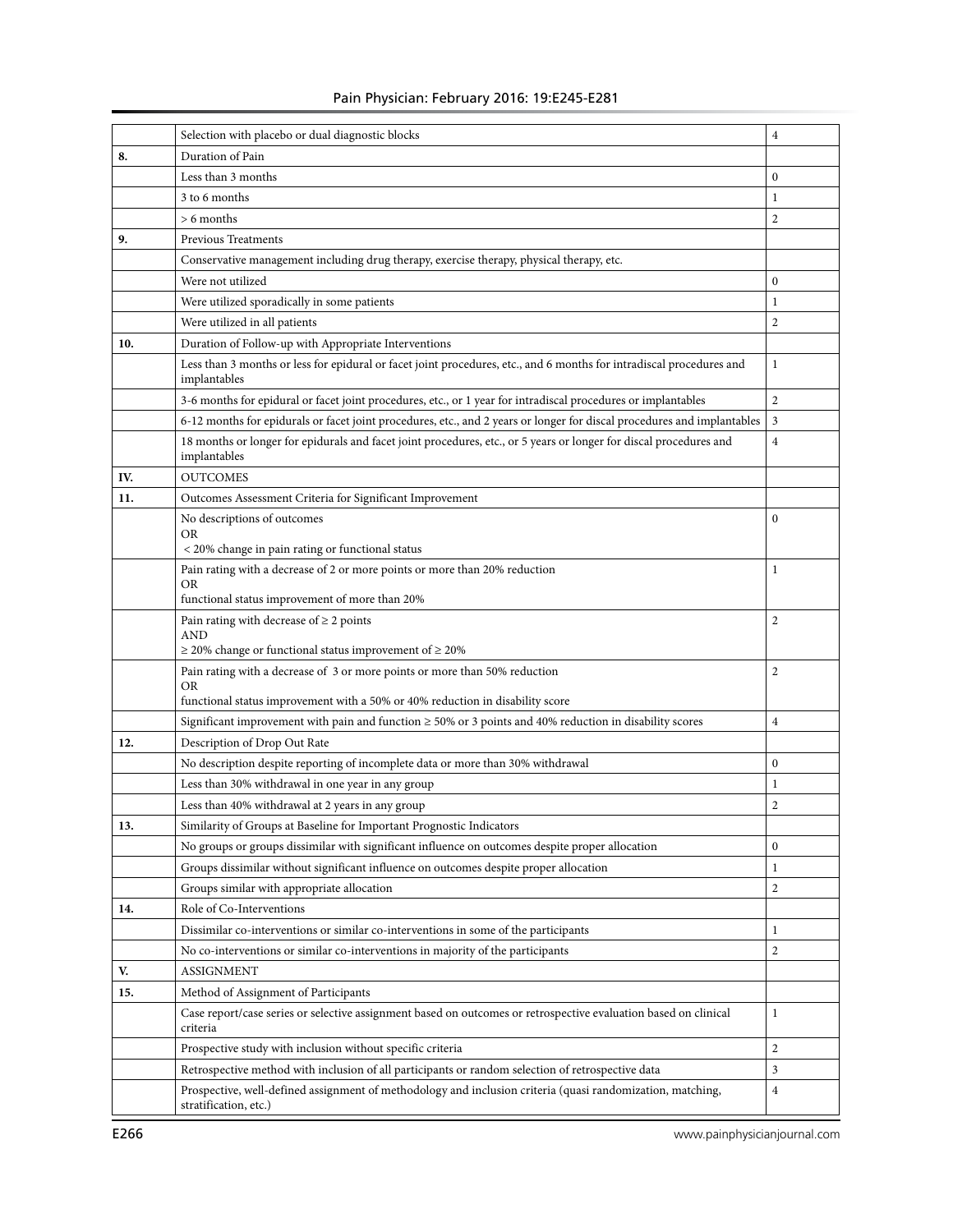# Pain Physician: February 2016: 19:E245-E281

|     | Selection with placebo or dual diagnostic blocks                                                                                     | $\overline{4}$ |
|-----|--------------------------------------------------------------------------------------------------------------------------------------|----------------|
| 8.  | Duration of Pain                                                                                                                     |                |
|     | Less than 3 months                                                                                                                   | $\mathbf{0}$   |
|     | 3 to 6 months                                                                                                                        | $\mathbf{1}$   |
|     | $> 6$ months                                                                                                                         | 2              |
| 9.  | <b>Previous Treatments</b>                                                                                                           |                |
|     | Conservative management including drug therapy, exercise therapy, physical therapy, etc.                                             |                |
|     | Were not utilized                                                                                                                    | $\mathbf{0}$   |
|     | Were utilized sporadically in some patients                                                                                          | 1              |
|     | Were utilized in all patients                                                                                                        | $\mathbf{2}$   |
| 10. | Duration of Follow-up with Appropriate Interventions                                                                                 |                |
|     | Less than 3 months or less for epidural or facet joint procedures, etc., and 6 months for intradiscal procedures and<br>implantables | $\mathbf 1$    |
|     | 3-6 months for epidural or facet joint procedures, etc., or 1 year for intradiscal procedures or implantables                        | 2              |
|     | 6-12 months for epidurals or facet joint procedures, etc., and 2 years or longer for discal procedures and implantables              | 3              |
|     | 18 months or longer for epidurals and facet joint procedures, etc., or 5 years or longer for discal procedures and<br>implantables   | $\overline{4}$ |
| IV. | <b>OUTCOMES</b>                                                                                                                      |                |
| 11. | Outcomes Assessment Criteria for Significant Improvement                                                                             |                |
|     | No descriptions of outcomes<br>OR                                                                                                    | $\mathbf{0}$   |
|     | < 20% change in pain rating or functional status                                                                                     |                |
|     | Pain rating with a decrease of 2 or more points or more than 20% reduction<br>OR<br>functional status improvement of more than 20%   | $\mathbf{1}$   |
|     | Pain rating with decrease of $\geq 2$ points                                                                                         | $\overline{2}$ |
|     | <b>AND</b><br>$\geq$ 20% change or functional status improvement of $\geq$ 20%                                                       |                |
|     | Pain rating with a decrease of 3 or more points or more than 50% reduction                                                           | $\overline{c}$ |
|     | OR<br>functional status improvement with a 50% or 40% reduction in disability score                                                  |                |
|     | Significant improvement with pain and function $\geq$ 50% or 3 points and 40% reduction in disability scores                         | $\overline{4}$ |
| 12. | Description of Drop Out Rate                                                                                                         |                |
|     | No description despite reporting of incomplete data or more than 30% withdrawal                                                      | $\mathbf{0}$   |
|     | Less than 30% withdrawal in one year in any group                                                                                    | $\mathbf{1}$   |
|     | Less than 40% withdrawal at 2 years in any group                                                                                     | $\overline{c}$ |
| 13. | Similarity of Groups at Baseline for Important Prognostic Indicators                                                                 |                |
|     | No groups or groups dissimilar with significant influence on outcomes despite proper allocation                                      | $\mathbf{0}$   |
|     | Groups dissimilar without significant influence on outcomes despite proper allocation                                                | $\mathbf{1}$   |
|     | Groups similar with appropriate allocation                                                                                           | 2              |
| 14. | Role of Co-Interventions                                                                                                             |                |
|     | Dissimilar co-interventions or similar co-interventions in some of the participants                                                  | $\mathbf{1}$   |
|     | No co-interventions or similar co-interventions in majority of the participants                                                      | 2              |
| V.  | ASSIGNMENT                                                                                                                           |                |
| 15. | Method of Assignment of Participants                                                                                                 |                |
|     | Case report/case series or selective assignment based on outcomes or retrospective evaluation based on clinical<br>criteria          | $\mathbf{1}$   |
|     | Prospective study with inclusion without specific criteria                                                                           | 2              |
|     | Retrospective method with inclusion of all participants or random selection of retrospective data                                    | 3              |
|     | Prospective, well-defined assignment of methodology and inclusion criteria (quasi randomization, matching,<br>stratification, etc.)  | 4              |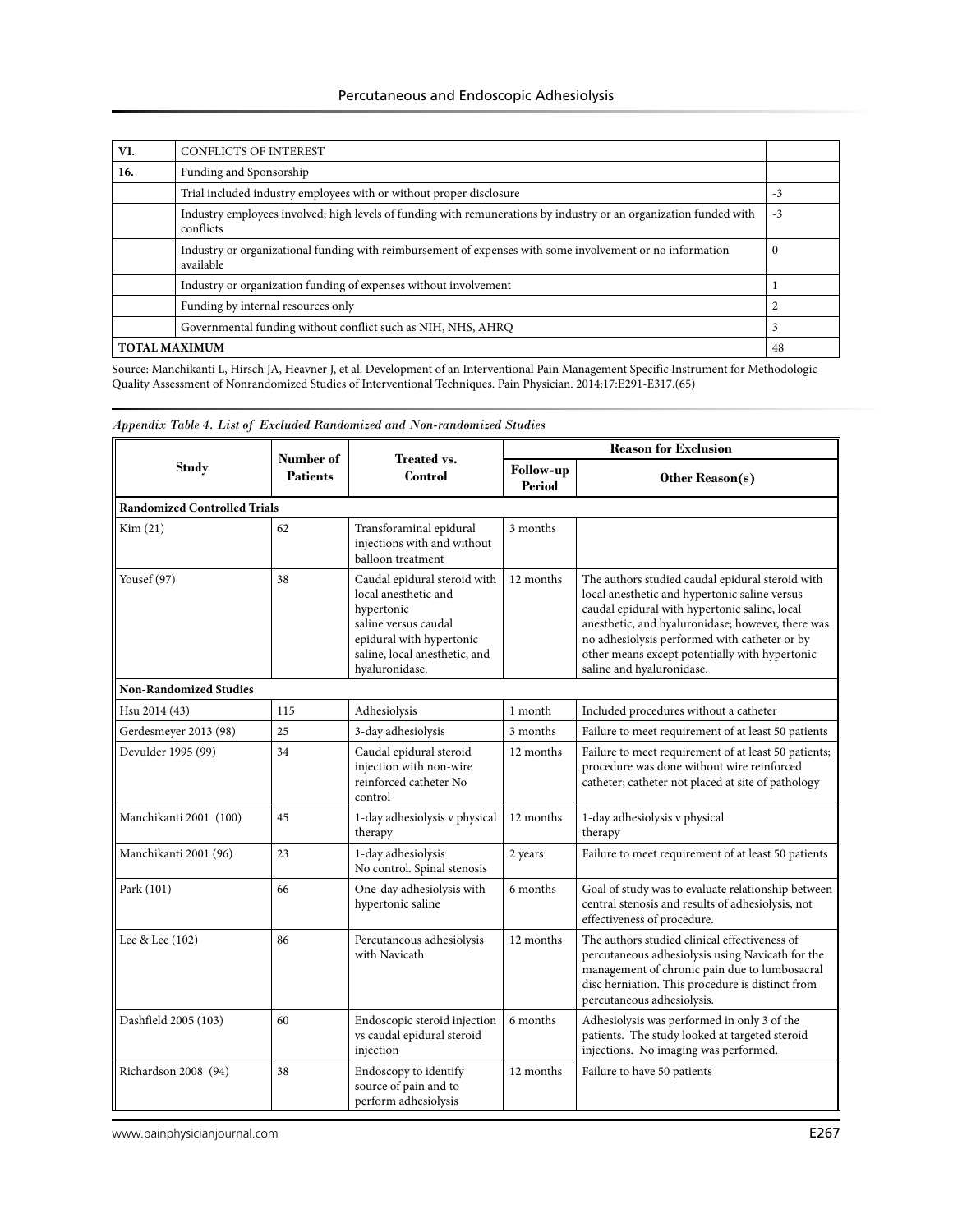| VI.                  | <b>CONFLICTS OF INTEREST</b>                                                                                                   |      |
|----------------------|--------------------------------------------------------------------------------------------------------------------------------|------|
| 16.                  | Funding and Sponsorship                                                                                                        |      |
|                      | Trial included industry employees with or without proper disclosure                                                            | $-3$ |
|                      | Industry employees involved; high levels of funding with remunerations by industry or an organization funded with<br>conflicts | $-3$ |
|                      | Industry or organizational funding with reimbursement of expenses with some involvement or no information<br>available         | 0    |
|                      | Industry or organization funding of expenses without involvement                                                               |      |
|                      | Funding by internal resources only                                                                                             |      |
|                      | Governmental funding without conflict such as NIH, NHS, AHRQ                                                                   | 3    |
| <b>TOTAL MAXIMUM</b> |                                                                                                                                | 48   |

Source: Manchikanti L, Hirsch JA, Heavner J, et al. Development of an Interventional Pain Management Specific Instrument for Methodologic Quality Assessment of Nonrandomized Studies of Interventional Techniques. Pain Physician. 2014;17:E291-E317.(65)

|                                     | Number of       | <b>Treated vs.</b>                                                                                                                                                        |                                   | <b>Reason for Exclusion</b>                                                                                                                                                                                                                                                                                                             |
|-------------------------------------|-----------------|---------------------------------------------------------------------------------------------------------------------------------------------------------------------------|-----------------------------------|-----------------------------------------------------------------------------------------------------------------------------------------------------------------------------------------------------------------------------------------------------------------------------------------------------------------------------------------|
| <b>Study</b>                        | <b>Patients</b> | <b>Control</b>                                                                                                                                                            | <b>Follow-up</b><br><b>Period</b> | Other Reason(s)                                                                                                                                                                                                                                                                                                                         |
| <b>Randomized Controlled Trials</b> |                 |                                                                                                                                                                           |                                   |                                                                                                                                                                                                                                                                                                                                         |
| Kim(21)                             | 62              | Transforaminal epidural<br>injections with and without<br>balloon treatment                                                                                               | 3 months                          |                                                                                                                                                                                                                                                                                                                                         |
| Yousef (97)                         | 38              | Caudal epidural steroid with<br>local anesthetic and<br>hypertonic<br>saline versus caudal<br>epidural with hypertonic<br>saline, local anesthetic, and<br>hyaluronidase. | 12 months                         | The authors studied caudal epidural steroid with<br>local anesthetic and hypertonic saline versus<br>caudal epidural with hypertonic saline, local<br>anesthetic, and hyaluronidase; however, there was<br>no adhesiolysis performed with catheter or by<br>other means except potentially with hypertonic<br>saline and hyaluronidase. |
| <b>Non-Randomized Studies</b>       |                 |                                                                                                                                                                           |                                   |                                                                                                                                                                                                                                                                                                                                         |
| Hsu 2014 (43)                       | 115             | Adhesiolysis                                                                                                                                                              | 1 month                           | Included procedures without a catheter                                                                                                                                                                                                                                                                                                  |
| Gerdesmeyer 2013 (98)               | 25              | 3-day adhesiolysis                                                                                                                                                        | 3 months                          | Failure to meet requirement of at least 50 patients                                                                                                                                                                                                                                                                                     |
| Devulder 1995 (99)                  | 34              | Caudal epidural steroid<br>injection with non-wire<br>reinforced catheter No<br>control                                                                                   | 12 months                         | Failure to meet requirement of at least 50 patients;<br>procedure was done without wire reinforced<br>catheter; catheter not placed at site of pathology                                                                                                                                                                                |
| Manchikanti 2001 (100)              | 45              | 1-day adhesiolysis v physical<br>therapy                                                                                                                                  | 12 months                         | 1-day adhesiolysis v physical<br>therapy                                                                                                                                                                                                                                                                                                |
| Manchikanti 2001 (96)               | 23              | 1-day adhesiolysis<br>No control. Spinal stenosis                                                                                                                         | 2 years                           | Failure to meet requirement of at least 50 patients                                                                                                                                                                                                                                                                                     |
| Park (101)                          | 66              | One-day adhesiolysis with<br>hypertonic saline                                                                                                                            | 6 months                          | Goal of study was to evaluate relationship between<br>central stenosis and results of adhesiolysis, not<br>effectiveness of procedure.                                                                                                                                                                                                  |
| Lee & Lee (102)                     | 86              | Percutaneous adhesiolysis<br>with Navicath                                                                                                                                | 12 months                         | The authors studied clinical effectiveness of<br>percutaneous adhesiolysis using Navicath for the<br>management of chronic pain due to lumbosacral<br>disc herniation. This procedure is distinct from<br>percutaneous adhesiolysis.                                                                                                    |
| Dashfield 2005 (103)                | 60              | Endoscopic steroid injection<br>vs caudal epidural steroid<br>injection                                                                                                   | 6 months                          | Adhesiolysis was performed in only 3 of the<br>patients. The study looked at targeted steroid<br>injections. No imaging was performed.                                                                                                                                                                                                  |
| Richardson 2008 (94)                | 38              | Endoscopy to identify<br>source of pain and to<br>perform adhesiolysis                                                                                                    | 12 months                         | Failure to have 50 patients                                                                                                                                                                                                                                                                                                             |

*Appendix Table 4. List of Excluded Randomized and Non-randomized Studies*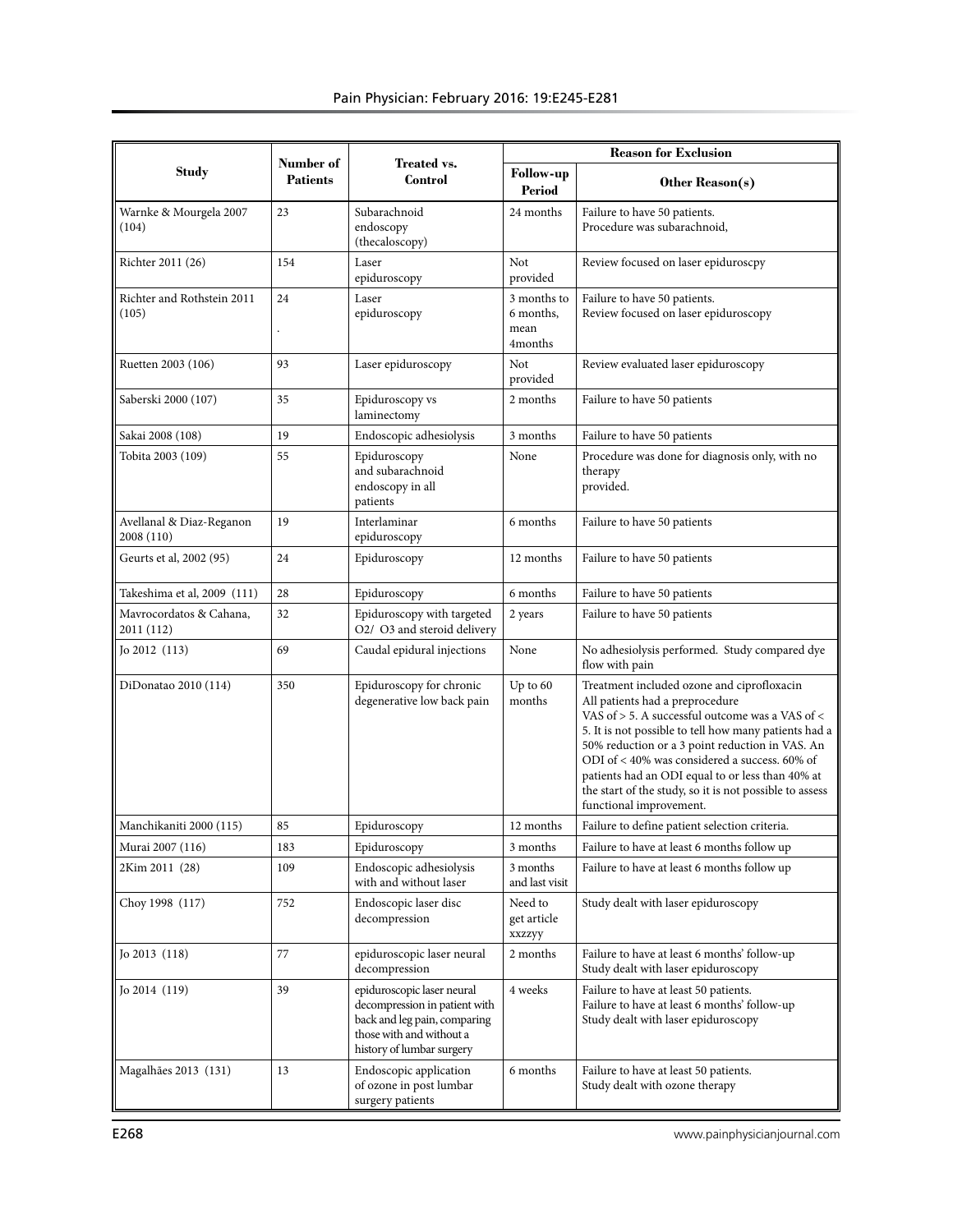|                                        | Number of<br><b>Treated vs.</b> |                                                                                                                                                      | <b>Reason for Exclusion</b>                 |                                                                                                                                                                                                                                                                                                                                                                                                                                         |  |  |  |
|----------------------------------------|---------------------------------|------------------------------------------------------------------------------------------------------------------------------------------------------|---------------------------------------------|-----------------------------------------------------------------------------------------------------------------------------------------------------------------------------------------------------------------------------------------------------------------------------------------------------------------------------------------------------------------------------------------------------------------------------------------|--|--|--|
| <b>Study</b>                           | <b>Patients</b>                 | Control                                                                                                                                              | <b>Follow-up</b><br>Period                  | Other Reason(s)                                                                                                                                                                                                                                                                                                                                                                                                                         |  |  |  |
| Warnke & Mourgela 2007<br>(104)        | 23                              | Subarachnoid<br>endoscopy<br>(thecaloscopy)                                                                                                          | 24 months                                   | Failure to have 50 patients.<br>Procedure was subarachnoid,                                                                                                                                                                                                                                                                                                                                                                             |  |  |  |
| Richter 2011 (26)                      | 154                             | Laser<br>epiduroscopy                                                                                                                                | Not<br>provided                             | Review focused on laser epiduroscpy                                                                                                                                                                                                                                                                                                                                                                                                     |  |  |  |
| Richter and Rothstein 2011<br>(105)    | 24                              | Laser<br>epiduroscopy                                                                                                                                | 3 months to<br>6 months.<br>mean<br>4months | Failure to have 50 patients.<br>Review focused on laser epiduroscopy                                                                                                                                                                                                                                                                                                                                                                    |  |  |  |
| Ruetten 2003 (106)                     | 93                              | Laser epiduroscopy                                                                                                                                   | Not<br>provided                             | Review evaluated laser epiduroscopy                                                                                                                                                                                                                                                                                                                                                                                                     |  |  |  |
| Saberski 2000 (107)                    | 35                              | Epiduroscopy vs<br>laminectomy                                                                                                                       | 2 months                                    | Failure to have 50 patients                                                                                                                                                                                                                                                                                                                                                                                                             |  |  |  |
| Sakai 2008 (108)                       | 19                              | Endoscopic adhesiolysis                                                                                                                              | 3 months                                    | Failure to have 50 patients                                                                                                                                                                                                                                                                                                                                                                                                             |  |  |  |
| Tobita 2003 (109)                      | 55                              | Epiduroscopy<br>and subarachnoid<br>endoscopy in all<br>patients                                                                                     | None                                        | Procedure was done for diagnosis only, with no<br>therapy<br>provided.                                                                                                                                                                                                                                                                                                                                                                  |  |  |  |
| Avellanal & Diaz-Reganon<br>2008 (110) | 19                              | Interlaminar<br>epiduroscopy                                                                                                                         | 6 months                                    | Failure to have 50 patients                                                                                                                                                                                                                                                                                                                                                                                                             |  |  |  |
| Geurts et al, 2002 (95)                | 24                              | Epiduroscopy                                                                                                                                         | 12 months                                   | Failure to have 50 patients                                                                                                                                                                                                                                                                                                                                                                                                             |  |  |  |
| Takeshima et al, 2009 (111)            | 28                              | Epiduroscopy                                                                                                                                         | 6 months                                    | Failure to have 50 patients                                                                                                                                                                                                                                                                                                                                                                                                             |  |  |  |
| Mavrocordatos & Cahana,<br>2011 (112)  | 32                              | Epiduroscopy with targeted<br>O2/ O3 and steroid delivery                                                                                            | 2 years                                     | Failure to have 50 patients                                                                                                                                                                                                                                                                                                                                                                                                             |  |  |  |
| Jo $2012$ $(113)$<br>69                |                                 | Caudal epidural injections                                                                                                                           | None                                        | No adhesiolysis performed. Study compared dye<br>flow with pain                                                                                                                                                                                                                                                                                                                                                                         |  |  |  |
| DiDonatao 2010 (114)                   | 350                             | Epiduroscopy for chronic<br>degenerative low back pain                                                                                               | Up to 60<br>months                          | Treatment included ozone and ciprofloxacin<br>All patients had a preprocedure<br>VAS of > 5. A successful outcome was a VAS of <<br>5. It is not possible to tell how many patients had a<br>50% reduction or a 3 point reduction in VAS. An<br>ODI of < 40% was considered a success. 60% of<br>patients had an ODI equal to or less than 40% at<br>the start of the study, so it is not possible to assess<br>functional improvement. |  |  |  |
| Manchikaniti 2000 (115)                | 85                              | Epiduroscopy                                                                                                                                         | 12 months                                   | Failure to define patient selection criteria.                                                                                                                                                                                                                                                                                                                                                                                           |  |  |  |
| Murai 2007 (116)                       | 183                             | Epiduroscopy                                                                                                                                         | 3 months                                    | Failure to have at least 6 months follow up                                                                                                                                                                                                                                                                                                                                                                                             |  |  |  |
| 2Kim 2011 (28)                         | 109                             | Endoscopic adhesiolysis<br>with and without laser                                                                                                    | 3 months<br>and last visit                  | Failure to have at least 6 months follow up                                                                                                                                                                                                                                                                                                                                                                                             |  |  |  |
| Choy 1998 (117)                        | 752                             | Endoscopic laser disc<br>decompression                                                                                                               | Need to<br>get article<br>xxzzyy            | Study dealt with laser epiduroscopy                                                                                                                                                                                                                                                                                                                                                                                                     |  |  |  |
| Jo 2013 (118)                          | 77                              | epiduroscopic laser neural<br>decompression                                                                                                          | 2 months                                    | Failure to have at least 6 months' follow-up<br>Study dealt with laser epiduroscopy                                                                                                                                                                                                                                                                                                                                                     |  |  |  |
| Jo $2014(119)$                         | 39                              | epiduroscopic laser neural<br>decompression in patient with<br>back and leg pain, comparing<br>those with and without a<br>history of lumbar surgery | 4 weeks                                     | Failure to have at least 50 patients.<br>Failure to have at least 6 months' follow-up<br>Study dealt with laser epiduroscopy                                                                                                                                                                                                                                                                                                            |  |  |  |
| Magalhães 2013 (131)                   | 13                              | Endoscopic application<br>of ozone in post lumbar<br>surgery patients                                                                                | 6 months                                    | Failure to have at least 50 patients.<br>Study dealt with ozone therapy                                                                                                                                                                                                                                                                                                                                                                 |  |  |  |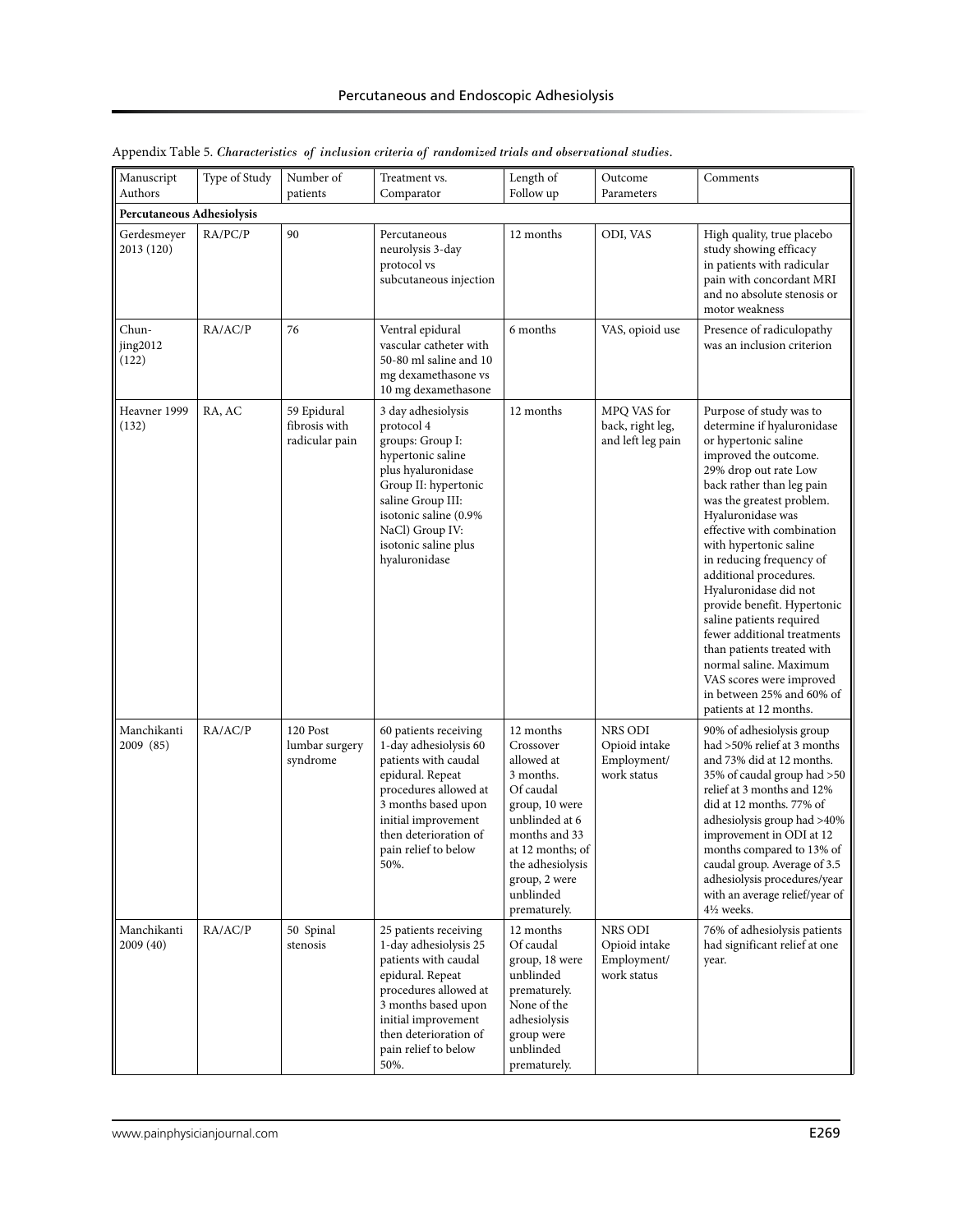| Type of Study<br>Number of<br>Manuscript<br>Authors<br>patients |         | Treatment vs.<br>Comparator                    | Length of<br>Follow up                                                                                                                                                                                                            | Outcome<br>Parameters                                                                                                                                                                                     | Comments                                               |                                                                                                                                                                                                                                                                                                                                                                                                                                                                                                                                                                                            |
|-----------------------------------------------------------------|---------|------------------------------------------------|-----------------------------------------------------------------------------------------------------------------------------------------------------------------------------------------------------------------------------------|-----------------------------------------------------------------------------------------------------------------------------------------------------------------------------------------------------------|--------------------------------------------------------|--------------------------------------------------------------------------------------------------------------------------------------------------------------------------------------------------------------------------------------------------------------------------------------------------------------------------------------------------------------------------------------------------------------------------------------------------------------------------------------------------------------------------------------------------------------------------------------------|
| Percutaneous Adhesiolysis                                       |         |                                                |                                                                                                                                                                                                                                   |                                                                                                                                                                                                           |                                                        |                                                                                                                                                                                                                                                                                                                                                                                                                                                                                                                                                                                            |
| Gerdesmeyer<br>2013 (120)                                       | RA/PC/P | 90                                             | Percutaneous<br>neurolysis 3-day<br>protocol vs<br>subcutaneous injection                                                                                                                                                         | 12 months                                                                                                                                                                                                 | ODI, VAS                                               | High quality, true placebo<br>study showing efficacy<br>in patients with radicular<br>pain with concordant MRI<br>and no absolute stenosis or<br>motor weakness                                                                                                                                                                                                                                                                                                                                                                                                                            |
| Chun-<br>jing2012<br>(122)                                      | RA/AC/P | 76                                             | Ventral epidural<br>vascular catheter with<br>50-80 ml saline and 10<br>mg dexamethasone vs<br>10 mg dexamethasone                                                                                                                | 6 months                                                                                                                                                                                                  | VAS, opioid use                                        | Presence of radiculopathy<br>was an inclusion criterion                                                                                                                                                                                                                                                                                                                                                                                                                                                                                                                                    |
| Heavner 1999<br>(132)                                           | RA, AC  | 59 Epidural<br>fibrosis with<br>radicular pain | 3 day adhesiolysis<br>protocol 4<br>groups: Group I:<br>hypertonic saline<br>plus hyaluronidase<br>Group II: hypertonic<br>saline Group III:<br>isotonic saline (0.9%<br>NaCl) Group IV:<br>isotonic saline plus<br>hyaluronidase | 12 months                                                                                                                                                                                                 | MPQ VAS for<br>back, right leg,<br>and left leg pain   | Purpose of study was to<br>determine if hyaluronidase<br>or hypertonic saline<br>improved the outcome.<br>29% drop out rate Low<br>back rather than leg pain<br>was the greatest problem.<br>Hyaluronidase was<br>effective with combination<br>with hypertonic saline<br>in reducing frequency of<br>additional procedures.<br>Hyaluronidase did not<br>provide benefit. Hypertonic<br>saline patients required<br>fewer additional treatments<br>than patients treated with<br>normal saline. Maximum<br>VAS scores were improved<br>in between 25% and 60% of<br>patients at 12 months. |
| Manchikanti<br>2009 (85)                                        | RA/AC/P | 120 Post<br>lumbar surgery<br>syndrome         | 60 patients receiving<br>1-day adhesiolysis 60<br>patients with caudal<br>epidural. Repeat<br>procedures allowed at<br>3 months based upon<br>initial improvement<br>then deterioration of<br>pain relief to below<br>50%.        | 12 months<br>Crossover<br>allowed at<br>3 months.<br>Of caudal<br>group, 10 were<br>unblinded at 6<br>months and 33<br>at 12 months; of<br>the adhesiolysis<br>group, 2 were<br>unblinded<br>prematurely. | NRS ODI<br>Opioid intake<br>Employment/<br>work status | 90% of adhesiolysis group<br>had >50% relief at 3 months<br>and 73% did at 12 months.<br>35% of caudal group had >50<br>relief at 3 months and 12%<br>did at 12 months. 77% of<br>adhesiolysis group had >40%<br>improvement in ODI at 12<br>months compared to 13% of<br>caudal group. Average of 3.5<br>adhesiolysis procedures/year<br>with an average relief/year of<br>41/ <sub>2</sub> weeks.                                                                                                                                                                                        |
| Manchikanti<br>2009 (40)                                        | RA/AC/P | 50 Spinal<br>stenosis                          | 25 patients receiving<br>1-day adhesiolysis 25<br>patients with caudal<br>epidural. Repeat<br>procedures allowed at<br>3 months based upon<br>initial improvement<br>then deterioration of<br>pain relief to below<br>50%.        | 12 months<br>Of caudal<br>group, 18 were<br>unblinded<br>prematurely.<br>None of the<br>adhesiolysis<br>group were<br>unblinded<br>prematurely.                                                           | NRS ODI<br>Opioid intake<br>Employment/<br>work status | 76% of adhesiolysis patients<br>had significant relief at one<br>year.                                                                                                                                                                                                                                                                                                                                                                                                                                                                                                                     |

|  |  |  |  | Appendix Table 5. Characteristics of inclusion criteria of randomized trials and observational studies. |  |
|--|--|--|--|---------------------------------------------------------------------------------------------------------|--|
|  |  |  |  |                                                                                                         |  |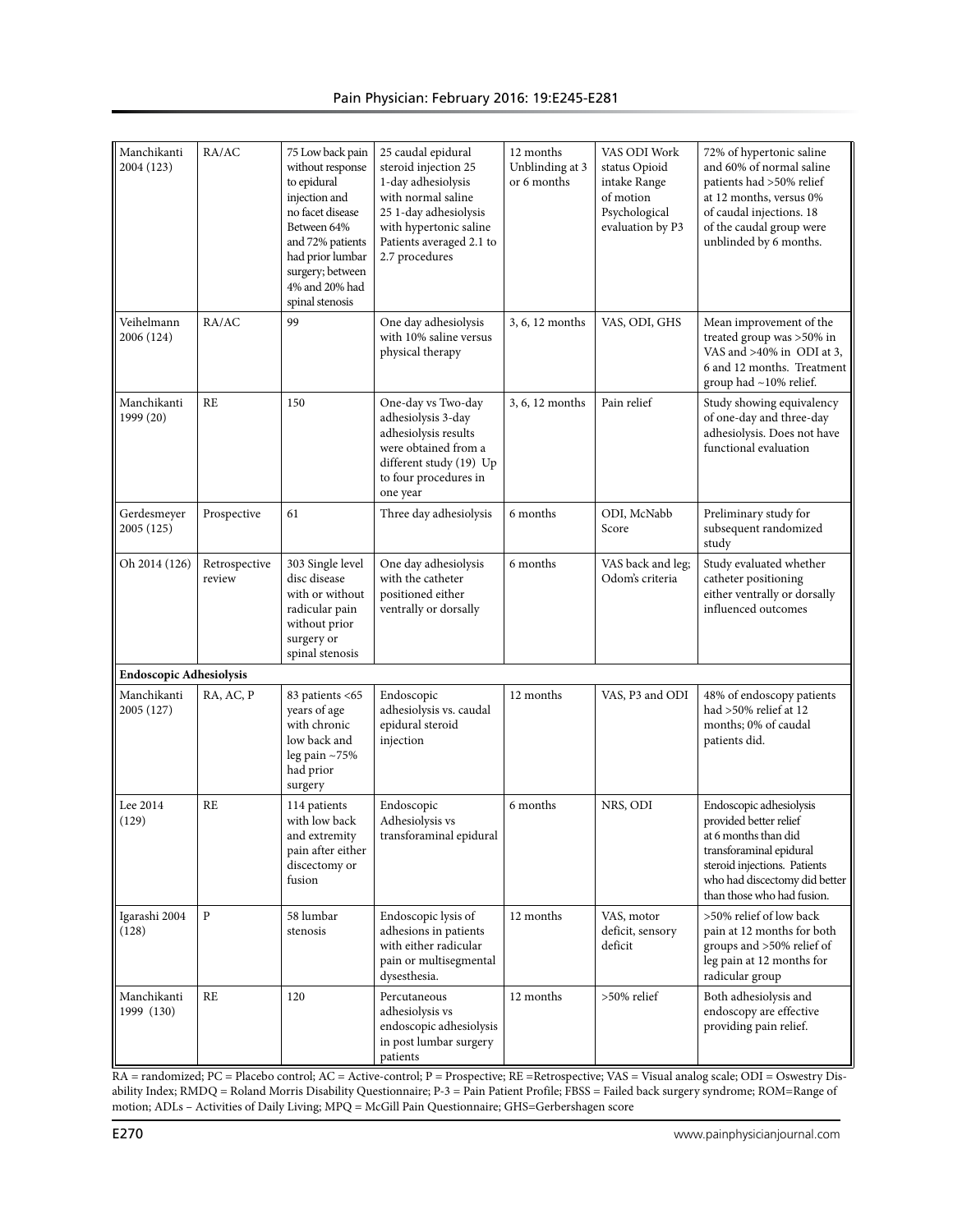| Manchikanti<br>2004 (123)      | RA/AC                   | 75 Low back pain<br>without response<br>to epidural<br>injection and<br>no facet disease<br>Between 64%<br>and 72% patients<br>had prior lumbar<br>surgery; between<br>4% and 20% had<br>spinal stenosis | 25 caudal epidural<br>steroid injection 25<br>1-day adhesiolysis<br>with normal saline<br>25 1-day adhesiolysis<br>with hypertonic saline<br>Patients averaged 2.1 to<br>2.7 procedures | 12 months<br>Unblinding at 3<br>or 6 months | VAS ODI Work<br>status Opioid<br>intake Range<br>of motion<br>Psychological<br>evaluation by P3 | 72% of hypertonic saline<br>and 60% of normal saline<br>patients had >50% relief<br>at 12 months, versus 0%<br>of caudal injections. 18<br>of the caudal group were<br>unblinded by 6 months.       |
|--------------------------------|-------------------------|----------------------------------------------------------------------------------------------------------------------------------------------------------------------------------------------------------|-----------------------------------------------------------------------------------------------------------------------------------------------------------------------------------------|---------------------------------------------|-------------------------------------------------------------------------------------------------|-----------------------------------------------------------------------------------------------------------------------------------------------------------------------------------------------------|
| Veihelmann<br>2006 (124)       | RA/AC                   | 99                                                                                                                                                                                                       | One day adhesiolysis<br>with 10% saline versus<br>physical therapy                                                                                                                      | 3, 6, 12 months                             | VAS, ODI, GHS                                                                                   | Mean improvement of the<br>treated group was >50% in<br>VAS and >40% in ODI at 3,<br>6 and 12 months. Treatment<br>group had ~10% relief.                                                           |
| Manchikanti<br>1999 (20)       | RE                      | 150                                                                                                                                                                                                      | One-day vs Two-day<br>adhesiolysis 3-day<br>adhesiolysis results<br>were obtained from a<br>different study (19) Up<br>to four procedures in<br>one year                                | 3, 6, 12 months                             | Pain relief                                                                                     | Study showing equivalency<br>of one-day and three-day<br>adhesiolysis. Does not have<br>functional evaluation                                                                                       |
| Gerdesmeyer<br>2005 (125)      | Prospective             | 61                                                                                                                                                                                                       | Three day adhesiolysis                                                                                                                                                                  | 6 months                                    | ODI, McNabb<br>Score                                                                            | Preliminary study for<br>subsequent randomized<br>study                                                                                                                                             |
| Oh 2014 (126)                  | Retrospective<br>review | 303 Single level<br>disc disease<br>with or without<br>radicular pain<br>without prior<br>surgery or<br>spinal stenosis                                                                                  | One day adhesiolysis<br>with the catheter<br>positioned either<br>ventrally or dorsally                                                                                                 | 6 months                                    | VAS back and leg;<br>Odom's criteria                                                            | Study evaluated whether<br>catheter positioning<br>either ventrally or dorsally<br>influenced outcomes                                                                                              |
| <b>Endoscopic Adhesiolysis</b> |                         |                                                                                                                                                                                                          |                                                                                                                                                                                         |                                             |                                                                                                 |                                                                                                                                                                                                     |
| Manchikanti<br>2005 (127)      | RA, AC, P               | 83 patients <65<br>years of age<br>with chronic<br>low back and<br>leg pain ~75%<br>had prior<br>surgery                                                                                                 | Endoscopic<br>adhesiolysis vs. caudal<br>epidural steroid<br>injection                                                                                                                  | 12 months                                   | VAS, P3 and ODI                                                                                 | 48% of endoscopy patients<br>had >50% relief at 12<br>months; 0% of caudal<br>patients did.                                                                                                         |
| Lee 2014<br>(129)              | RE                      | 114 patients<br>with low back<br>and extremity<br>pain after either<br>discectomy or<br>fusion                                                                                                           | Endoscopic<br>Adhesiolysis vs<br>transforaminal epidural                                                                                                                                | 6 months                                    | NRS, ODI                                                                                        | Endoscopic adhesiolysis<br>provided better relief<br>at 6 months than did<br>transforaminal epidural<br>steroid injections. Patients<br>who had discectomy did better<br>than those who had fusion. |
| Igarashi 2004<br>(128)         | ${\bf P}$               | 58 lumbar<br>stenosis                                                                                                                                                                                    | Endoscopic lysis of<br>adhesions in patients<br>with either radicular<br>pain or multisegmental<br>dysesthesia.                                                                         | 12 months                                   | VAS, motor<br>deficit, sensory<br>deficit                                                       | >50% relief of low back<br>pain at 12 months for both<br>groups and >50% relief of<br>leg pain at 12 months for<br>radicular group                                                                  |
| Manchikanti<br>1999 (130)      | <b>RE</b>               | 120                                                                                                                                                                                                      | Percutaneous<br>adhesiolysis vs<br>endoscopic adhesiolysis<br>in post lumbar surgery<br>patients                                                                                        | 12 months                                   | >50% relief                                                                                     | Both adhesiolysis and<br>endoscopy are effective<br>providing pain relief.                                                                                                                          |

RA = randomized; PC = Placebo control; AC = Active-control; P = Prospective; RE =Retrospective; VAS = Visual analog scale; ODI = Oswestry Disability Index; RMDQ = Roland Morris Disability Questionnaire; P-3 = Pain Patient Profile; FBSS = Failed back surgery syndrome; ROM=Range of motion; ADLs – Activities of Daily Living; MPQ = McGill Pain Questionnaire; GHS=Gerbershagen score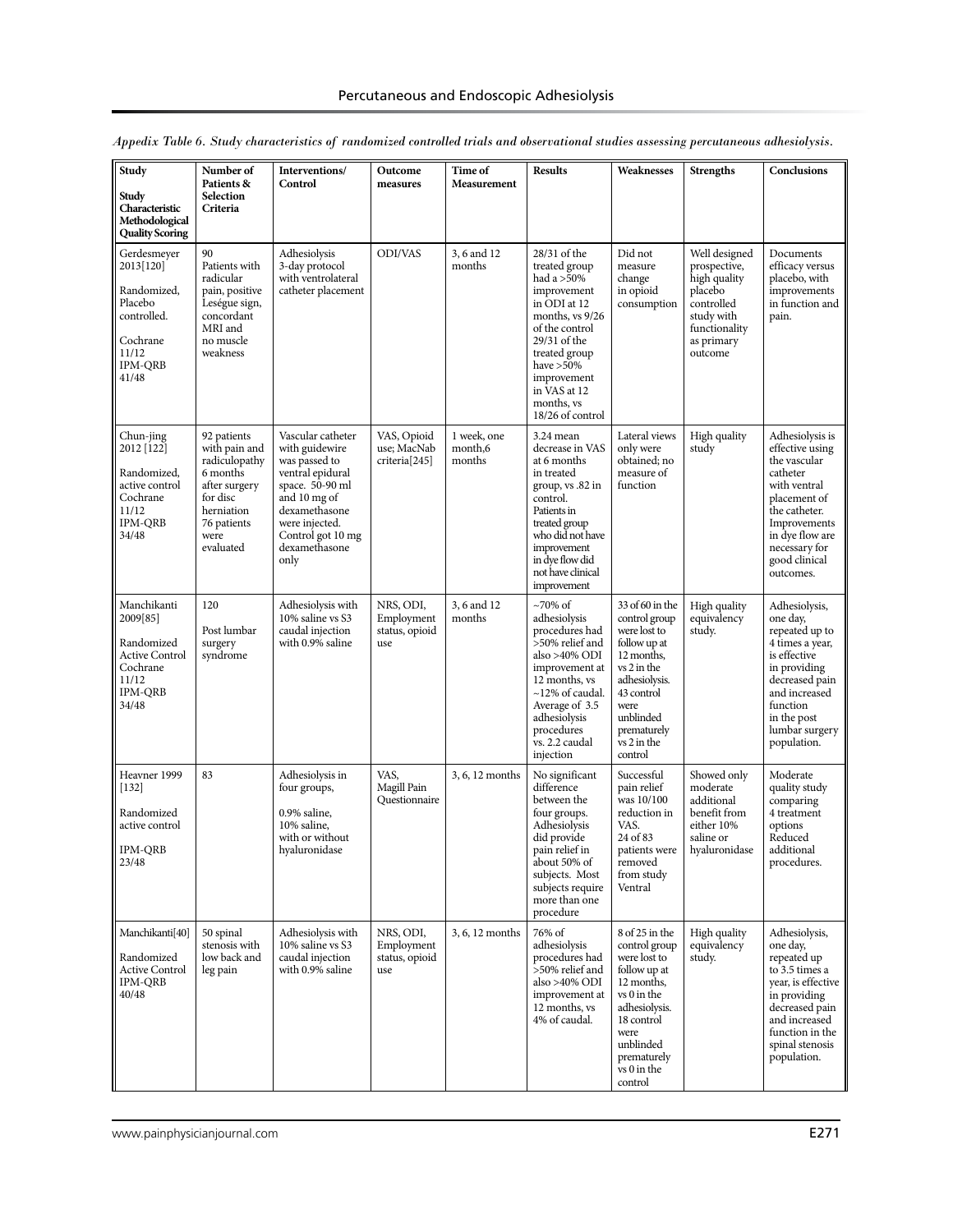| Study<br>Study<br>Characteristic<br>Methodological<br><b>Quality Scoring</b>                                      | Number of<br>Patients &<br>Selection<br>Criteria                                                                                         | Interventions/<br>Control                                                                                                                                                                    | Outcome<br>measures                                     | Time of<br>Measurement           | <b>Results</b>                                                                                                                                                                                                                    | Weaknesses                                                                                                                                                                                 | <b>Strengths</b>                                                                                                               | Conclusions                                                                                                                                                                                       |
|-------------------------------------------------------------------------------------------------------------------|------------------------------------------------------------------------------------------------------------------------------------------|----------------------------------------------------------------------------------------------------------------------------------------------------------------------------------------------|---------------------------------------------------------|----------------------------------|-----------------------------------------------------------------------------------------------------------------------------------------------------------------------------------------------------------------------------------|--------------------------------------------------------------------------------------------------------------------------------------------------------------------------------------------|--------------------------------------------------------------------------------------------------------------------------------|---------------------------------------------------------------------------------------------------------------------------------------------------------------------------------------------------|
| Gerdesmeyer<br>2013[120]<br>Randomized,<br>Placebo<br>controlled.<br>Cochrane<br>11/12<br><b>IPM-ORB</b><br>41/48 | 90<br>Patients with<br>radicular<br>pain, positive<br>Leségue sign,<br>concordant<br>MRI and<br>no muscle<br>weakness                    | Adhesiolysis<br>3-day protocol<br>with ventrolateral<br>catheter placement                                                                                                                   | ODI/VAS                                                 | 3, 6 and 12<br>months            | 28/31 of the<br>treated group<br>had a >50%<br>improvement<br>in ODI at 12<br>months, vs 9/26<br>of the control<br>29/31 of the<br>treated group<br>have $>50\%$<br>improvement<br>in VAS at 12<br>months, ys<br>18/26 of control | Did not<br>measure<br>change<br>in opioid<br>consumption                                                                                                                                   | Well designed<br>prospective,<br>high quality<br>placebo<br>controlled<br>study with<br>functionality<br>as primary<br>outcome | Documents<br>efficacy versus<br>placebo, with<br>improvements<br>in function and<br>pain.                                                                                                         |
| Chun-jing<br>2012 [122]<br>Randomized,<br>active control<br>Cochrane<br>11/12<br><b>IPM-QRB</b><br>34/48          | 92 patients<br>with pain and<br>radiculopathy<br>6 months<br>after surgery<br>for disc<br>herniation<br>76 patients<br>were<br>evaluated | Vascular catheter<br>with guidewire<br>was passed to<br>ventral epidural<br>space. 50-90 ml<br>and 10 mg of<br>dexamethasone<br>were injected.<br>Control got 10 mg<br>dexamethasone<br>only | VAS, Opioid<br>use; MacNab<br>criteria <sup>[245]</sup> | 1 week, one<br>month,6<br>months | 3.24 mean<br>decrease in VAS<br>at 6 months<br>in treated<br>group, vs .82 in<br>control.<br>Patients in<br>treated group<br>who did not have<br>improvement<br>in dve flow did<br>not have clinical<br>improvement               | Lateral views<br>only were<br>obtained; no<br>measure of<br>function                                                                                                                       | High quality<br>study                                                                                                          | Adhesiolysis is<br>effective using<br>the vascular<br>catheter<br>with ventral<br>placement of<br>the catheter.<br>Improvements<br>in dye flow are<br>necessary for<br>good clinical<br>outcomes. |
| Manchikanti<br>2009[85]<br>Randomized<br><b>Active Control</b><br>Cochrane<br>11/12<br><b>IPM-QRB</b><br>34/48    | 120<br>Post lumbar<br>surgery<br>syndrome                                                                                                | Adhesiolysis with<br>10% saline vs S3<br>caudal injection<br>with 0.9% saline                                                                                                                | NRS, ODI,<br>Employment<br>status, opioid<br>use        | 3, 6 and 12<br>months            | $\sim$ 70% of<br>adhesiolysis<br>procedures had<br>>50% relief and<br>also >40% ODI<br>improvement at<br>12 months, ys<br>$\sim$ 12% of caudal.<br>Average of 3.5<br>adhesiolysis<br>procedures<br>vs. 2.2 caudal<br>injection    | 33 of 60 in the<br>control group<br>were lost to<br>follow up at<br>12 months,<br>vs 2 in the<br>adhesiolysis.<br>43 control<br>were<br>unblinded<br>prematurely<br>vs 2 in the<br>control | High quality<br>equivalency<br>study.                                                                                          | Adhesiolysis,<br>one day,<br>repeated up to<br>4 times a year,<br>is effective<br>in providing<br>decreased pain<br>and increased<br>function<br>in the post<br>lumbar surgery<br>population.     |
| Heavner 1999<br>$[132]$<br>Randomized<br>active control<br><b>IPM-QRB</b><br>23/48                                | 83                                                                                                                                       | Adhesiolysis in<br>four groups,<br>0.9% saline,<br>10% saline,<br>with or without<br>hyaluronidase                                                                                           | VAS,<br>Magill Pain<br>Questionnaire                    | 3, 6, 12 months                  | No significant<br>difference<br>between the<br>four groups.<br>Adhesiolysis<br>did provide<br>pain relief in<br>about 50% of<br>subjects. Most<br>subjects require<br>more than one<br>procedure                                  | Successful<br>pain relief<br>was 10/100<br>reduction in<br>VAS.<br>24 of 83<br>patients were<br>removed<br>from study<br>Ventral                                                           | Showed only<br>moderate<br>additional<br>benefit from<br>either 10%<br>saline or<br>hyaluronidase                              | Moderate<br>quality study<br>comparing<br>4 treatment<br>options<br>Reduced<br>additional<br>procedures.                                                                                          |
| Manchikanti[40]<br>Randomized<br><b>Active Control</b><br><b>IPM-QRB</b><br>40/48                                 | 50 spinal<br>stenosis with<br>low back and<br>leg pain                                                                                   | Adhesiolysis with<br>10% saline vs S3<br>caudal injection<br>with 0.9% saline                                                                                                                | NRS, ODI,<br>Employment<br>status, opioid<br>use        | 3, 6, 12 months                  | 76% of<br>adhesiolysis<br>procedures had<br>>50% relief and<br>also >40% ODI<br>improvement at<br>12 months, vs<br>4% of caudal.                                                                                                  | 8 of 25 in the<br>control group<br>were lost to<br>follow up at<br>12 months,<br>vs 0 in the<br>adhesiolysis.<br>18 control<br>were<br>unblinded<br>prematurely<br>vs 0 in the<br>control  | High quality<br>equivalency<br>study.                                                                                          | Adhesiolysis,<br>one day,<br>repeated up<br>to 3.5 times a<br>year, is effective<br>in providing<br>decreased pain<br>and increased<br>function in the<br>spinal stenosis<br>population.          |

|  |  |  |  |  |  |  |  | Appedix Table 6. Study characteristics of randomized controlled trials and observational studies assessing percutaneous adhesiolysis. |  |
|--|--|--|--|--|--|--|--|---------------------------------------------------------------------------------------------------------------------------------------|--|
|  |  |  |  |  |  |  |  |                                                                                                                                       |  |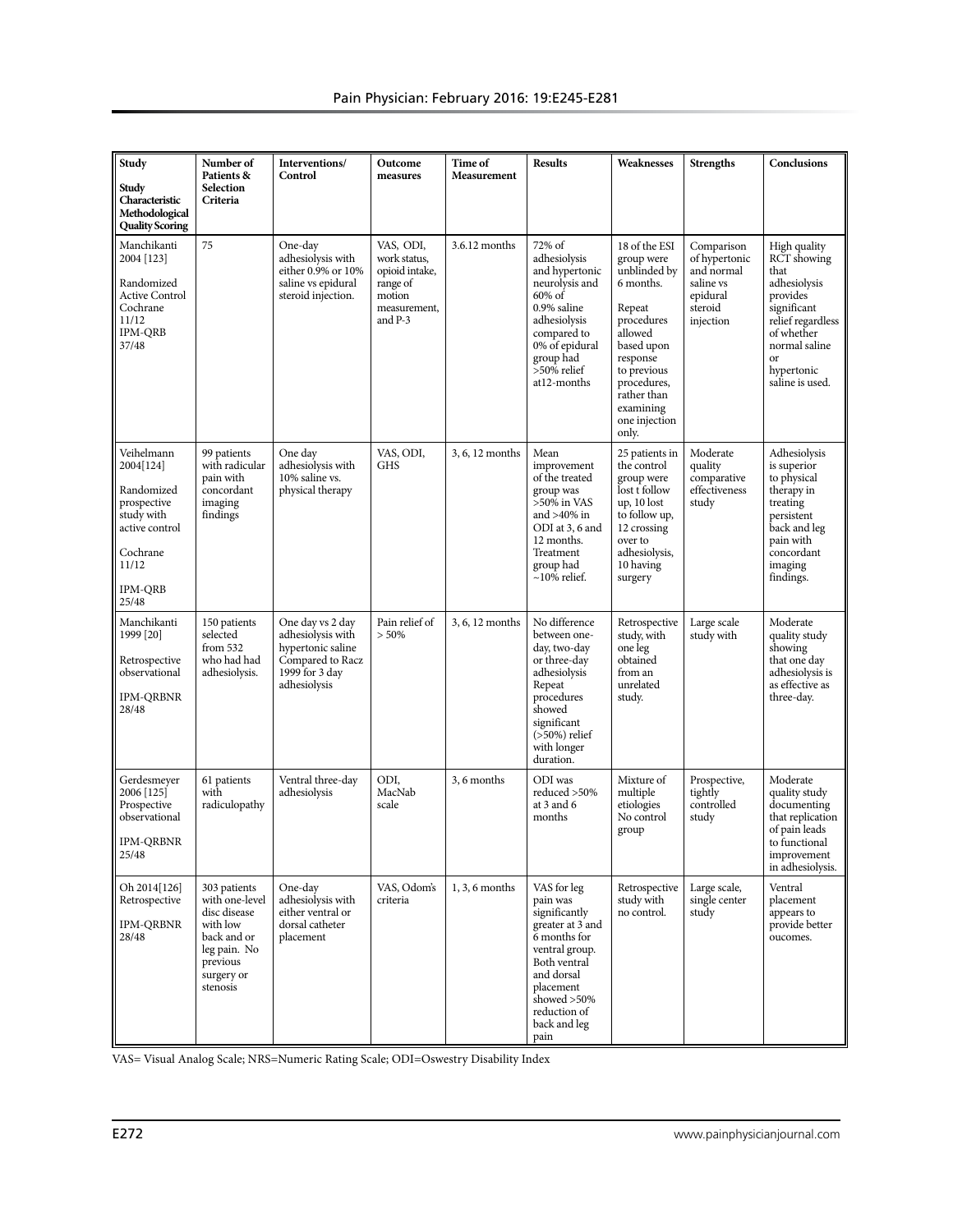| Study<br>Study<br>Characteristic<br>Methodological<br><b>Quality Scoring</b>                                                         | Number of<br>Patients &<br>Selection<br>Criteria                                                                                | Interventions/<br>Control                                                                                        | Outcome<br>measures                                                                          | Time of<br>Measurement | <b>Results</b>                                                                                                                                                                                   | Weaknesses                                                                                                                                                                                                | <b>Strengths</b>                                                                           | Conclusions                                                                                                                                                                          |
|--------------------------------------------------------------------------------------------------------------------------------------|---------------------------------------------------------------------------------------------------------------------------------|------------------------------------------------------------------------------------------------------------------|----------------------------------------------------------------------------------------------|------------------------|--------------------------------------------------------------------------------------------------------------------------------------------------------------------------------------------------|-----------------------------------------------------------------------------------------------------------------------------------------------------------------------------------------------------------|--------------------------------------------------------------------------------------------|--------------------------------------------------------------------------------------------------------------------------------------------------------------------------------------|
| Manchikanti<br>2004 [123]<br>Randomized<br><b>Active Control</b><br>Cochrane<br>11/12<br><b>IPM-ORB</b><br>37/48                     | 75                                                                                                                              | One-day<br>adhesiolysis with<br>either 0.9% or 10%<br>saline vs epidural<br>steroid injection.                   | VAS, ODI,<br>work status,<br>opioid intake,<br>range of<br>motion<br>measurement,<br>and P-3 | 3.6.12 months          | 72% of<br>adhesiolysis<br>and hypertonic<br>neurolysis and<br>60% of<br>0.9% saline<br>adhesiolysis<br>compared to<br>0% of epidural<br>group had<br>>50% relief<br>at12-months                  | 18 of the ESI<br>group were<br>unblinded by<br>6 months.<br>Repeat<br>procedures<br>allowed<br>based upon<br>response<br>to previous<br>procedures,<br>rather than<br>examining<br>one injection<br>only. | Comparison<br>of hypertonic<br>and normal<br>saline vs<br>epidural<br>steroid<br>injection | High quality<br>RCT showing<br>that<br>adhesiolysis<br>provides<br>significant<br>relief regardless<br>of whether<br>normal saline<br><sub>or</sub><br>hypertonic<br>saline is used. |
| Veihelmann<br>2004[124]<br>Randomized<br>prospective<br>study with<br>active control<br>Cochrane<br>11/12<br><b>IPM-QRB</b><br>25/48 | 99 patients<br>with radicular<br>pain with<br>concordant<br>imaging<br>findings                                                 | One day<br>adhesiolysis with<br>10% saline vs.<br>physical therapy                                               | VAS, ODI,<br><b>GHS</b>                                                                      | 3, 6, 12 months        | Mean<br>improvement<br>of the treated<br>group was<br>$>50\%$ in VAS<br>and $>40\%$ in<br>ODI at 3, 6 and<br>12 months.<br>Treatment<br>group had<br>$\sim$ 10% relief.                          | 25 patients in<br>the control<br>group were<br>lost t follow<br>up, 10 lost<br>to follow up,<br>12 crossing<br>over to<br>adhesiolysis,<br>10 having<br>surgery                                           | Moderate<br>quality<br>comparative<br>effectiveness<br>study                               | Adhesiolysis<br>is superior<br>to physical<br>therapy in<br>treating<br>persistent<br>back and leg<br>pain with<br>concordant<br>imaging<br>findings.                                |
| Manchikanti<br>1999 [20]<br>Retrospective<br>observational<br><b>IPM-QRBNR</b><br>28/48                                              | 150 patients<br>selected<br>from 532<br>who had had<br>adhesiolysis.                                                            | One day vs 2 day<br>adhesiolysis with<br>hypertonic saline<br>Compared to Racz<br>1999 for 3 day<br>adhesiolysis | Pain relief of<br>$> 50\%$                                                                   | 3, 6, 12 months        | No difference<br>between one-<br>day, two-day<br>or three-day<br>adhesiolysis<br>Repeat<br>procedures<br>showed<br>significant<br>$($ >50%) relief<br>with longer<br>duration.                   | Retrospective<br>study, with<br>one leg<br>obtained<br>from an<br>unrelated<br>study.                                                                                                                     | Large scale<br>study with                                                                  | Moderate<br>quality study<br>showing<br>that one day<br>adhesiolysis is<br>as effective as<br>three-day.                                                                             |
| Gerdesmever<br>2006 [125]<br>Prospective<br>observational<br><b>IPM-QRBNR</b><br>25/48                                               | 61 patients<br>with<br>radiculopathy                                                                                            | Ventral three-day<br>adhesiolysis                                                                                | ODI,<br>MacNab<br>scale                                                                      | 3, 6 months            | ODI was<br>reduced >50%<br>at 3 and 6<br>months                                                                                                                                                  | Mixture of<br>multiple<br>etiologies<br>No control<br>group                                                                                                                                               | Prospective,<br>tightly<br>controlled<br>study                                             | Moderate<br>quality study<br>documenting<br>that replication<br>of pain leads<br>to functional<br>improvement<br>in adhesiolysis.                                                    |
| Oh 2014[126]<br>Retrospective<br><b>IPM-QRBNR</b><br>28/48                                                                           | 303 patients<br>with one-level<br>disc disease<br>with low<br>back and or<br>leg pain. No<br>previous<br>surgery or<br>stenosis | One-day<br>adhesiolysis with<br>either ventral or<br>dorsal catheter<br>placement                                | VAS, Odom's<br>criteria                                                                      | $1, 3, 6$ months       | VAS for leg<br>pain was<br>significantly<br>greater at 3 and<br>6 months for<br>ventral group.<br>Both ventral<br>and dorsal<br>placement<br>showed >50%<br>reduction of<br>back and leg<br>pain | Retrospective<br>study with<br>no control.                                                                                                                                                                | Large scale,<br>single center<br>study                                                     | Ventral<br>placement<br>appears to<br>provide better<br>oucomes.                                                                                                                     |

VAS= Visual Analog Scale; NRS=Numeric Rating Scale; ODI=Oswestry Disability Index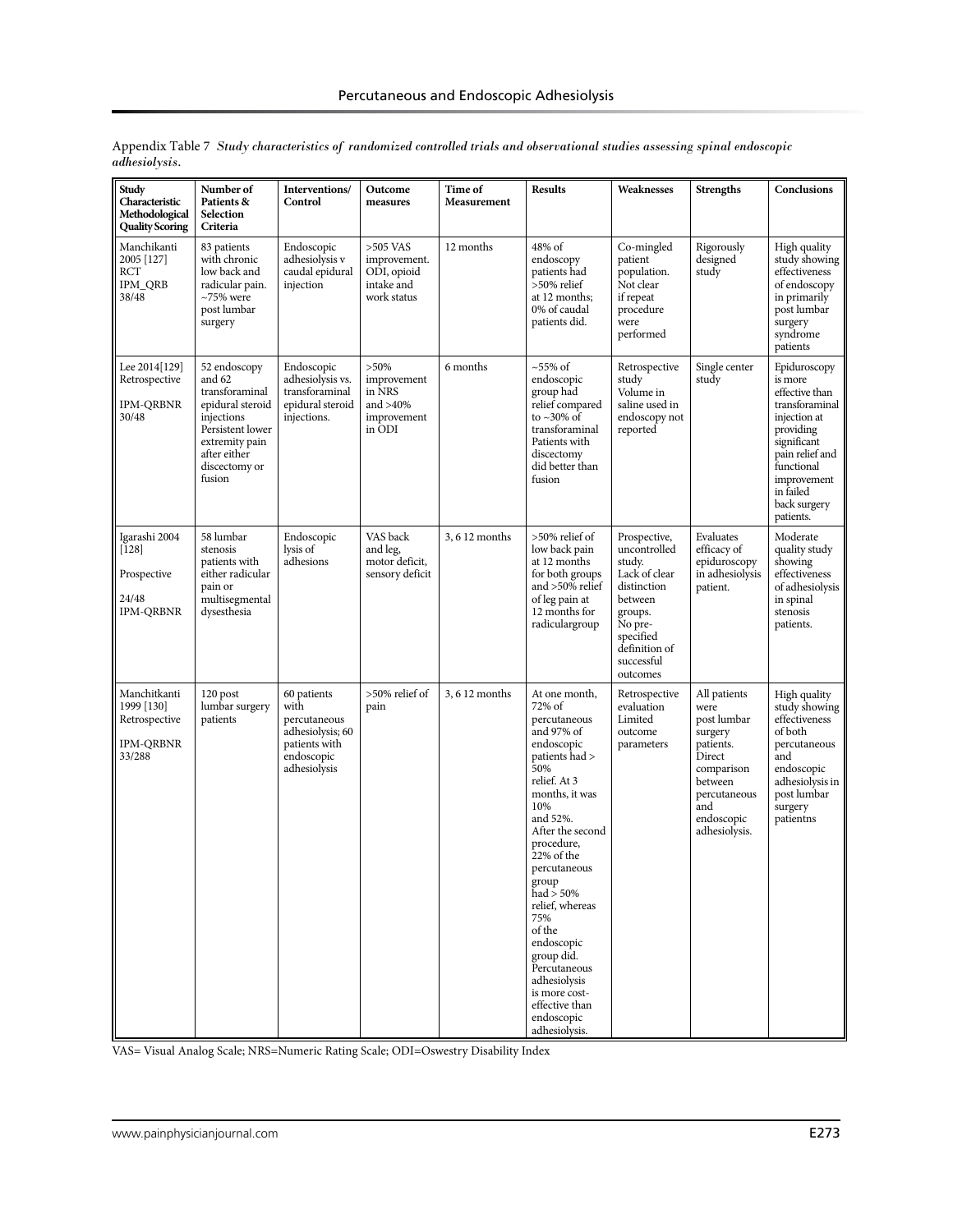| Study<br>Characteristic<br>Methodological<br><b>Quality Scoring</b>       | Number of<br>Patients &<br>Selection<br>Criteria                                                                                                            | Interventions/<br>Control                                                                              | Outcome<br>measures                                                      | Time of<br>Measurement | <b>Results</b>                                                                                                                                                                                                                                                                                                                                                                                                      | Weaknesses                                                                                                                                                      | <b>Strengths</b>                                                                                                                                     | Conclusions                                                                                                                                                                                       |
|---------------------------------------------------------------------------|-------------------------------------------------------------------------------------------------------------------------------------------------------------|--------------------------------------------------------------------------------------------------------|--------------------------------------------------------------------------|------------------------|---------------------------------------------------------------------------------------------------------------------------------------------------------------------------------------------------------------------------------------------------------------------------------------------------------------------------------------------------------------------------------------------------------------------|-----------------------------------------------------------------------------------------------------------------------------------------------------------------|------------------------------------------------------------------------------------------------------------------------------------------------------|---------------------------------------------------------------------------------------------------------------------------------------------------------------------------------------------------|
| Manchikanti<br>2005 [127]<br>RCT<br><b>IPM_QRB</b><br>38/48               | 83 patients<br>with chronic<br>low back and<br>radicular pain.<br>$\sim$ 75% were<br>post lumbar<br>surgery                                                 | Endoscopic<br>adhesiolysis v<br>caudal epidural<br>injection                                           | $>505$ VAS<br>improvement.<br>ODI, opioid<br>intake and<br>work status   | 12 months              | 48% of<br>endoscopy<br>patients had<br>>50% relief<br>at 12 months;<br>0% of caudal<br>patients did.                                                                                                                                                                                                                                                                                                                | Co-mingled<br>patient<br>population.<br>Not clear<br>if repeat<br>procedure<br>were<br>performed                                                                | Rigorously<br>designed<br>study                                                                                                                      | High quality<br>study showing<br>effectiveness<br>of endoscopy<br>in primarily<br>post lumbar<br>surgery<br>syndrome<br>patients                                                                  |
| Lee 2014[129]<br>Retrospective<br><b>IPM-QRBNR</b><br>30/48               | 52 endoscopy<br>and 62<br>transforaminal<br>epidural steroid<br>injections<br>Persistent lower<br>extremity pain<br>after either<br>discectomy or<br>fusion | Endoscopic<br>adhesiolysis vs.<br>transforaminal<br>epidural steroid<br>injections.                    | $>50\%$<br>improvement<br>in NRS<br>and $>40\%$<br>improvement<br>in ODI | 6 months               | $\sim$ 55% of<br>endoscopic<br>group had<br>relief compared<br>to $\sim$ 30% of<br>transforaminal<br>Patients with<br>discectomy<br>did better than<br>fusion                                                                                                                                                                                                                                                       | Retrospective<br>study<br>Volume in<br>saline used in<br>endoscopy not<br>reported                                                                              | Single center<br>study                                                                                                                               | Epiduroscopy<br>is more<br>effective than<br>transforaminal<br>injection at<br>providing<br>significant<br>pain relief and<br>functional<br>improvement<br>in failed<br>back surgery<br>patients. |
| Igarashi 2004<br>$[128]$<br>Prospective<br>24/48<br><b>IPM-QRBNR</b>      | 58 lumbar<br>stenosis<br>patients with<br>either radicular<br>pain or<br>multisegmental<br>dysesthesia                                                      | Endoscopic<br>lysis of<br>adhesions                                                                    | VAS back<br>and leg,<br>motor deficit,<br>sensory deficit                | 3, 6 12 months         | >50% relief of<br>low back pain<br>at 12 months<br>for both groups<br>and >50% relief<br>of leg pain at<br>12 months for<br>radiculargroup                                                                                                                                                                                                                                                                          | Prospective,<br>uncontrolled<br>study.<br>Lack of clear<br>distinction<br>between<br>groups.<br>No pre-<br>specified<br>definition of<br>successful<br>outcomes | Evaluates<br>efficacy of<br>epiduroscopy<br>in adhesiolysis<br>patient.                                                                              | Moderate<br>quality study<br>showing<br>effectiveness<br>of adhesiolysis<br>in spinal<br>stenosis<br>patients.                                                                                    |
| Manchitkanti<br>1999 [130]<br>Retrospective<br><b>IPM-QRBNR</b><br>33/288 | $120$ post<br>lumbar surgery<br>patients                                                                                                                    | 60 patients<br>with<br>percutaneous<br>adhesiolysis; 60<br>patients with<br>endoscopic<br>adhesiolysis | $>50\%$ relief of<br>pain                                                | 3, 6 12 months         | At one month,<br>72% of<br>percutaneous<br>and 97% of<br>endoscopic<br>patients had ><br>50%<br>relief. At 3<br>months, it was<br>10%<br>and 52%.<br>After the second<br>procedure,<br>$22%$ of the<br>percutaneous<br>group<br>had $> 50\%$<br>relief, whereas<br>75%<br>of the<br>endoscopic<br>group did.<br>Percutaneous<br>$\!$ adhesiolysis<br>is more cost-<br>effective than<br>endoscopic<br>adhesiolysis. | Retrospective<br>evaluation<br>Limited<br>outcome<br>parameters                                                                                                 | All patients<br>were<br>post lumbar<br>surgery<br>patients.<br>Direct<br>comparison<br>between<br>percutaneous<br>and<br>endoscopic<br>adhesiolysis. | High quality<br>study showing<br>effectiveness<br>of both<br>percutaneous<br>and<br>endoscopic<br>adhesiolysis in<br>post lumbar<br>surgery<br>patientns                                          |

Appendix Table 7 *Study characteristics of randomized controlled trials and observational studies assessing spinal endoscopic adhesiolysis.*

VAS= Visual Analog Scale; NRS=Numeric Rating Scale; ODI=Oswestry Disability Index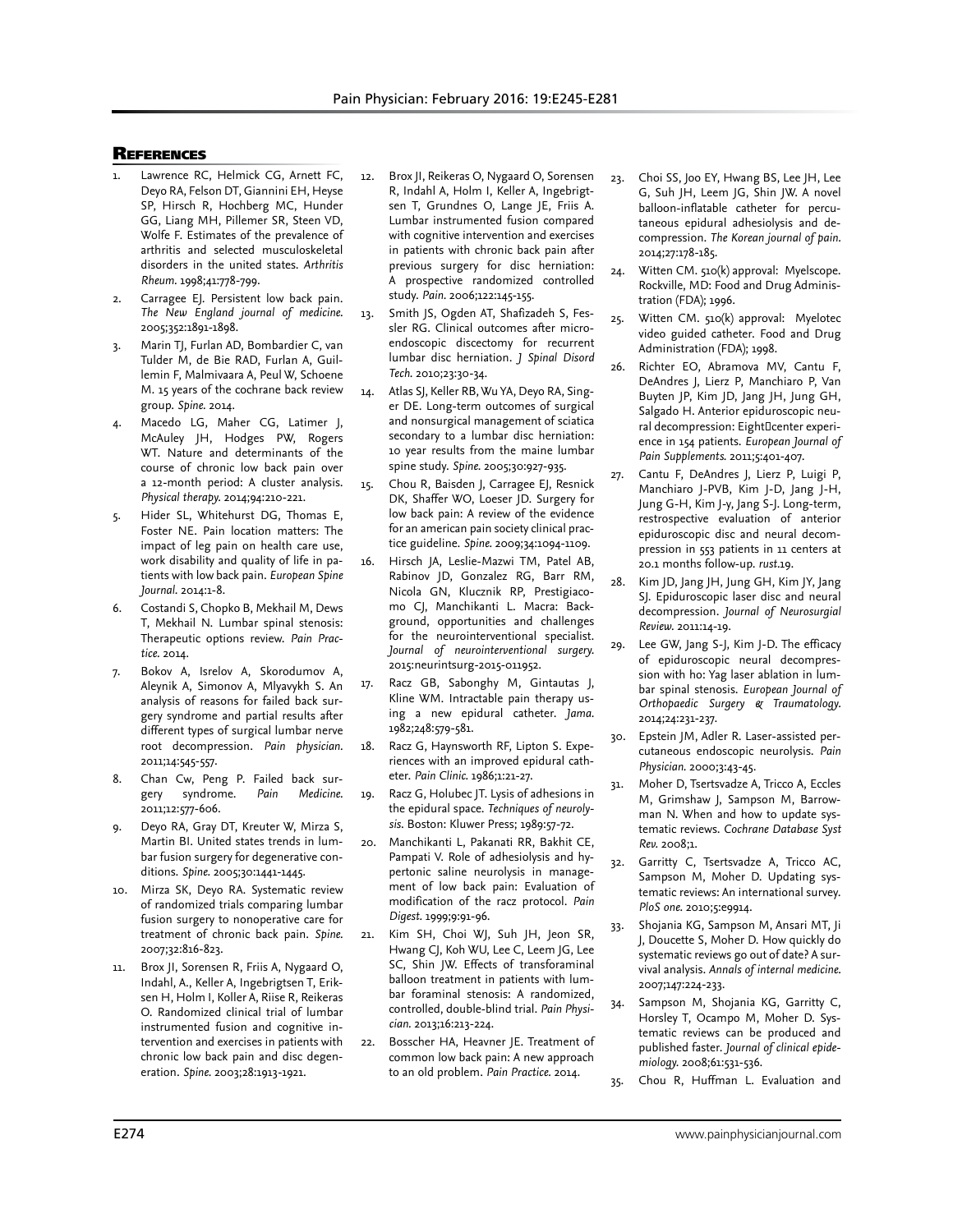#### **REFERENCES**

- Lawrence RC, Helmick CG, Arnett FC, Deyo RA, Felson DT, Giannini EH, Heyse SP, Hirsch R, Hochberg MC, Hunder GG, Liang MH, Pillemer SR, Steen VD, Wolfe F. Estimates of the prevalence of arthritis and selected musculoskeletal disorders in the united states. *Arthritis Rheum.* 1998;41:778-799.
- 2. Carragee EJ. Persistent low back pain. *The New England journal of medicine.*  2005;352:1891-1898.
- 3. Marin TJ, Furlan AD, Bombardier C, van Tulder M, de Bie RAD, Furlan A, Guillemin F, Malmivaara A, Peul W, Schoene M. 15 years of the cochrane back review group. *Spine.* 2014.
- Macedo LG, Maher CG, Latimer J, McAuley JH, Hodges PW, Rogers WT. Nature and determinants of the course of chronic low back pain over a 12-month period: A cluster analysis. *Physical therapy.* 2014;94:210-221.
- 5. Hider SL, Whitehurst DG, Thomas E, Foster NE. Pain location matters: The impact of leg pain on health care use, work disability and quality of life in patients with low back pain. *European Spine Journal.* 2014:1-8.
- 6. Costandi S, Chopko B, Mekhail M, Dews T, Mekhail N. Lumbar spinal stenosis: Therapeutic options review. *Pain Practice.* 2014.
- 7. Bokov A, Isrelov A, Skorodumov A, Aleynik A, Simonov A, Mlyavykh S. An analysis of reasons for failed back surgery syndrome and partial results after different types of surgical lumbar nerve root decompression. *Pain physician.*  2011;14:545-557.
- 8. Chan Cw, Peng P. Failed back surgery syndrome. *Pain Medicine.*  2011;12:577-606.
- 9. Deyo RA, Gray DT, Kreuter W, Mirza S, Martin BI. United states trends in lumbar fusion surgery for degenerative conditions. *Spine.* 2005;30:1441-1445.
- 10. Mirza SK, Deyo RA. Systematic review of randomized trials comparing lumbar fusion surgery to nonoperative care for treatment of chronic back pain. *Spine.*  2007;32:816-823.
- 11. Brox JI, Sorensen R, Friis A, Nygaard O, Indahl, A., Keller A, Ingebrigtsen T, Eriksen H, Holm I, Koller A, Riise R, Reikeras O. Randomized clinical trial of lumbar instrumented fusion and cognitive intervention and exercises in patients with chronic low back pain and disc degeneration. *Spine.* 2003;28:1913-1921.
- 12. Brox JI, Reikeras O, Nygaard O, Sorensen R, Indahl A, Holm I, Keller A, Ingebrigtsen T, Grundnes O, Lange JE, Friis A. Lumbar instrumented fusion compared with cognitive intervention and exercises in patients with chronic back pain after previous surgery for disc herniation: A prospective randomized controlled study. *Pain.* 2006;122:145-155.
- 13. Smith JS, Ogden AT, Shafizadeh S, Fessler RG. Clinical outcomes after microendoscopic discectomy for recurrent lumbar disc herniation. *J Spinal Disord Tech.* 2010;23:30-34.
- 14. Atlas SJ, Keller RB, Wu YA, Deyo RA, Singer DE. Long-term outcomes of surgical and nonsurgical management of sciatica secondary to a lumbar disc herniation: 10 year results from the maine lumbar spine study. *Spine.* 2005;30:927-935.
- 15. Chou R, Baisden J, Carragee EJ, Resnick DK, Shaffer WO, Loeser JD. Surgery for low back pain: A review of the evidence for an american pain society clinical practice guideline. *Spine.* 2009;34:1094-1109.
- 16. Hirsch JA, Leslie-Mazwi TM, Patel AB, Rabinov JD, Gonzalez RG, Barr RM, Nicola GN, Klucznik RP, Prestigiacomo CJ, Manchikanti L. Macra: Background, opportunities and challenges for the neurointerventional specialist. *Journal of neurointerventional surgery.*  2015:neurintsurg-2015-011952.
- 17. Racz GB, Sabonghy M, Gintautas J, Kline WM. Intractable pain therapy using a new epidural catheter. *Jama.*  1982;248:579-581.
- 18. Racz G, Haynsworth RF, Lipton S. Experiences with an improved epidural catheter. *Pain Clinic.* 1986;1:21-27.
- 19. Racz G, Holubec JT. Lysis of adhesions in the epidural space. *Techniques of neurolysis*. Boston: Kluwer Press; 1989:57-72.
- 20. Manchikanti L, Pakanati RR, Bakhit CE, Pampati V. Role of adhesiolysis and hypertonic saline neurolysis in management of low back pain: Evaluation of modification of the racz protocol. *Pain Digest.* 1999;9:91-96.
- 21. Kim SH, Choi WJ, Suh JH, Jeon SR, Hwang CJ, Koh WU, Lee C, Leem JG, Lee SC, Shin JW. Effects of transforaminal balloon treatment in patients with lumbar foraminal stenosis: A randomized, controlled, double-blind trial. *Pain Physician.* 2013;16:213-224.
- 22. Bosscher HA, Heavner JE. Treatment of common low back pain: A new approach to an old problem. *Pain Practice.* 2014.
- 23. Choi SS, Joo EY, Hwang BS, Lee JH, Lee G, Suh JH, Leem JG, Shin JW. A novel balloon-inflatable catheter for percutaneous epidural adhesiolysis and decompression. *The Korean journal of pain.*  2014;27:178-185.
- 24. Witten CM. 510(k) approval: Myelscope. Rockville, MD: Food and Drug Administration (FDA); 1996.
- 25. Witten CM. 510(k) approval: Myelotec video guided catheter. Food and Drug Administration (FDA); 1998.
- 26. Richter EO, Abramova MV, Cantu F, DeAndres J, Lierz P, Manchiaro P, Van Buyten JP, Kim JD, Jang JH, Jung GH, Salgado H. Anterior epiduroscopic neural decompression: Eight center experience in 154 patients. *European Journal of Pain Supplements.* 2011;5:401-407.
- 27. Cantu F, DeAndres J, Lierz P, Luigi P, Manchiaro J-PVB, Kim J-D, Jang J-H, Jung G-H, Kim J-y, Jang S-J. Long-term, restrospective evaluation of anterior epiduroscopic disc and neural decompression in 553 patients in 11 centers at 20.1 months follow-up. *rust.*19.
- 28. Kim JD, Jang JH, Jung GH, Kim JY, Jang SJ. Epiduroscopic laser disc and neural decompression. *Journal of Neurosurgial Review.* 2011:14-19.
- 29. Lee GW, Jang S-J, Kim J-D. The efficacy of epiduroscopic neural decompression with ho: Yag laser ablation in lumbar spinal stenosis. *European Journal of Orthopaedic Surgery & Traumatology.*  2014;24:231-237.
- 30. Epstein JM, Adler R. Laser-assisted percutaneous endoscopic neurolysis. *Pain Physician.* 2000;3:43-45.
- 31. Moher D, Tsertsvadze A, Tricco A, Eccles M, Grimshaw J, Sampson M, Barrowman N. When and how to update systematic reviews. *Cochrane Database Syst Rev.* 2008;1.
- 32. Garritty C, Tsertsvadze A, Tricco AC, Sampson M, Moher D. Updating systematic reviews: An international survey. *PloS one.* 2010;5:e9914.
- 33. Shojania KG, Sampson M, Ansari MT, Ji J, Doucette S, Moher D. How quickly do systematic reviews go out of date? A survival analysis. *Annals of internal medicine.*  2007;147:224-233.
- 34. Sampson M, Shojania KG, Garritty C, Horsley T, Ocampo M, Moher D. Systematic reviews can be produced and published faster. *Journal of clinical epidemiology.* 2008;61:531-536.
- 35. Chou R, Huffman L. Evaluation and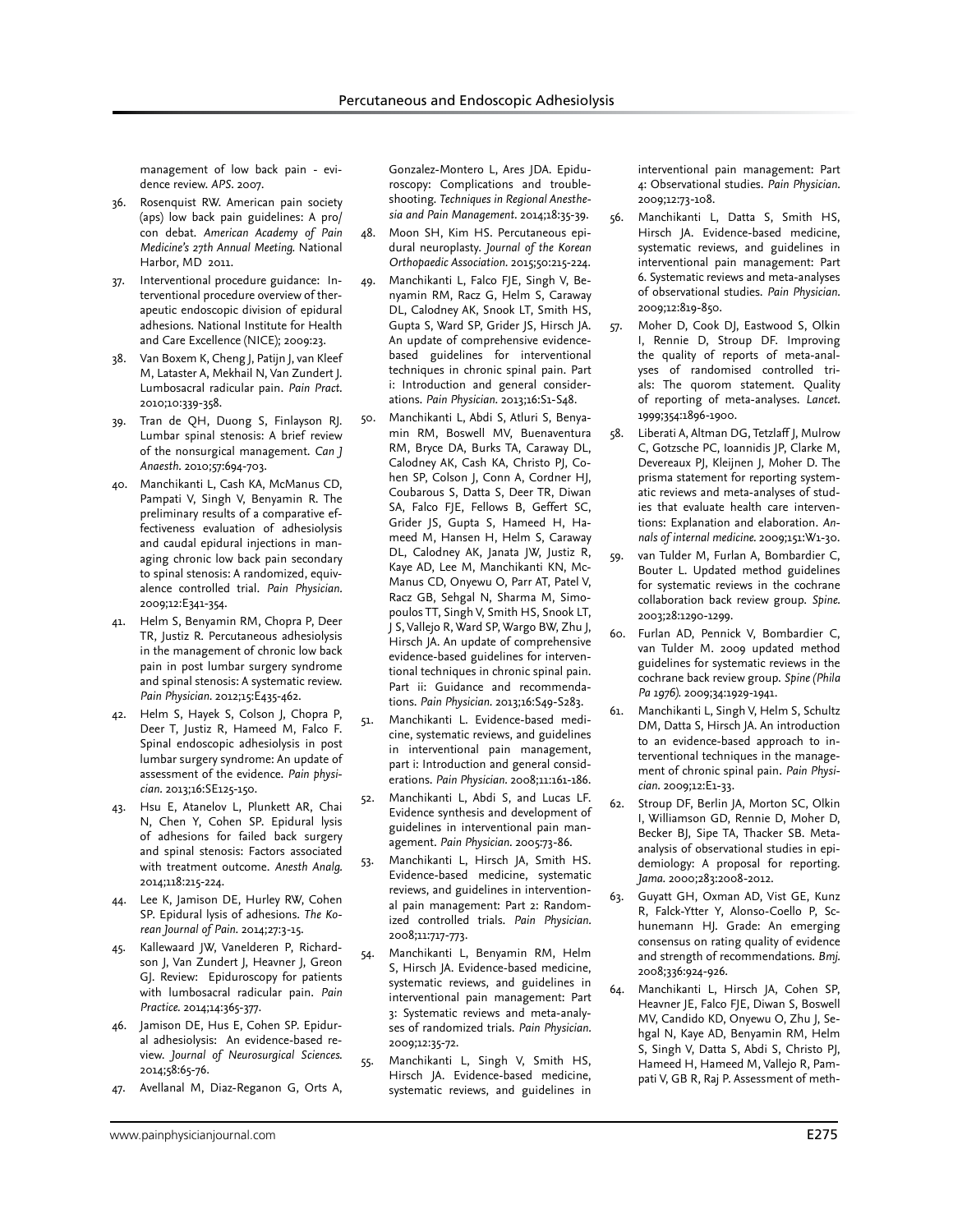management of low back pain - evidence review. *APS.* 2007.

- 36. Rosenquist RW. American pain society (aps) low back pain guidelines: A pro/ con debat. *American Academy of Pain Medicine's 27th Annual Meeting.* National Harbor, MD 2011.
- 37. Interventional procedure guidance: Interventional procedure overview of therapeutic endoscopic division of epidural adhesions. National Institute for Health and Care Excellence (NICE); 2009:23.
- 38. Van Boxem K, Cheng J, Patijn J, van Kleef M, Lataster A, Mekhail N, Van Zundert J. Lumbosacral radicular pain. *Pain Pract.*  2010;10:339-358.
- 39. Tran de QH, Duong S, Finlayson RJ. Lumbar spinal stenosis: A brief review of the nonsurgical management. *Can J Anaesth.* 2010;57:694-703.
- 40. Manchikanti L, Cash KA, McManus CD, Pampati V, Singh V, Benyamin R. The preliminary results of a comparative effectiveness evaluation of adhesiolysis and caudal epidural injections in managing chronic low back pain secondary to spinal stenosis: A randomized, equivalence controlled trial. *Pain Physician.*  2009;12:E341-354.
- 41. Helm S, Benyamin RM, Chopra P, Deer TR, Justiz R. Percutaneous adhesiolysis in the management of chronic low back pain in post lumbar surgery syndrome and spinal stenosis: A systematic review. *Pain Physician.* 2012;15:E435-462.
- 42. Helm S, Hayek S, Colson J, Chopra P, Deer T, Justiz R, Hameed M, Falco F. Spinal endoscopic adhesiolysis in post lumbar surgery syndrome: An update of assessment of the evidence. *Pain physician.* 2013;16:SE125-150.
- 43. Hsu E, Atanelov L, Plunkett AR, Chai N, Chen Y, Cohen SP. Epidural lysis of adhesions for failed back surgery and spinal stenosis: Factors associated with treatment outcome. *Anesth Analg.*  2014;118:215-224.
- 44. Lee K, Jamison DE, Hurley RW, Cohen SP. Epidural lysis of adhesions. *The Korean Journal of Pain.* 2014;27:3-15.
- 45. Kallewaard JW, Vanelderen P, Richardson J, Van Zundert J, Heavner J, Greon GJ. Review: Epiduroscopy for patients with lumbosacral radicular pain. *Pain Practice.* 2014;14:365-377.
- 46. Jamison DE, Hus E, Cohen SP. Epidural adhesiolysis: An evidence-based review. *Journal of Neurosurgical Sciences.*  2014;58:65-76.
- 47. Avellanal M, Diaz-Reganon G, Orts A,

Gonzalez-Montero L, Ares JDA. Epiduroscopy: Complications and troubleshooting. *Techniques in Regional Anesthesia and Pain Management.* 2014;18:35-39.

- 48. Moon SH, Kim HS. Percutaneous epidural neuroplasty. *Journal of the Korean Orthopaedic Association.* 2015;50:215-224.
- 49. Manchikanti L, Falco FJE, Singh V, Benyamin RM, Racz G, Helm S, Caraway DL, Calodney AK, Snook LT, Smith HS, Gupta S, Ward SP, Grider JS, Hirsch JA. An update of comprehensive evidencebased guidelines for interventional techniques in chronic spinal pain. Part i: Introduction and general considerations. *Pain Physician.* 2013;16:S1-S48.
- 50. Manchikanti L, Abdi S, Atluri S, Benyamin RM, Boswell MV, Buenaventura RM, Bryce DA, Burks TA, Caraway DL, Calodney AK, Cash KA, Christo PJ, Cohen SP, Colson J, Conn A, Cordner HJ, Coubarous S, Datta S, Deer TR, Diwan SA, Falco FJE, Fellows B, Geffert SC, Grider JS, Gupta S, Hameed H, Hameed M, Hansen H, Helm S, Caraway DL, Calodney AK, Janata JW, Justiz R, Kaye AD, Lee M, Manchikanti KN, Mc-Manus CD, Onyewu O, Parr AT, Patel V, Racz GB, Sehgal N, Sharma M, Simopoulos TT, Singh V, Smith HS, Snook LT, J S, Vallejo R, Ward SP, Wargo BW, Zhu J, Hirsch JA. An update of comprehensive evidence-based guidelines for interventional techniques in chronic spinal pain. Part ii: Guidance and recommendations. *Pain Physician.* 2013;16:S49-S283.
- 51. Manchikanti L. Evidence-based medicine, systematic reviews, and guidelines in interventional pain management, part i: Introduction and general considerations. *Pain Physician.* 2008;11:161-186.
- 52. Manchikanti L, Abdi S, and Lucas LF. Evidence synthesis and development of guidelines in interventional pain management. *Pain Physician.* 2005:73-86.
- 53. Manchikanti L, Hirsch JA, Smith HS. Evidence-based medicine, systematic reviews, and guidelines in interventional pain management: Part 2: Randomized controlled trials. *Pain Physician.*  2008;11:717-773.
- 54. Manchikanti L, Benyamin RM, Helm S, Hirsch JA. Evidence-based medicine, systematic reviews, and guidelines in interventional pain management: Part 3: Systematic reviews and meta-analyses of randomized trials. *Pain Physician.*  2009;12:35-72.
- 55. Manchikanti L, Singh V, Smith HS, Hirsch JA. Evidence-based medicine, systematic reviews, and guidelines in

interventional pain management: Part 4: Observational studies. *Pain Physician.*  2009;12:73-108.

56. Manchikanti L, Datta S, Smith HS, Hirsch JA. Evidence-based medicine, systematic reviews, and guidelines in interventional pain management: Part 6. Systematic reviews and meta-analyses of observational studies. *Pain Physician.*  2009;12:819-850.

- 57. Moher D, Cook DJ, Eastwood S, Olkin I, Rennie D, Stroup DF. Improving the quality of reports of meta-analyses of randomised controlled trials: The quorom statement. Quality of reporting of meta-analyses. *Lancet.*  1999;354:1896-1900.
- 58. Liberati A, Altman DG, Tetzlaff J, Mulrow C, Gotzsche PC, Ioannidis JP, Clarke M, Devereaux PJ, Kleijnen J, Moher D. The prisma statement for reporting systematic reviews and meta-analyses of studies that evaluate health care interventions: Explanation and elaboration. *Annals of internal medicine.* 2009;151:W1-30.
- van Tulder M, Furlan A, Bombardier C, Bouter L. Updated method guidelines for systematic reviews in the cochrane collaboration back review group. *Spine.*  2003;28:1290-1299.
- 60. Furlan AD, Pennick V, Bombardier C, van Tulder M. 2009 updated method guidelines for systematic reviews in the cochrane back review group. *Spine (Phila Pa 1976).* 2009;34:1929-1941.
- 61. Manchikanti L, Singh V, Helm S, Schultz DM, Datta S, Hirsch JA. An introduction to an evidence-based approach to interventional techniques in the management of chronic spinal pain. *Pain Physician.* 2009;12:E1-33.
- 62. Stroup DF, Berlin JA, Morton SC, Olkin I, Williamson GD, Rennie D, Moher D, Becker BJ, Sipe TA, Thacker SB. Metaanalysis of observational studies in epidemiology: A proposal for reporting. *Jama.* 2000;283:2008-2012.
- 63. Guyatt GH, Oxman AD, Vist GE, Kunz R, Falck-Ytter Y, Alonso-Coello P, Schunemann HJ. Grade: An emerging consensus on rating quality of evidence and strength of recommendations. *Bmj.*  2008;336:924-926.
- 64. Manchikanti L, Hirsch JA, Cohen SP, Heavner JE, Falco FJE, Diwan S, Boswell MV, Candido KD, Onyewu O, Zhu J, Sehgal N, Kaye AD, Benyamin RM, Helm S, Singh V, Datta S, Abdi S, Christo PJ, Hameed H, Hameed M, Vallejo R, Pampati V, GB R, Raj P. Assessment of meth-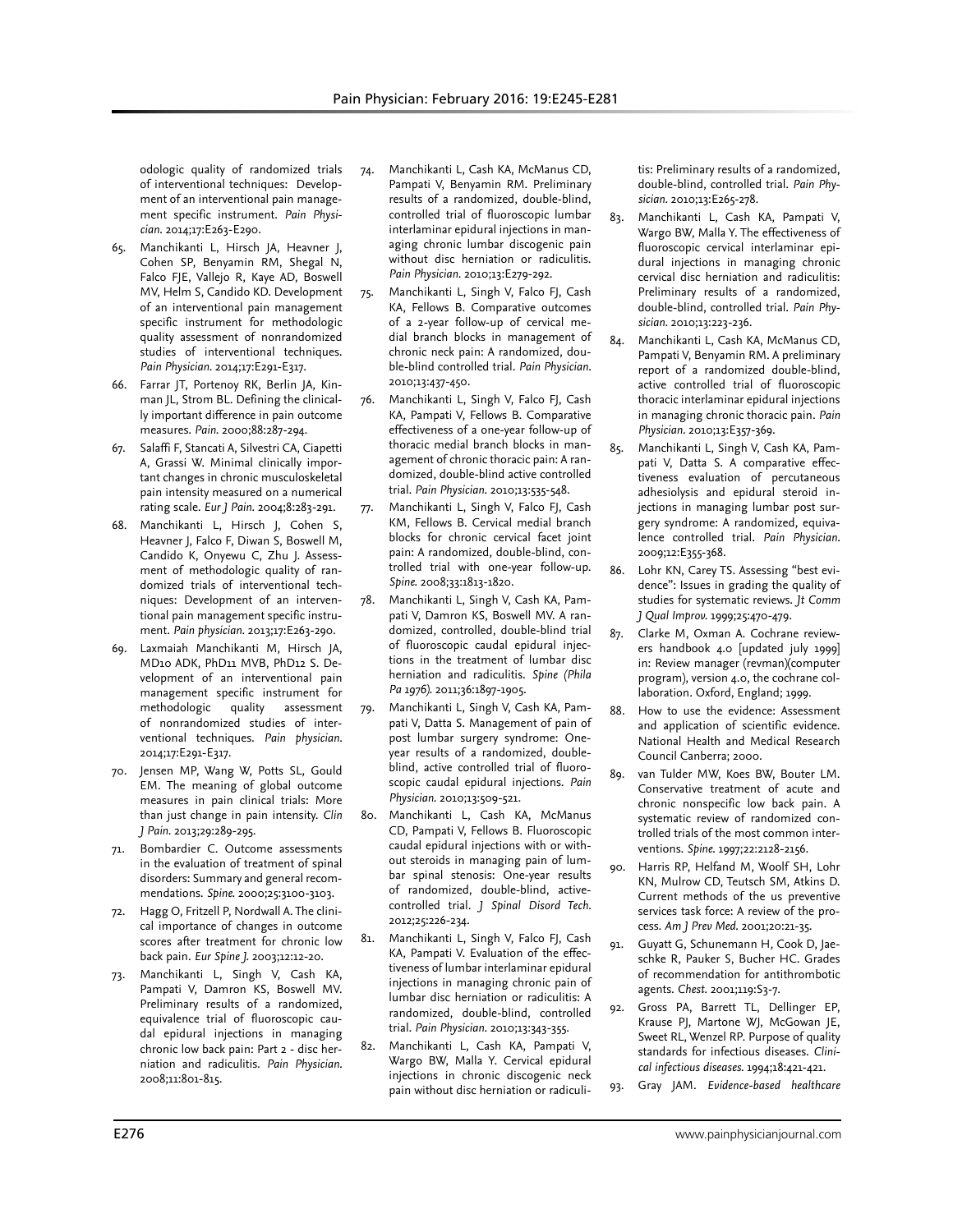odologic quality of randomized trials of interventional techniques: Development of an interventional pain management specific instrument. *Pain Physician.* 2014;17:E263-E290.

- 65. Manchikanti L, Hirsch JA, Heavner J, Cohen SP, Benyamin RM, Shegal N, Falco FJE, Vallejo R, Kaye AD, Boswell MV, Helm S, Candido KD. Development of an interventional pain management specific instrument for methodologic quality assessment of nonrandomized studies of interventional techniques. *Pain Physician.* 2014;17:E291-E317.
- 66. Farrar JT, Portenoy RK, Berlin JA, Kinman JL, Strom BL. Defining the clinically important difference in pain outcome measures. *Pain.* 2000;88:287-294.
- 67. Salaffi F, Stancati A, Silvestri CA, Ciapetti A, Grassi W. Minimal clinically important changes in chronic musculoskeletal pain intensity measured on a numerical rating scale. *Eur J Pain.* 2004;8:283-291.
- 68. Manchikanti L, Hirsch J, Cohen S, Heavner J, Falco F, Diwan S, Boswell M, Candido K, Onyewu C, Zhu J. Assessment of methodologic quality of randomized trials of interventional techniques: Development of an interventional pain management specific instrument. *Pain physician.* 2013;17:E263-290.
- 69. Laxmaiah Manchikanti M, Hirsch JA, MD10 ADK, PhD11 MVB, PhD12 S. Development of an interventional pain management specific instrument for methodologic quality assessment of nonrandomized studies of interventional techniques. *Pain physician.*  2014;17:E291-E317.
- 70. Jensen MP, Wang W, Potts SL, Gould EM. The meaning of global outcome measures in pain clinical trials: More than just change in pain intensity. *Clin J Pain.* 2013;29:289-295.
- 71. Bombardier C. Outcome assessments in the evaluation of treatment of spinal disorders: Summary and general recommendations. *Spine.* 2000;25:3100-3103.
- 72. Hagg O, Fritzell P, Nordwall A. The clinical importance of changes in outcome scores after treatment for chronic low back pain. *Eur Spine J.* 2003;12:12-20.
- 73. Manchikanti L, Singh V, Cash KA, Pampati V, Damron KS, Boswell MV. Preliminary results of a randomized, equivalence trial of fluoroscopic caudal epidural injections in managing chronic low back pain: Part 2 - disc herniation and radiculitis. *Pain Physician.*  2008;11:801-815.
- 74. Manchikanti L, Cash KA, McManus CD, Pampati V, Benyamin RM. Preliminary results of a randomized, double-blind, controlled trial of fluoroscopic lumbar interlaminar epidural injections in managing chronic lumbar discogenic pain without disc herniation or radiculitis. *Pain Physician.* 2010;13:E279-292.
- 75. Manchikanti L, Singh V, Falco FJ, Cash KA, Fellows B. Comparative outcomes of a 2-year follow-up of cervical medial branch blocks in management of chronic neck pain: A randomized, double-blind controlled trial. *Pain Physician.*  2010;13:437-450.
- 76. Manchikanti L, Singh V, Falco FJ, Cash KA, Pampati V, Fellows B. Comparative effectiveness of a one-year follow-up of thoracic medial branch blocks in management of chronic thoracic pain: A randomized, double-blind active controlled trial. *Pain Physician.* 2010;13:535-548.
- 77. Manchikanti L, Singh V, Falco FJ, Cash KM, Fellows B. Cervical medial branch blocks for chronic cervical facet joint pain: A randomized, double-blind, controlled trial with one-year follow-up. *Spine.* 2008;33:1813-1820.
- 78. Manchikanti L, Singh V, Cash KA, Pampati V, Damron KS, Boswell MV. A randomized, controlled, double-blind trial of fluoroscopic caudal epidural injections in the treatment of lumbar disc herniation and radiculitis. *Spine (Phila Pa 1976).* 2011;36:1897-1905.
- 79. Manchikanti L, Singh V, Cash KA, Pampati V, Datta S. Management of pain of post lumbar surgery syndrome: Oneyear results of a randomized, doubleblind, active controlled trial of fluoroscopic caudal epidural injections. *Pain Physician.* 2010;13:509-521.
- 80. Manchikanti L, Cash KA, McManus CD, Pampati V, Fellows B. Fluoroscopic caudal epidural injections with or without steroids in managing pain of lumbar spinal stenosis: One-year results of randomized, double-blind, activecontrolled trial. *J Spinal Disord Tech.*  2012;25:226-234.
- 81. Manchikanti L, Singh V, Falco FJ, Cash KA, Pampati V. Evaluation of the effectiveness of lumbar interlaminar epidural injections in managing chronic pain of lumbar disc herniation or radiculitis: A randomized, double-blind, controlled trial. *Pain Physician.* 2010;13:343-355.
- 82. Manchikanti L, Cash KA, Pampati V, Wargo BW, Malla Y. Cervical epidural injections in chronic discogenic neck pain without disc herniation or radiculi-

tis: Preliminary results of a randomized, double-blind, controlled trial. *Pain Physician.* 2010;13:E265-278.

- 83. Manchikanti L, Cash KA, Pampati V, Wargo BW, Malla Y. The effectiveness of fluoroscopic cervical interlaminar epidural injections in managing chronic cervical disc herniation and radiculitis: Preliminary results of a randomized, double-blind, controlled trial. *Pain Physician.* 2010;13:223-236.
- 84. Manchikanti L, Cash KA, McManus CD, Pampati V, Benyamin RM. A preliminary report of a randomized double-blind, active controlled trial of fluoroscopic thoracic interlaminar epidural injections in managing chronic thoracic pain. *Pain Physician.* 2010;13:E357-369.
- 85. Manchikanti L, Singh V, Cash KA, Pampati V, Datta S. A comparative effectiveness evaluation of percutaneous adhesiolysis and epidural steroid injections in managing lumbar post surgery syndrome: A randomized, equivalence controlled trial. *Pain Physician.*  2009;12:E355-368.
- 86. Lohr KN, Carey TS. Assessing "best evidence": Issues in grading the quality of studies for systematic reviews. *Jt Comm J Qual Improv.* 1999;25:470-479.
- 87. Clarke M, Oxman A. Cochrane reviewers handbook 4.0 [updated july 1999] in: Review manager (revman)(computer program), version 4.0, the cochrane collaboration. Oxford, England; 1999.
- 88. How to use the evidence: Assessment and application of scientific evidence. National Health and Medical Research Council Canberra; 2000.
- 89. van Tulder MW, Koes BW, Bouter LM. Conservative treatment of acute and chronic nonspecific low back pain. A systematic review of randomized controlled trials of the most common interventions. *Spine.* 1997;22:2128-2156.
- 90. Harris RP, Helfand M, Woolf SH, Lohr KN, Mulrow CD, Teutsch SM, Atkins D. Current methods of the us preventive services task force: A review of the process. *Am J Prev Med.* 2001;20:21-35.
- 91. Guyatt G, Schunemann H, Cook D, Jaeschke R, Pauker S, Bucher HC. Grades of recommendation for antithrombotic agents. *Chest.* 2001;119:S3-7.
- 92. Gross PA, Barrett TL, Dellinger EP, Krause PJ, Martone WJ, McGowan JE, Sweet RL, Wenzel RP. Purpose of quality standards for infectious diseases. *Clinical infectious diseases.* 1994;18:421-421.
- 93. Gray JAM. *Evidence-based healthcare*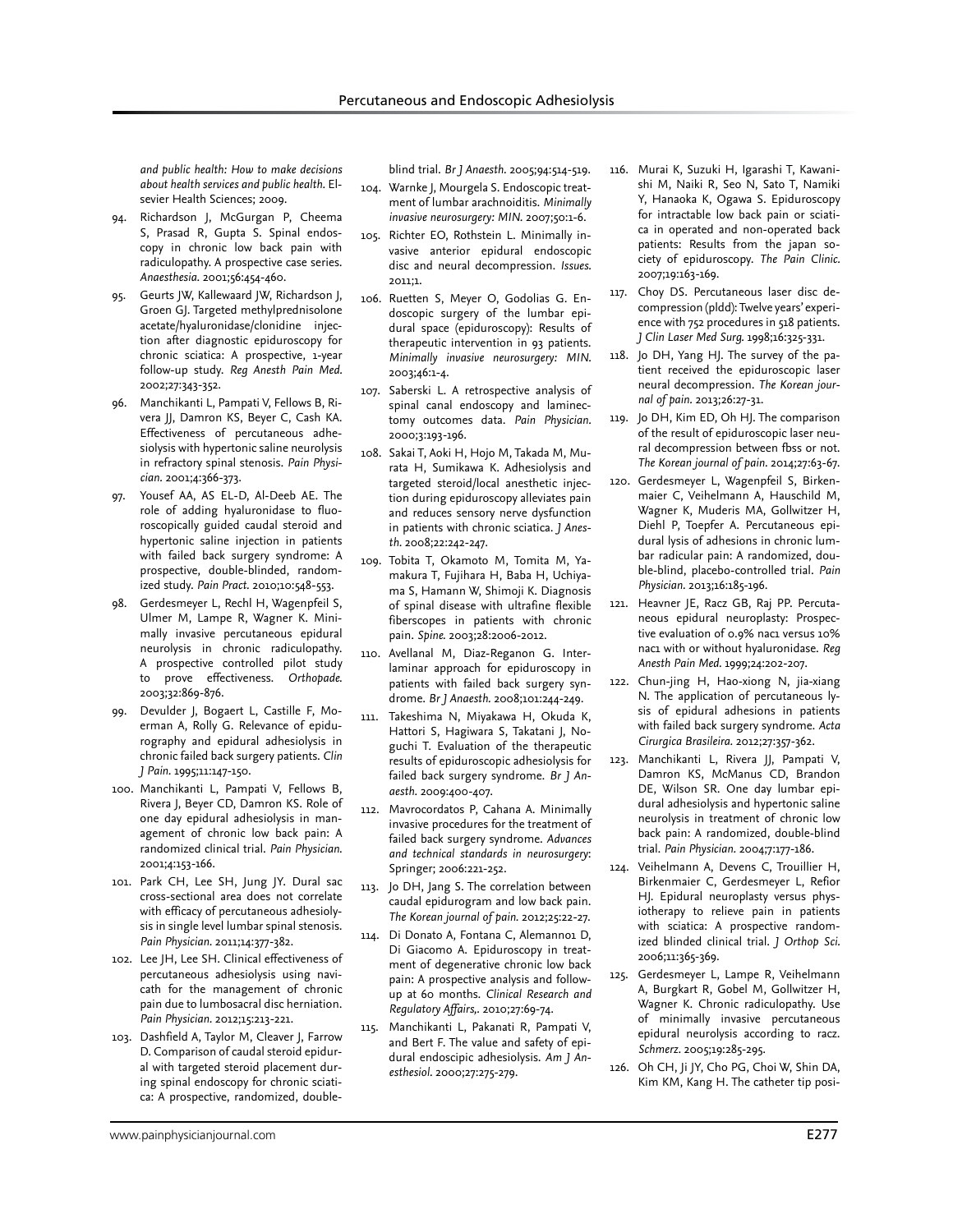*and public health: How to make decisions about health services and public health.* Elsevier Health Sciences; 2009.

- 94. Richardson J, McGurgan P, Cheema S, Prasad R, Gupta S. Spinal endoscopy in chronic low back pain with radiculopathy. A prospective case series. *Anaesthesia.* 2001;56:454-460.
- 95. Geurts JW, Kallewaard JW, Richardson J, Groen GJ. Targeted methylprednisolone acetate/hyaluronidase/clonidine injection after diagnostic epiduroscopy for chronic sciatica: A prospective, 1-year follow-up study. *Reg Anesth Pain Med.*  2002;27:343-352.
- 96. Manchikanti L, Pampati V, Fellows B, Rivera JJ, Damron KS, Beyer C, Cash KA. Effectiveness of percutaneous adhesiolysis with hypertonic saline neurolysis in refractory spinal stenosis. *Pain Physician.* 2001;4:366-373.
- Yousef AA, AS EL-D, Al-Deeb AE. The role of adding hyaluronidase to fluoroscopically guided caudal steroid and hypertonic saline injection in patients with failed back surgery syndrome: A prospective, double-blinded, randomized study. *Pain Pract.* 2010;10:548-553.
- 98. Gerdesmeyer L, Rechl H, Wagenpfeil S, Ulmer M, Lampe R, Wagner K. Minimally invasive percutaneous epidural neurolysis in chronic radiculopathy. A prospective controlled pilot study to prove effectiveness. *Orthopade.*  2003;32:869-876.
- 99. Devulder J, Bogaert L, Castille F, Moerman A, Rolly G. Relevance of epidurography and epidural adhesiolysis in chronic failed back surgery patients. *Clin J Pain.* 1995;11:147-150.
- 100. Manchikanti L, Pampati V, Fellows B, Rivera J, Beyer CD, Damron KS. Role of one day epidural adhesiolysis in management of chronic low back pain: A randomized clinical trial. *Pain Physician.*  2001;4:153-166.
- 101. Park CH, Lee SH, Jung JY. Dural sac cross-sectional area does not correlate with efficacy of percutaneous adhesiolysis in single level lumbar spinal stenosis. *Pain Physician.* 2011;14:377-382.
- 102. Lee JH, Lee SH. Clinical effectiveness of percutaneous adhesiolysis using navicath for the management of chronic pain due to lumbosacral disc herniation. *Pain Physician.* 2012;15:213-221.
- 103. Dashfield A, Taylor M, Cleaver J, Farrow D. Comparison of caudal steroid epidural with targeted steroid placement during spinal endoscopy for chronic sciatica: A prospective, randomized, double-

blind trial. *Br J Anaesth.* 2005;94:514-519.

- 104. Warnke J, Mourgela S. Endoscopic treatment of lumbar arachnoiditis. *Minimally invasive neurosurgery: MIN.* 2007;50:1-6.
- 105. Richter EO, Rothstein L. Minimally invasive anterior epidural endoscopic disc and neural decompression. *Issues.*  2011;1.
- 106. Ruetten S, Meyer O, Godolias G. Endoscopic surgery of the lumbar epidural space (epiduroscopy): Results of therapeutic intervention in 93 patients. *Minimally invasive neurosurgery: MIN.*  2003;46:1-4.
- 107. Saberski L. A retrospective analysis of spinal canal endoscopy and laminectomy outcomes data. *Pain Physician.*  2000;3:193-196.
- 108. Sakai T, Aoki H, Hojo M, Takada M, Murata H, Sumikawa K. Adhesiolysis and targeted steroid/local anesthetic injection during epiduroscopy alleviates pain and reduces sensory nerve dysfunction in patients with chronic sciatica. *J Anesth.* 2008;22:242-247.
- 109. Tobita T, Okamoto M, Tomita M, Yamakura T, Fujihara H, Baba H, Uchiyama S, Hamann W, Shimoji K. Diagnosis of spinal disease with ultrafine flexible fiberscopes in patients with chronic pain. *Spine.* 2003;28:2006-2012.
- 110. Avellanal M, Diaz-Reganon G. Interlaminar approach for epiduroscopy in patients with failed back surgery syndrome. *Br J Anaesth.* 2008;101:244-249.
- 111. Takeshima N, Miyakawa H, Okuda K, Hattori S, Hagiwara S, Takatani J, Noguchi T. Evaluation of the therapeutic results of epiduroscopic adhesiolysis for failed back surgery syndrome. *Br J Anaesth.* 2009:400-407.
- 112. Mavrocordatos P, Cahana A. Minimally invasive procedures for the treatment of failed back surgery syndrome. *Advances and technical standards in neurosurgery*: Springer; 2006:221-252.
- 113. Jo DH, Jang S. The correlation between caudal epidurogram and low back pain. *The Korean journal of pain.* 2012;25:22-27.
- 114. Di Donato A, Fontana C, Alemanno1 D, Di Giacomo A. Epiduroscopy in treatment of degenerative chronic low back pain: A prospective analysis and followup at 60 months. *Clinical Research and Regulatory Affairs,.* 2010;27:69-74.
- 115. Manchikanti L, Pakanati R, Pampati V, and Bert F. The value and safety of epidural endoscipic adhesiolysis. *Am J Anesthesiol.* 2000;27:275-279.
- 116. Murai K, Suzuki H, Igarashi T, Kawanishi M, Naiki R, Seo N, Sato T, Namiki Y, Hanaoka K, Ogawa S. Epiduroscopy for intractable low back pain or sciatica in operated and non-operated back patients: Results from the japan society of epiduroscopy. *The Pain Clinic.*  2007;19:163-169.
- 117. Choy DS. Percutaneous laser disc decompression (pldd): Twelve years' experience with 752 procedures in 518 patients. *J Clin Laser Med Surg.* 1998;16:325-331.
- 118. Jo DH, Yang HJ. The survey of the patient received the epiduroscopic laser neural decompression. *The Korean journal of pain.* 2013;26:27-31.
- 119. Jo DH, Kim ED, Oh HJ. The comparison of the result of epiduroscopic laser neural decompression between fbss or not. *The Korean journal of pain.* 2014;27:63-67.
- 120. Gerdesmeyer L, Wagenpfeil S, Birkenmaier C, Veihelmann A, Hauschild M, Wagner K, Muderis MA, Gollwitzer H, Diehl P, Toepfer A. Percutaneous epidural lysis of adhesions in chronic lumbar radicular pain: A randomized, double-blind, placebo-controlled trial. *Pain Physician.* 2013;16:185-196.
- 121. Heavner JE, Racz GB, Raj PP. Percutaneous epidural neuroplasty: Prospective evaluation of 0.9% nac1 versus 10% nac1 with or without hyaluronidase. *Reg Anesth Pain Med.* 1999;24:202-207.
- 122. Chun-jing H, Hao-xiong N, jia-xiang N. The application of percutaneous lysis of epidural adhesions in patients with failed back surgery syndrome. *Acta Cirurgica Brasileira.* 2012;27:357-362.
- 123. Manchikanti L, Rivera JJ, Pampati V, Damron KS, McManus CD, Brandon DE, Wilson SR. One day lumbar epidural adhesiolysis and hypertonic saline neurolysis in treatment of chronic low back pain: A randomized, double-blind trial. *Pain Physician.* 2004;7:177-186.
- 124. Veihelmann A, Devens C, Trouillier H, Birkenmaier C, Gerdesmeyer L, Refior HJ. Epidural neuroplasty versus physiotherapy to relieve pain in patients with sciatica: A prospective randomized blinded clinical trial. *J Orthop Sci.*  2006;11:365-369.
- 125. Gerdesmeyer L, Lampe R, Veihelmann A, Burgkart R, Gobel M, Gollwitzer H, Wagner K. Chronic radiculopathy. Use of minimally invasive percutaneous epidural neurolysis according to racz. *Schmerz.* 2005;19:285-295.
- 126. Oh CH, Ji JY, Cho PG, Choi W, Shin DA, Kim KM, Kang H. The catheter tip posi-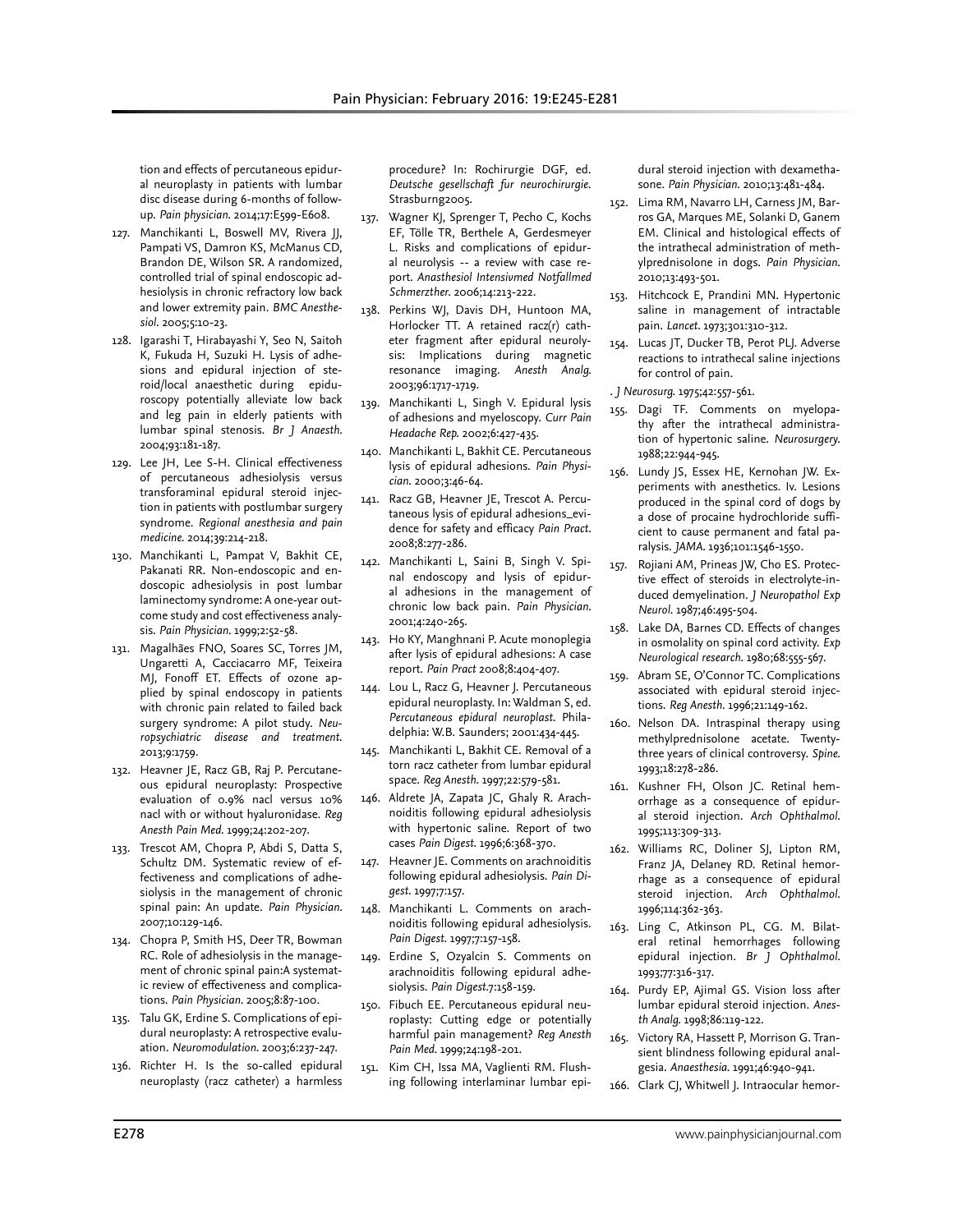tion and effects of percutaneous epidural neuroplasty in patients with lumbar disc disease during 6-months of followup. *Pain physician.* 2014;17:E599-E608.

- 127. Manchikanti L, Boswell MV, Rivera JJ, Pampati VS, Damron KS, McManus CD, Brandon DE, Wilson SR. A randomized, controlled trial of spinal endoscopic adhesiolysis in chronic refractory low back and lower extremity pain. *BMC Anesthesiol.* 2005;5:10-23.
- 128. Igarashi T, Hirabayashi Y, Seo N, Saitoh K, Fukuda H, Suzuki H. Lysis of adhesions and epidural injection of steroid/local anaesthetic during epiduroscopy potentially alleviate low back and leg pain in elderly patients with lumbar spinal stenosis. *Br J Anaesth.*  2004;93:181-187.
- 129. Lee JH, Lee S-H. Clinical effectiveness of percutaneous adhesiolysis versus transforaminal epidural steroid injection in patients with postlumbar surgery syndrome. *Regional anesthesia and pain medicine.* 2014;39:214-218.
- 130. Manchikanti L, Pampat V, Bakhit CE, Pakanati RR. Non-endoscopic and endoscopic adhesiolysis in post lumbar laminectomy syndrome: A one-year outcome study and cost effectiveness analysis. *Pain Physician.* 1999;2:52-58.
- 131. Magalhães FNO, Soares SC, Torres JM, Ungaretti A, Cacciacarro MF, Teixeira MJ, Fonoff ET. Effects of ozone applied by spinal endoscopy in patients with chronic pain related to failed back surgery syndrome: A pilot study. *Neuropsychiatric disease and treatment.*  2013;9:1759.
- 132. Heavner JE, Racz GB, Raj P. Percutaneous epidural neuroplasty: Prospective evaluation of 0.9% nacl versus 10% nacl with or without hyaluronidase. *Reg Anesth Pain Med.* 1999;24:202-207.
- 133. Trescot AM, Chopra P, Abdi S, Datta S, Schultz DM. Systematic review of effectiveness and complications of adhesiolysis in the management of chronic spinal pain: An update. *Pain Physician.*  2007;10:129-146.
- 134. Chopra P, Smith HS, Deer TR, Bowman RC. Role of adhesiolysis in the management of chronic spinal pain:A systematic review of effectiveness and complications. *Pain Physician.* 2005;8:87-100.
- 135. Talu GK, Erdine S. Complications of epidural neuroplasty: A retrospective evaluation. *Neuromodulation.* 2003;6:237-247.
- 136. Richter H. Is the so-called epidural neuroplasty (racz catheter) a harmless

procedure? In: Rochirurgie DGF, ed. *Deutsche gesellschaft fur neurochirurgie*. Strasburng2005.

- 137. Wagner KJ, Sprenger T, Pecho C, Kochs EF, Tölle TR, Berthele A, Gerdesmeyer L. Risks and complications of epidural neurolysis -- a review with case report. *Anasthesiol Intensivmed Notfallmed Schmerzther.* 2006;14:213-222.
- 138. Perkins WJ, Davis DH, Huntoon MA, Horlocker TT. A retained racz(r) catheter fragment after epidural neurolysis: Implications during magnetic resonance imaging. *Anesth Analg.*  2003;96:1717-1719.
- 139. Manchikanti L, Singh V. Epidural lysis of adhesions and myeloscopy. *Curr Pain Headache Rep.* 2002;6:427-435.
- 140. Manchikanti L, Bakhit CE. Percutaneous lysis of epidural adhesions. *Pain Physician.* 2000;3:46-64.
- 141. Racz GB, Heavner JE, Trescot A. Percutaneous lysis of epidural adhesions\_evidence for safety and efficacy *Pain Pract.*  2008;8:277-286.
- 142. Manchikanti L, Saini B, Singh V. Spinal endoscopy and lysis of epidural adhesions in the management of chronic low back pain. *Pain Physician.*  2001;4:240-265.
- 143. Ho KY, Manghnani P. Acute monoplegia after lysis of epidural adhesions: A case report. *Pain Pract* 2008;8:404-407.
- 144. Lou L, Racz G, Heavner J. Percutaneous epidural neuroplasty. In: Waldman S, ed. *Percutaneous epidural neuroplast*. Philadelphia: W.B. Saunders; 2001:434-445.
- 145. Manchikanti L, Bakhit CE. Removal of a torn racz catheter from lumbar epidural space. *Reg Anesth.* 1997;22:579-581.
- 146. Aldrete JA, Zapata JC, Ghaly R. Arachnoiditis following epidural adhesiolysis with hypertonic saline. Report of two cases *Pain Digest.* 1996;6:368-370.
- 147. Heavner JE. Comments on arachnoiditis following epidural adhesiolysis. *Pain Digest.* 1997;7:157.
- 148. Manchikanti L. Comments on arachnoiditis following epidural adhesiolysis. *Pain Digest.* 1997;7:157-158.
- 149. Erdine S, Ozyalcin S. Comments on arachnoiditis following epidural adhesiolysis. *Pain Digest.*7:158-159.
- 150. Fibuch EE. Percutaneous epidural neuroplasty: Cutting edge or potentially harmful pain management? *Reg Anesth Pain Med.* 1999;24:198-201.
- 151. Kim CH, Issa MA, Vaglienti RM. Flushing following interlaminar lumbar epi-

dural steroid injection with dexamethasone. *Pain Physician.* 2010;13:481-484.

- 152. Lima RM, Navarro LH, Carness JM, Barros GA, Marques ME, Solanki D, Ganem EM. Clinical and histological effects of the intrathecal administration of methylprednisolone in dogs. *Pain Physician.*  2010;13:493-501.
- 153. Hitchcock E, Prandini MN. Hypertonic saline in management of intractable pain. *Lancet.* 1973;301:310-312.
- 154. Lucas JT, Ducker TB, Perot PLJ. Adverse reactions to intrathecal saline injections for control of pain.
- . *J Neurosurg.* 1975;42:557-561.
- 155. Dagi TF. Comments on myelopathy after the intrathecal administration of hypertonic saline. *Neurosurgery.*  1988;22:944-945.
- 156. Lundy JS, Essex HE, Kernohan JW. Experiments with anesthetics. Iv. Lesions produced in the spinal cord of dogs by a dose of procaine hydrochloride sufficient to cause permanent and fatal paralysis. *JAMA.* 1936;101:1546-1550.
- 157. Rojiani AM, Prineas JW, Cho ES. Protective effect of steroids in electrolyte-induced demyelination. *J Neuropathol Exp Neurol.* 1987;46:495-504.
- 158. Lake DA, Barnes CD. Effects of changes in osmolality on spinal cord activity. *Exp Neurological research.* 1980;68:555-567.
- 159. Abram SE, O'Connor TC. Complications associated with epidural steroid injections. *Reg Anesth.* 1996;21:149-162.
- 160. Nelson DA. Intraspinal therapy using methylprednisolone acetate. Twentythree years of clinical controversy. *Spine.*  1993;18:278-286.
- 161. Kushner FH, Olson JC. Retinal hemorrhage as a consequence of epidural steroid injection. *Arch Ophthalmol.*  1995;113:309-313.
- 162. Williams RC, Doliner SJ, Lipton RM, Franz JA, Delaney RD. Retinal hemorrhage as a consequence of epidural steroid injection. *Arch Ophthalmol.*  1996;114:362-363.
- 163. Ling C, Atkinson PL, CG. M. Bilateral retinal hemorrhages following epidural injection. *Br J Ophthalmol.*  1993;77:316-317.
- 164. Purdy EP, Ajimal GS. Vision loss after lumbar epidural steroid injection. *Anesth Analg.* 1998;86:119-122.
- 165. Victory RA, Hassett P, Morrison G. Transient blindness following epidural analgesia. *Anaesthesia.* 1991;46:940-941.
- 166. Clark CJ, Whitwell J. Intraocular hemor-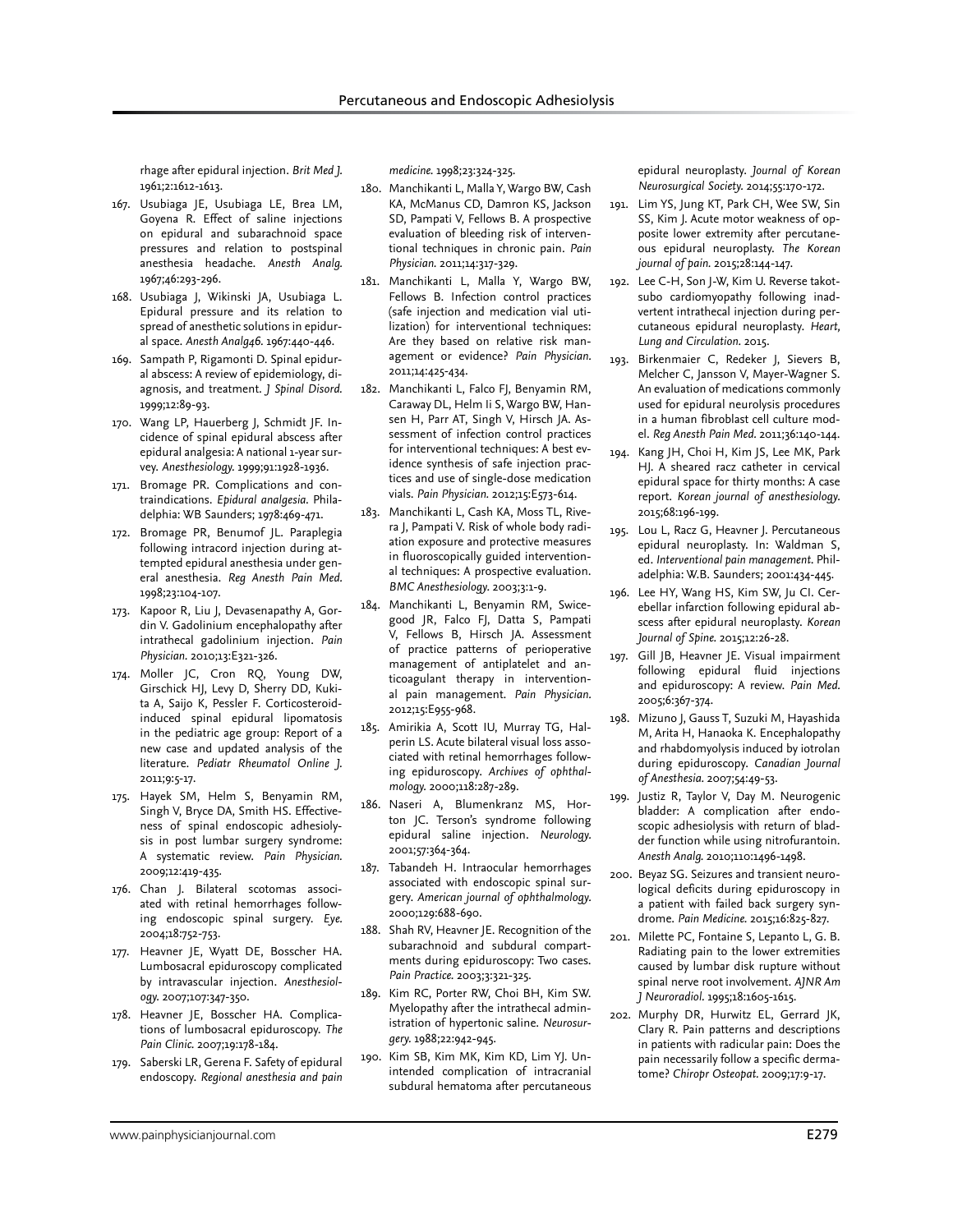rhage after epidural injection. *Brit Med J.*  1961;2:1612-1613.

- 167. Usubiaga JE, Usubiaga LE, Brea LM, Goyena R. Effect of saline injections on epidural and subarachnoid space pressures and relation to postspinal anesthesia headache. *Anesth Analg.*  1967;46:293-296.
- 168. Usubiaga J, Wikinski JA, Usubiaga L. Epidural pressure and its relation to spread of anesthetic solutions in epidural space. *Anesth Analg46.* 1967:440-446.
- 169. Sampath P, Rigamonti D. Spinal epidural abscess: A review of epidemiology, diagnosis, and treatment. *J Spinal Disord.*  1999;12:89-93.
- 170. Wang LP, Hauerberg J, Schmidt JF. Incidence of spinal epidural abscess after epidural analgesia: A national 1-year survey. *Anesthesiology.* 1999;91:1928-1936.
- 171. Bromage PR. Complications and contraindications. *Epidural analgesia*. Philadelphia: WB Saunders; 1978:469-471.
- 172. Bromage PR, Benumof JL. Paraplegia following intracord injection during attempted epidural anesthesia under general anesthesia. *Reg Anesth Pain Med.*  1998;23:104-107.
- 173. Kapoor R, Liu J, Devasenapathy A, Gordin V. Gadolinium encephalopathy after intrathecal gadolinium injection. *Pain Physician.* 2010;13:E321-326.
- 174. Moller JC, Cron RQ, Young DW, Girschick HJ, Levy D, Sherry DD, Kukita A, Saijo K, Pessler F. Corticosteroidinduced spinal epidural lipomatosis in the pediatric age group: Report of a new case and updated analysis of the literature. *Pediatr Rheumatol Online J.*  2011;9:5-17.
- 175. Hayek SM, Helm S, Benyamin RM, Singh V, Bryce DA, Smith HS. Effectiveness of spinal endoscopic adhesiolysis in post lumbar surgery syndrome: A systematic review. *Pain Physician.*  2009;12:419-435.
- 176. Chan J. Bilateral scotomas associated with retinal hemorrhages following endoscopic spinal surgery. *Eye.*  2004;18:752-753.
- 177. Heavner JE, Wyatt DE, Bosscher HA. Lumbosacral epiduroscopy complicated by intravascular injection. *Anesthesiology.* 2007;107:347-350.
- 178. Heavner JE, Bosscher HA. Complications of lumbosacral epiduroscopy. *The Pain Clinic.* 2007;19:178-184.
- 179. Saberski LR, Gerena F. Safety of epidural endoscopy. *Regional anesthesia and pain*

*medicine.* 1998;23:324-325.

- 180. Manchikanti L, Malla Y, Wargo BW, Cash KA, McManus CD, Damron KS, Jackson SD, Pampati V, Fellows B. A prospective evaluation of bleeding risk of interventional techniques in chronic pain. *Pain Physician.* 2011;14:317-329.
- 181. Manchikanti L, Malla Y, Wargo BW, Fellows B. Infection control practices (safe injection and medication vial utilization) for interventional techniques: Are they based on relative risk management or evidence? *Pain Physician.*  2011;14:425-434.
- 182. Manchikanti L, Falco FJ, Benyamin RM, Caraway DL, Helm Ii S, Wargo BW, Hansen H, Parr AT, Singh V, Hirsch JA. Assessment of infection control practices for interventional techniques: A best evidence synthesis of safe injection practices and use of single-dose medication vials. *Pain Physician.* 2012;15:E573-614.
- 183. Manchikanti L, Cash KA, Moss TL, Rivera J, Pampati V. Risk of whole body radiation exposure and protective measures in fluoroscopically guided interventional techniques: A prospective evaluation. *BMC Anesthesiology.* 2003;3:1-9.
- 184. Manchikanti L, Benyamin RM, Swicegood JR, Falco FJ, Datta S, Pampati V, Fellows B, Hirsch JA. Assessment of practice patterns of perioperative management of antiplatelet and anticoagulant therapy in interventional pain management. *Pain Physician.*  2012;15:E955-968.
- 185. Amirikia A, Scott IU, Murray TG, Halperin LS. Acute bilateral visual loss associated with retinal hemorrhages following epiduroscopy. *Archives of ophthalmology.* 2000;118:287-289.
- 186. Naseri A, Blumenkranz MS, Horton JC. Terson's syndrome following epidural saline injection. *Neurology.*  2001;57:364-364.
- 187. Tabandeh H. Intraocular hemorrhages associated with endoscopic spinal surgery. *American journal of ophthalmology.*  2000;129:688-690.
- 188. Shah RV, Heavner JE. Recognition of the subarachnoid and subdural compartments during epiduroscopy: Two cases. *Pain Practice.* 2003;3:321-325.
- 189. Kim RC, Porter RW, Choi BH, Kim SW. Myelopathy after the intrathecal administration of hypertonic saline. *Neurosurgery.* 1988;22:942-945.
- 190. Kim SB, Kim MK, Kim KD, Lim YJ. Unintended complication of intracranial subdural hematoma after percutaneous

epidural neuroplasty. *Journal of Korean Neurosurgical Society.* 2014;55:170-172.

- 191. Lim YS, Jung KT, Park CH, Wee SW, Sin SS, Kim J. Acute motor weakness of opposite lower extremity after percutaneous epidural neuroplasty. *The Korean journal of pain.* 2015;28:144-147.
- 192. Lee C-H, Son J-W, Kim U. Reverse takotsubo cardiomyopathy following inadvertent intrathecal injection during percutaneous epidural neuroplasty. *Heart, Lung and Circulation.* 2015.
- 193. Birkenmaier C, Redeker J, Sievers B, Melcher C, Jansson V, Mayer-Wagner S. An evaluation of medications commonly used for epidural neurolysis procedures in a human fibroblast cell culture model. *Reg Anesth Pain Med.* 2011;36:140-144.
- 194. Kang JH, Choi H, Kim JS, Lee MK, Park HJ. A sheared racz catheter in cervical epidural space for thirty months: A case report. *Korean journal of anesthesiology.*  2015;68:196-199.
- 195. Lou L, Racz G, Heavner J. Percutaneous epidural neuroplasty. In: Waldman S, ed. *Interventional pain management*. Philadelphia: W.B. Saunders; 2001:434-445.
- 196. Lee HY, Wang HS, Kim SW, Ju CI. Cerebellar infarction following epidural abscess after epidural neuroplasty. *Korean Journal of Spine.* 2015;12:26-28.
- 197. Gill JB, Heavner JE. Visual impairment following epidural fluid injections and epiduroscopy: A review. *Pain Med.*  2005;6:367-374.
- 198. Mizuno J, Gauss T, Suzuki M, Hayashida M, Arita H, Hanaoka K. Encephalopathy and rhabdomyolysis induced by iotrolan during epiduroscopy. *Canadian Journal of Anesthesia.* 2007;54:49-53.
- 199. Justiz R, Taylor V, Day M. Neurogenic bladder: A complication after endoscopic adhesiolysis with return of bladder function while using nitrofurantoin. *Anesth Analg.* 2010;110:1496-1498.
- 200. Beyaz SG. Seizures and transient neurological deficits during epiduroscopy in a patient with failed back surgery syndrome. *Pain Medicine.* 2015;16:825-827.
- 201. Milette PC, Fontaine S, Lepanto L, G. B. Radiating pain to the lower extremities caused by lumbar disk rupture without spinal nerve root involvement. *AJNR Am J Neuroradiol.* 1995;18:1605-1615.
- 202. Murphy DR, Hurwitz EL, Gerrard JK, Clary R. Pain patterns and descriptions in patients with radicular pain: Does the pain necessarily follow a specific dermatome? *Chiropr Osteopat.* 2009;17:9-17.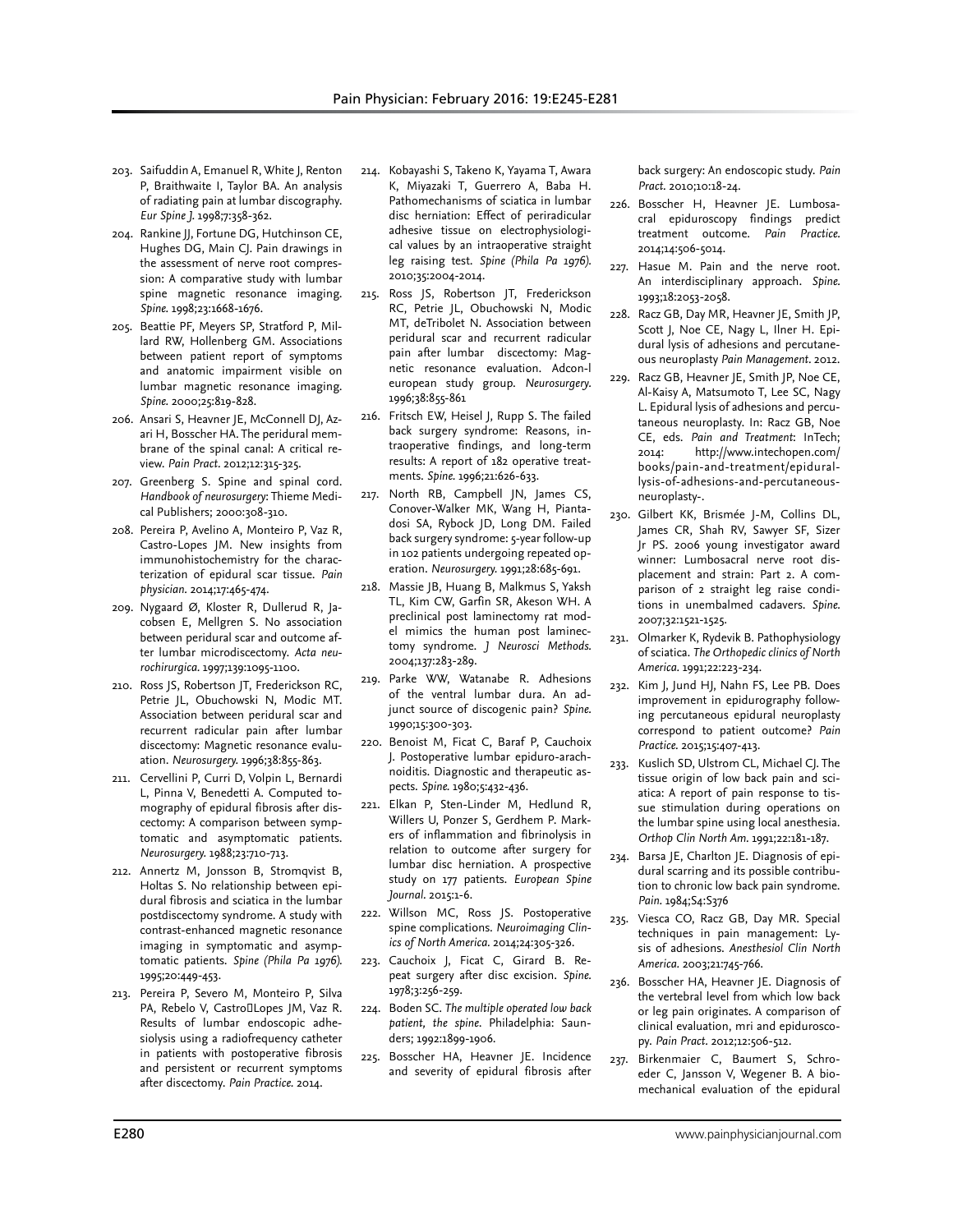- 203. Saifuddin A, Emanuel R, White J, Renton P, Braithwaite I, Taylor BA. An analysis of radiating pain at lumbar discography. *Eur Spine J.* 1998;7:358-362.
- 204. Rankine JJ, Fortune DG, Hutchinson CE, Hughes DG, Main CJ. Pain drawings in the assessment of nerve root compression: A comparative study with lumbar spine magnetic resonance imaging. *Spine.* 1998;23:1668-1676.
- 205. Beattie PF, Meyers SP, Stratford P, Millard RW, Hollenberg GM. Associations between patient report of symptoms and anatomic impairment visible on lumbar magnetic resonance imaging. *Spine.* 2000;25:819-828.
- 206. Ansari S, Heavner JE, McConnell DJ, Azari H, Bosscher HA. The peridural membrane of the spinal canal: A critical review. *Pain Pract.* 2012;12:315-325.
- 207. Greenberg S. Spine and spinal cord. *Handbook of neurosurgery*: Thieme Medical Publishers; 2000:308-310.
- 208. Pereira P, Avelino A, Monteiro P, Vaz R, Castro-Lopes JM. New insights from immunohistochemistry for the characterization of epidural scar tissue. *Pain physician.* 2014;17:465-474.
- 209. Nygaard Ø, Kloster R, Dullerud R, Jacobsen E, Mellgren S. No association between peridural scar and outcome after lumbar microdiscectomy. *Acta neurochirurgica.* 1997;139:1095-1100.
- 210. Ross JS, Robertson JT, Frederickson RC, Petrie JL, Obuchowski N, Modic MT. Association between peridural scar and recurrent radicular pain after lumbar discectomy: Magnetic resonance evaluation. *Neurosurgery.* 1996;38:855-863.
- 211. Cervellini P, Curri D, Volpin L, Bernardi L, Pinna V, Benedetti A. Computed tomography of epidural fibrosis after discectomy: A comparison between symptomatic and asymptomatic patients. *Neurosurgery.* 1988;23:710-713.
- 212. Annertz M, Jonsson B, Stromqvist B, Holtas S. No relationship between epidural fibrosis and sciatica in the lumbar postdiscectomy syndrome. A study with contrast-enhanced magnetic resonance imaging in symptomatic and asymptomatic patients. *Spine (Phila Pa 1976).*  1995;20:449-453.
- 213. Pereira P, Severo M, Monteiro P, Silva PA, Rebelo V, Castro Lopes JM, Vaz R. Results of lumbar endoscopic adhesiolysis using a radiofrequency catheter in patients with postoperative fibrosis and persistent or recurrent symptoms after discectomy. *Pain Practice.* 2014.
- 214. Kobayashi S, Takeno K, Yayama T, Awara K, Miyazaki T, Guerrero A, Baba H. Pathomechanisms of sciatica in lumbar disc herniation: Effect of periradicular adhesive tissue on electrophysiological values by an intraoperative straight leg raising test. *Spine (Phila Pa 1976).*  2010;35:2004-2014.
- 215. Ross JS, Robertson JT, Frederickson RC, Petrie JL, Obuchowski N, Modic MT, deTribolet N. Association between peridural scar and recurrent radicular pain after lumbar discectomy: Magnetic resonance evaluation. Adcon-l european study group. *Neurosurgery.*  1996;38:855-861
- 216. Fritsch EW, Heisel J, Rupp S. The failed back surgery syndrome: Reasons, intraoperative findings, and long-term results: A report of 182 operative treatments. *Spine.* 1996;21:626-633.
- 217. North RB, Campbell JN, James CS, Conover-Walker MK, Wang H, Piantadosi SA, Rybock JD, Long DM. Failed back surgery syndrome: 5-year follow-up in 102 patients undergoing repeated operation. *Neurosurgery.* 1991;28:685-691.
- 218. Massie JB, Huang B, Malkmus S, Yaksh TL, Kim CW, Garfin SR, Akeson WH. A preclinical post laminectomy rat model mimics the human post laminectomy syndrome. *J Neurosci Methods.*  2004;137:283-289.
- 219. Parke WW, Watanabe R. Adhesions of the ventral lumbar dura. An adjunct source of discogenic pain? *Spine.*  1990;15:300-303.
- 220. Benoist M, Ficat C, Baraf P, Cauchoix J. Postoperative lumbar epiduro-arachnoiditis. Diagnostic and therapeutic aspects. *Spine.* 1980;5:432-436.
- 221. Elkan P, Sten-Linder M, Hedlund R, Willers U, Ponzer S, Gerdhem P. Markers of inflammation and fibrinolysis in relation to outcome after surgery for lumbar disc herniation. A prospective study on 177 patients. *European Spine Journal.* 2015:1-6.
- 222. Willson MC, Ross JS. Postoperative spine complications. *Neuroimaging Clinics of North America.* 2014;24:305-326.
- 223. Cauchoix J, Ficat C, Girard B. Repeat surgery after disc excision. *Spine.*  1978;3:256-259.
- 224. Boden SC. *The multiple operated low back patient, the spine*. Philadelphia: Saunders; 1992:1899-1906.
- 225. Bosscher HA, Heavner JE. Incidence and severity of epidural fibrosis after

back surgery: An endoscopic study. *Pain Pract.* 2010;10:18-24.

- 226. Bosscher H, Heavner JE. Lumbosacral epiduroscopy findings predict treatment outcome. *Pain Practice.*  2014;14:506-5014.
- 227. Hasue M. Pain and the nerve root. An interdisciplinary approach. *Spine.*  1993;18:2053-2058.
- 228. Racz GB, Day MR, Heavner JE, Smith JP, Scott J, Noe CE, Nagy L, Ilner H. Epidural lysis of adhesions and percutaneous neuroplasty *Pain Management.* 2012.
- 229. Racz GB, Heavner JE, Smith JP, Noe CE, Al-Kaisy A, Matsumoto T, Lee SC, Nagy L. Epidural lysis of adhesions and percutaneous neuroplasty. In: Racz GB, Noe CE, eds. *Pain and Treatment*: InTech; 2014: http://www.intechopen.com/ books/pain-and-treatment/epidurallysis-of-adhesions-and-percutaneousneuroplasty-.
- 230. Gilbert KK, Brismée J-M, Collins DL, James CR, Shah RV, Sawyer SF, Sizer Jr PS. 2006 young investigator award winner: Lumbosacral nerve root displacement and strain: Part 2. A comparison of 2 straight leg raise conditions in unembalmed cadavers. *Spine.*  2007;32:1521-1525.
- 231. Olmarker K, Rydevik B. Pathophysiology of sciatica. *The Orthopedic clinics of North America.* 1991;22:223-234.
- 232. Kim J, Jund HJ, Nahn FS, Lee PB. Does improvement in epidurography following percutaneous epidural neuroplasty correspond to patient outcome? *Pain Practice.* 2015;15:407-413.
- 233. Kuslich SD, Ulstrom CL, Michael CJ. The tissue origin of low back pain and sciatica: A report of pain response to tissue stimulation during operations on the lumbar spine using local anesthesia. *Orthop Clin North Am.* 1991;22:181-187.
- 234. Barsa JE, Charlton JE. Diagnosis of epidural scarring and its possible contribution to chronic low back pain syndrome. *Pain.* 1984;S4:S376
- 235. Viesca CO, Racz GB, Day MR. Special techniques in pain management: Lysis of adhesions. *Anesthesiol Clin North America.* 2003;21:745-766.
- 236. Bosscher HA, Heavner JE. Diagnosis of the vertebral level from which low back or leg pain originates. A comparison of clinical evaluation, mri and epiduroscopy. *Pain Pract.* 2012;12:506-512.
- 237. Birkenmaier C, Baumert S, Schroeder C, Jansson V, Wegener B. A biomechanical evaluation of the epidural